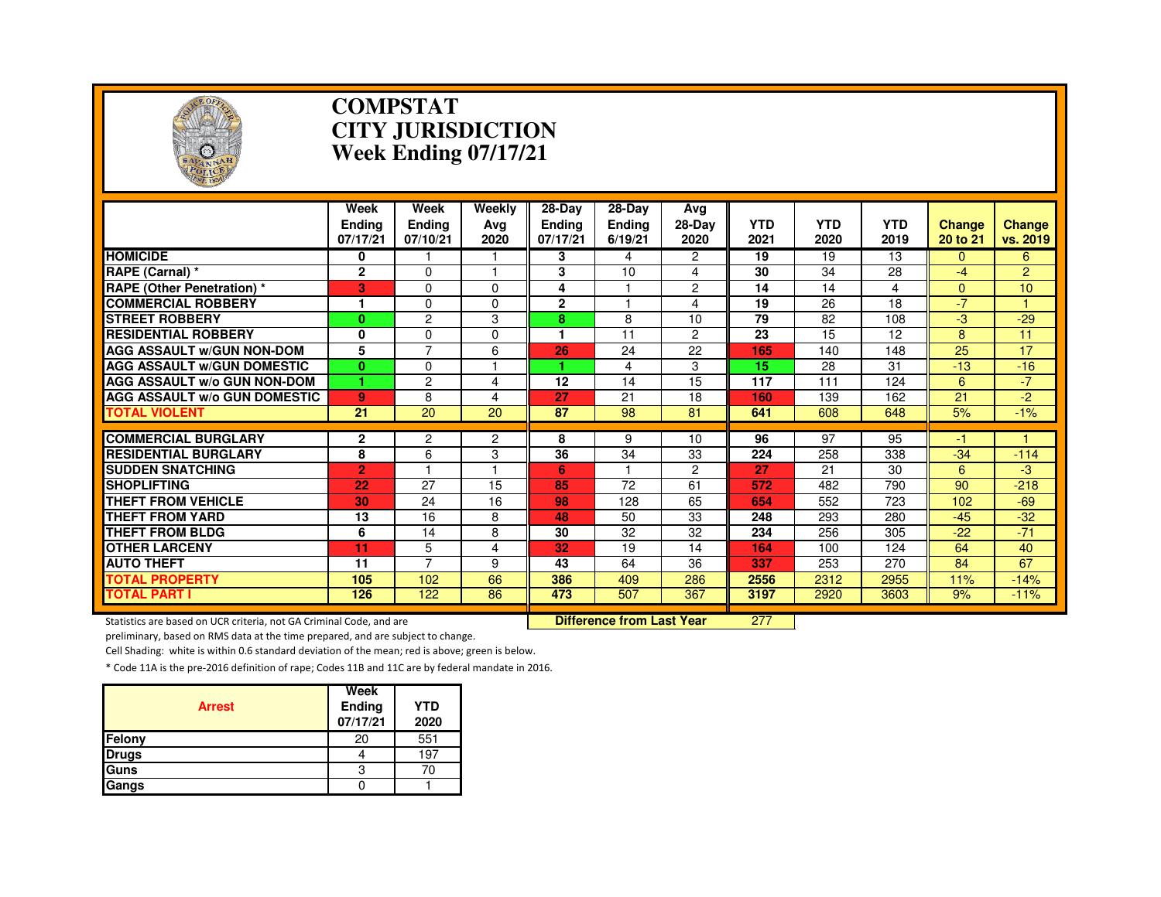

#### **COMPSTAT CITY JURISDICTIONWeek Ending 07/17/21**

|                                     | Week<br><b>Endina</b><br>07/17/21 | Week<br><b>Endina</b><br>07/10/21 | Weekly<br>Avg<br>2020   | $28$ -Day<br><b>Ending</b><br>07/17/21 | 28-Day<br><b>Ending</b><br>6/19/21 | Avg<br>$28-Dav$<br>2020 | <b>YTD</b><br>2021 | <b>YTD</b><br>2020 | <b>YTD</b><br>2019 | <b>Change</b><br>20 to 21 | <b>Change</b><br>vs. 2019 |
|-------------------------------------|-----------------------------------|-----------------------------------|-------------------------|----------------------------------------|------------------------------------|-------------------------|--------------------|--------------------|--------------------|---------------------------|---------------------------|
| <b>HOMICIDE</b>                     | 0                                 |                                   |                         | 3                                      | 4                                  | $\overline{2}$          | 19                 | 19                 | 13                 | $\Omega$                  | 6                         |
| RAPE (Carnal) *                     | $\mathbf{2}$                      | $\Omega$                          |                         | 3                                      | 10                                 | 4                       | 30                 | 34                 | 28                 | -4                        | $\overline{2}$            |
| <b>RAPE (Other Penetration) *</b>   | 3                                 | $\Omega$                          | $\Omega$                | 4                                      |                                    | $\overline{c}$          | 14                 | 14                 | 4                  | $\Omega$                  | 10                        |
| <b>COMMERCIAL ROBBERY</b>           | 1                                 | $\Omega$                          | $\Omega$                | $\mathbf{2}$                           |                                    | 4                       | 19                 | 26                 | $\overline{18}$    | $-7$                      |                           |
| <b>ISTREET ROBBERY</b>              | $\bf{0}$                          | $\overline{c}$                    | 3                       | 8                                      | 8                                  | 10                      | 79                 | 82                 | 108                | -3                        | $-29$                     |
| <b>RESIDENTIAL ROBBERY</b>          | 0                                 | $\Omega$                          | $\Omega$                | 1                                      | 11                                 | $\overline{c}$          | 23                 | 15                 | 12                 | 8                         | 11                        |
| <b>AGG ASSAULT W/GUN NON-DOM</b>    | 5                                 | $\overline{7}$                    | 6                       | 26                                     | 24                                 | 22                      | 165                | 140                | 148                | 25                        | 17                        |
| <b>AGG ASSAULT W/GUN DOMESTIC</b>   | $\bf{0}$                          | 0                                 |                         |                                        | 4                                  | 3                       | 15                 | 28                 | 31                 | $-13$                     | $-16$                     |
| <b>AGG ASSAULT W/o GUN NON-DOM</b>  |                                   | $\overline{c}$                    | 4                       | 12                                     | 14                                 | 15                      | 117                | 111                | 124                | 6                         | $-7$                      |
| <b>AGG ASSAULT w/o GUN DOMESTIC</b> | 9                                 | 8                                 | $\overline{\mathbf{4}}$ | 27                                     | 21                                 | 18                      | 160                | 139                | 162                | 21                        | -2.                       |
| <b>TOTAL VIOLENT</b>                | 21                                | 20                                | 20                      | 87                                     | 98                                 | 81                      | 641                | 608                | 648                | 5%                        | $-1%$                     |
|                                     |                                   |                                   |                         |                                        |                                    |                         |                    |                    |                    |                           |                           |
| <b>COMMERCIAL BURGLARY</b>          | $\mathbf 2$                       | $\overline{c}$                    | 2                       | 8                                      | 9                                  | 10                      | 96                 | 97                 | 95                 | -1                        |                           |
| <b>RESIDENTIAL BURGLARY</b>         | 8                                 | 6                                 | 3                       | 36                                     | 34                                 | 33                      | 224                | 258                | 338                | $-34$                     | $-114$                    |
| <b>ISUDDEN SNATCHING</b>            | $\overline{2}$                    |                                   |                         | 6                                      |                                    | $\overline{2}$          | 27                 | 21                 | 30                 | 6                         | -3                        |
| <b>SHOPLIFTING</b>                  | 22                                | 27                                | 15                      | 85                                     | 72                                 | 61                      | 572                | 482                | 790                | 90                        | $-218$                    |
| <b>THEFT FROM VEHICLE</b>           | 30                                | 24                                | 16                      | 98                                     | 128                                | 65                      | 654                | 552                | 723                | 102                       | $-69$                     |
| <b>THEFT FROM YARD</b>              | 13                                | 16                                | 8                       | 48                                     | 50                                 | 33                      | 248                | 293                | 280                | $-45$                     | $-32$                     |
| <b>THEFT FROM BLDG</b>              | 6                                 | 14                                | 8                       | 30                                     | 32                                 | 32                      | 234                | 256                | 305                | $-22$                     | $-71$                     |
| <b>OTHER LARCENY</b>                | 11                                | 5                                 | 4                       | 32                                     | 19                                 | 14                      | 164                | 100                | 124                | 64                        | 40                        |
| <b>AUTO THEFT</b>                   | 11                                | $\overline{7}$                    | 9                       | 43                                     | 64                                 | 36                      | 337                | 253                | 270                | 84                        | 67                        |
| <b>TOTAL PROPERTY</b>               | 105                               | 102                               | 66                      | 386                                    | 409                                | 286                     | 2556               | 2312               | 2955               | 11%                       | $-14%$                    |
| <b>TOTAL PART I</b>                 | 126                               | 122                               | 86                      | 473                                    | 507                                | 367                     | 3197               | 2920               | 3603               | 9%                        | $-11%$                    |

Statistics are based on UCR criteria, not GA Criminal Code, and are **Difference from Last Year** 

<sup>277</sup>

preliminary, based on RMS data at the time prepared, and are subject to change.

Cell Shading: white is within 0.6 standard deviation of the mean; red is above; green is below.

| <b>Arrest</b> | Week<br>Ending<br>07/17/21 | YTD<br>2020 |
|---------------|----------------------------|-------------|
| Felony        | 20                         | 551         |
| <b>Drugs</b>  |                            | 19.         |
| Guns          |                            | 70          |
| Gangs         |                            |             |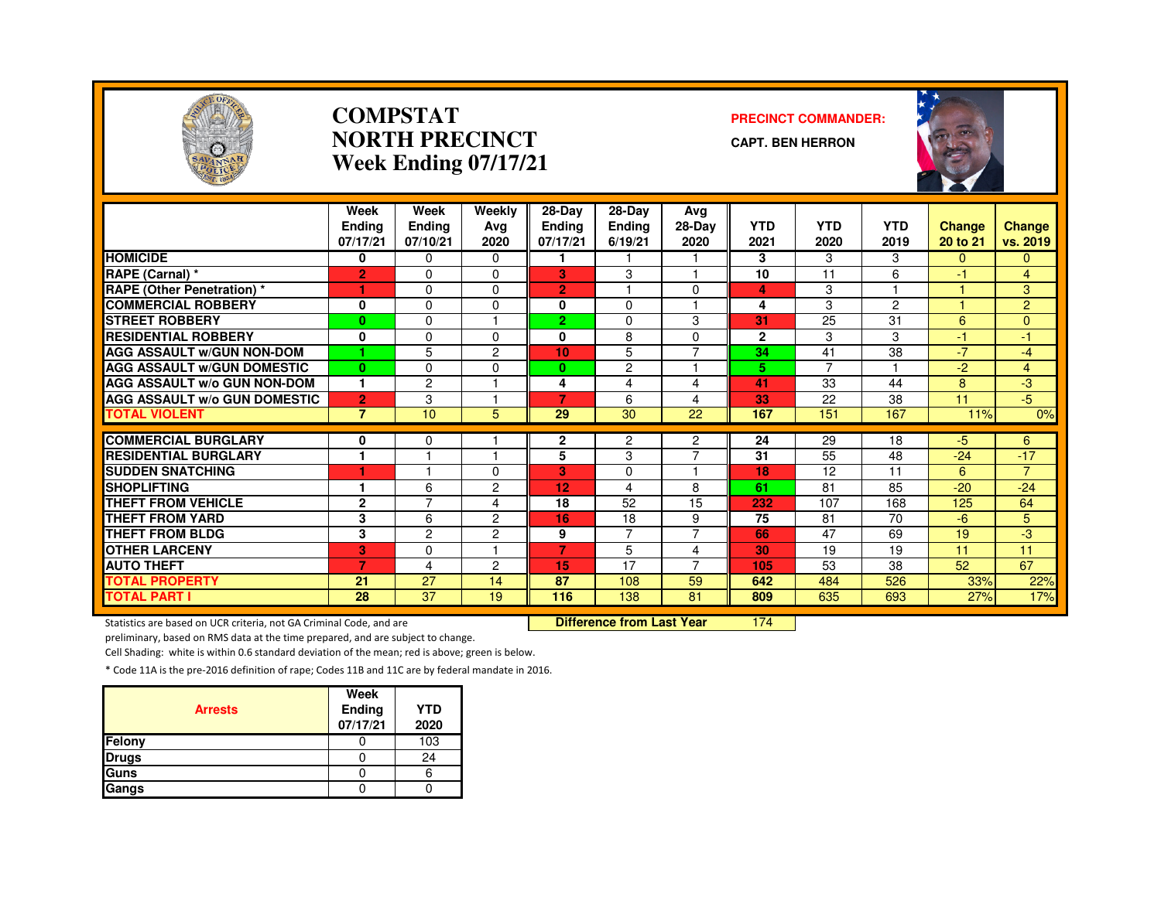

#### **COMPSTATNORTH PRECINCTWeek Ending 07/17/21**

#### **PRECINCT COMMANDER:**

**CAPT. BEN HERRON**



|                                     | Week<br><b>Endina</b><br>07/17/21 | Week<br><b>Ending</b><br>07/10/21 | Weekly<br>Avg<br>2020 | $28 - Day$<br><b>Ending</b><br>07/17/21 | 28-Day<br><b>Ending</b><br>6/19/21 | Avg<br>$28-Dav$<br>2020 | <b>YTD</b><br>2021 | <b>YTD</b><br>2020 | <b>YTD</b><br>2019 | <b>Change</b><br>20 to 21 | Change<br>vs. 2019 |
|-------------------------------------|-----------------------------------|-----------------------------------|-----------------------|-----------------------------------------|------------------------------------|-------------------------|--------------------|--------------------|--------------------|---------------------------|--------------------|
| <b>HOMICIDE</b>                     | 0                                 | $\Omega$                          | $\Omega$              |                                         |                                    |                         | 3                  | 3                  | 3                  | $\Omega$                  | $\Omega$           |
| RAPE (Carnal) *                     | $\overline{2}$                    | $\Omega$                          | $\Omega$              | 3                                       | 3                                  |                         | 10                 | 11                 | 6                  | $-1$                      | $\overline{4}$     |
| RAPE (Other Penetration) *          | 1                                 | $\Omega$                          | $\Omega$              | $\overline{2}$                          |                                    | $\Omega$                | 4                  | 3                  |                    |                           | 3                  |
| <b>COMMERCIAL ROBBERY</b>           | 0                                 | $\Omega$                          | 0                     | 0                                       | $\Omega$                           |                         | 4                  | 3                  | $\overline{2}$     |                           | $\overline{2}$     |
| <b>STREET ROBBERY</b>               | $\bf{0}$                          | $\Omega$                          |                       | 2                                       | $\mathbf 0$                        | 3                       | 31                 | 25                 | 31                 | 6                         | $\mathbf{0}$       |
| <b>RESIDENTIAL ROBBERY</b>          | 0                                 | $\Omega$                          | 0                     | 0                                       | 8                                  | $\Omega$                | $\mathbf{2}$       | 3                  | 3                  | $-1$                      | $-1$               |
| <b>AGG ASSAULT w/GUN NON-DOM</b>    | 1                                 | 5                                 | 2                     | 10                                      | 5                                  | $\overline{7}$          | 34                 | 41                 | 38                 | $-7$                      | $-4$               |
| <b>AGG ASSAULT W/GUN DOMESTIC</b>   | $\bf{0}$                          | $\Omega$                          | 0                     | $\bf{0}$                                | $\overline{c}$                     |                         | 5                  | $\overline{7}$     |                    | $-2$                      | $\overline{4}$     |
| <b>AGG ASSAULT W/o GUN NON-DOM</b>  | 1                                 | $\overline{2}$                    |                       | 4                                       | 4                                  | 4                       | 41                 | 33                 | 44                 | 8                         | -3                 |
| <b>AGG ASSAULT W/o GUN DOMESTIC</b> | $\overline{2}$                    | 3                                 |                       | 7                                       | 6                                  | 4                       | 33                 | 22                 | 38                 | 11                        | $-5$               |
| <b>TOTAL VIOLENT</b>                | $\overline{7}$                    | 10                                | 5                     | 29                                      | 30                                 | 22                      | 167                | 151                | 167                | 11%                       | 0%                 |
| <b>COMMERCIAL BURGLARY</b>          | 0                                 | $\mathbf 0$                       |                       | $\mathbf{2}$                            | $\overline{c}$                     | 2                       | 24                 | 29                 | 18                 | $-5$                      | 6                  |
| <b>RESIDENTIAL BURGLARY</b>         | 1                                 |                                   |                       | 5                                       | 3                                  | $\overline{7}$          | 31                 | 55                 | 48                 | $-24$                     | $-17$              |
| <b>SUDDEN SNATCHING</b>             | ٠                                 |                                   | 0                     | 3                                       | $\Omega$                           |                         | 18                 | 12                 | 11                 | 6                         | $\overline{7}$     |
| <b>SHOPLIFTING</b>                  | 1                                 | 6                                 | 2                     | 12                                      | 4                                  | 8                       | 61                 | 81                 | 85                 | $-20$                     | $-24$              |
| <b>THEFT FROM VEHICLE</b>           | $\mathbf{2}$                      | $\overline{ }$                    | 4                     | 18                                      | 52                                 | 15                      | 232                | 107                | 168                | 125                       | 64                 |
| <b>THEFT FROM YARD</b>              | 3                                 | 6                                 | 2                     | 16                                      | 18                                 | 9                       | 75                 | 81                 | 70                 | $-6$                      | 5                  |
| <b>THEFT FROM BLDG</b>              | 3                                 | $\overline{2}$                    | $\overline{c}$        | 9                                       | $\overline{7}$                     | $\overline{7}$          | 66                 | 47                 | 69                 | 19                        | $-3$               |
| <b>OTHER LARCENY</b>                | 3                                 | $\Omega$                          |                       | $\overline{7}$                          | 5                                  | 4                       | 30                 | 19                 | 19                 | 11                        | 11                 |
| <b>AUTO THEFT</b>                   | 7                                 | 4                                 | 2                     | 15                                      | 17                                 | $\overline{7}$          | 105                | 53                 | 38                 | 52                        | 67                 |
| <b>TOTAL PROPERTY</b>               | 21                                | 27                                | 14                    | 87                                      | 108                                | 59                      | 642                | 484                | 526                | 33%                       | 22%                |
| <b>TOTAL PART I</b>                 | $\overline{28}$                   | $\overline{37}$                   | 19                    | 116                                     | 138                                | 81                      | 809                | 635                | 693                | 27%                       | 17%                |

Statistics are based on UCR criteria, not GA Criminal Code, and are **Difference from Last Year** 

<sup>174</sup>

preliminary, based on RMS data at the time prepared, and are subject to change.

Cell Shading: white is within 0.6 standard deviation of the mean; red is above; green is below.

| <b>Arrests</b> | Week<br>Ending<br>07/17/21 | <b>YTD</b><br>2020 |
|----------------|----------------------------|--------------------|
| <b>Felony</b>  |                            | 103                |
| <b>Drugs</b>   |                            | 24                 |
| Guns           |                            |                    |
| Gangs          |                            |                    |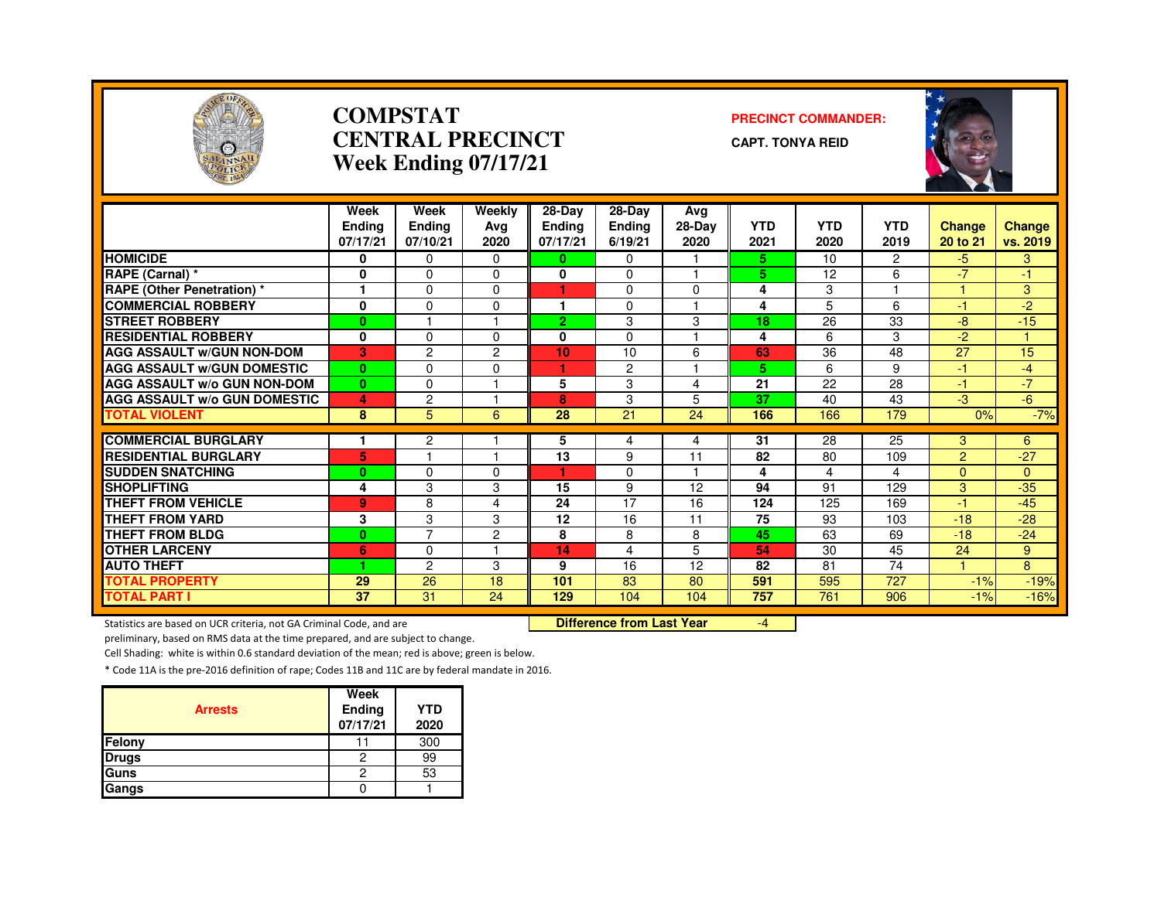

#### **COMPSTATCENTRAL PRECINCTWeek Ending 07/17/21**

#### **PRECINCT COMMANDER:**

**CAPT. TONYA REID**



|                                                           | Week           | Week           | Weekly         | $28-Day$      | 28-Day        | Avg      |            |            |                |                |                   |
|-----------------------------------------------------------|----------------|----------------|----------------|---------------|---------------|----------|------------|------------|----------------|----------------|-------------------|
|                                                           | <b>Ending</b>  | <b>Ending</b>  | Ava            | <b>Ending</b> | <b>Ending</b> | $28-Dav$ | <b>YTD</b> | <b>YTD</b> | <b>YTD</b>     | <b>Change</b>  | <b>Change</b>     |
|                                                           | 07/17/21       | 07/10/21       | 2020           | 07/17/21      | 6/19/21       | 2020     | 2021       | 2020       | 2019           | 20 to 21       | vs. 2019          |
| <b>HOMICIDE</b>                                           | 0              | $\Omega$       | 0              | 0             | $\Omega$      |          | 5.         | 10         | $\overline{2}$ | $-5$           | 3                 |
| RAPE (Carnal) *                                           | 0              | 0              | $\Omega$       | 0             | $\Omega$      |          | 5          | 12         | 6              | $-7$           | $-1$              |
| <b>RAPE (Other Penetration) *</b>                         | 1              | 0              | $\Omega$       | 1             | $\Omega$      | $\Omega$ | 4          | 3          |                |                | 3                 |
| <b>COMMERCIAL ROBBERY</b>                                 | 0              | 0              | $\Omega$       | 1             | $\Omega$      |          | 4          | 5          | 6              | 47             | $-2$              |
| <b>STREET ROBBERY</b>                                     | $\bf{0}$       |                |                | 2.            | 3             | 3        | 18         | 26         | 33             | $-8$           | $-15$             |
| <b>RESIDENTIAL ROBBERY</b>                                | 0              | $\Omega$       | $\Omega$       | 0             | $\Omega$      |          | 4          | 6          | 3              | $-2$           |                   |
| <b>AGG ASSAULT W/GUN NON-DOM</b>                          | 3              | $\overline{c}$ | $\overline{2}$ | 10            | 10            | 6        | 63         | 36         | 48             | 27             | 15                |
| <b>AGG ASSAULT w/GUN DOMESTIC</b>                         | $\mathbf{0}$   | 0              | $\Omega$       | 1.            | 2             |          | 5          | 6          | 9              | 47             | $-4$              |
| <b>AGG ASSAULT w/o GUN NON-DOM</b>                        | $\bf{0}$       | 0              |                | 5             | 3             | 4        | 21         | 22         | 28             | -1             | $-7$              |
| <b>AGG ASSAULT W/o GUN DOMESTIC</b>                       | 4              | $\overline{c}$ |                | 8             | 3             | 5        | 37         | 40         | 43             | -3             | $-6$              |
| <b>TOTAL VIOLENT</b>                                      | 8              | 5              | 6              | 28            | 21            | 24       | 166        | 166        | 179            | 0%             | $-7%$             |
|                                                           |                |                |                |               |               |          |            |            | 25             |                |                   |
| <b>COMMERCIAL BURGLARY</b><br><b>RESIDENTIAL BURGLARY</b> |                | 2              |                | 5             | 4             | 4<br>11  | 31         | 28         |                | 3              | 6                 |
|                                                           | 5              |                |                | 13            | 9             |          | 82         | 80         | 109            | $\overline{2}$ | $-27$             |
| <b>SUDDEN SNATCHING</b><br><b>SHOPLIFTING</b>             | $\bf{0}$       | 0<br>3         | $\Omega$<br>3  | 15            | $\Omega$<br>9 | 12       | 4<br>94    | 4<br>91    | 4<br>129       | $\Omega$<br>3  | $\Omega$<br>$-35$ |
| <b>THEFT FROM VEHICLE</b>                                 | 4              |                |                |               | 17            |          |            |            |                | 47             |                   |
| <b>THEFT FROM YARD</b>                                    | $\overline{9}$ | 8<br>3         | 4              | 24<br>12      | 16            | 16<br>11 | 124<br>75  | 125<br>93  | 169<br>103     | $-18$          | $-45$<br>$-28$    |
|                                                           | 3              | $\overline{7}$ | 3              |               |               |          |            |            |                |                |                   |
| <b>THEFT FROM BLDG</b>                                    | $\bf{0}$       |                | $\overline{2}$ | 8             | 8             | 8        | 45         | 63         | 69             | $-18$          | $-24$             |
| <b>OTHER LARCENY</b>                                      | 6              | 0              |                | 14            | 4             | 5        | 54         | 30         | 45             | 24             | 9                 |
| <b>AUTO THEFT</b>                                         |                | $\overline{c}$ | 3              | 9             | 16            | 12       | 82         | 81         | 74             |                | 8                 |
| <b>TOTAL PROPERTY</b>                                     | 29             | 26             | 18             | 101           | 83            | 80       | 591        | 595        | 727            | $-1%$          | $-19%$            |
| <b>TOTAL PART I</b>                                       | 37             | 31             | 24             | 129           | 104           | 104      | 757        | 761        | 906            | $-1%$          | $-16%$            |

Statistics are based on UCR criteria, not GA Criminal Code, and are **Difference from Last Year** 

-4

preliminary, based on RMS data at the time prepared, and are subject to change.

Cell Shading: white is within 0.6 standard deviation of the mean; red is above; green is below.

| <b>Arrests</b> | Week<br>Ending<br>07/17/21 | <b>YTD</b><br>2020 |
|----------------|----------------------------|--------------------|
| Felony         |                            | 300                |
| <b>Drugs</b>   | 2                          | 99                 |
| Guns           | 2                          | 53                 |
| Gangs          |                            |                    |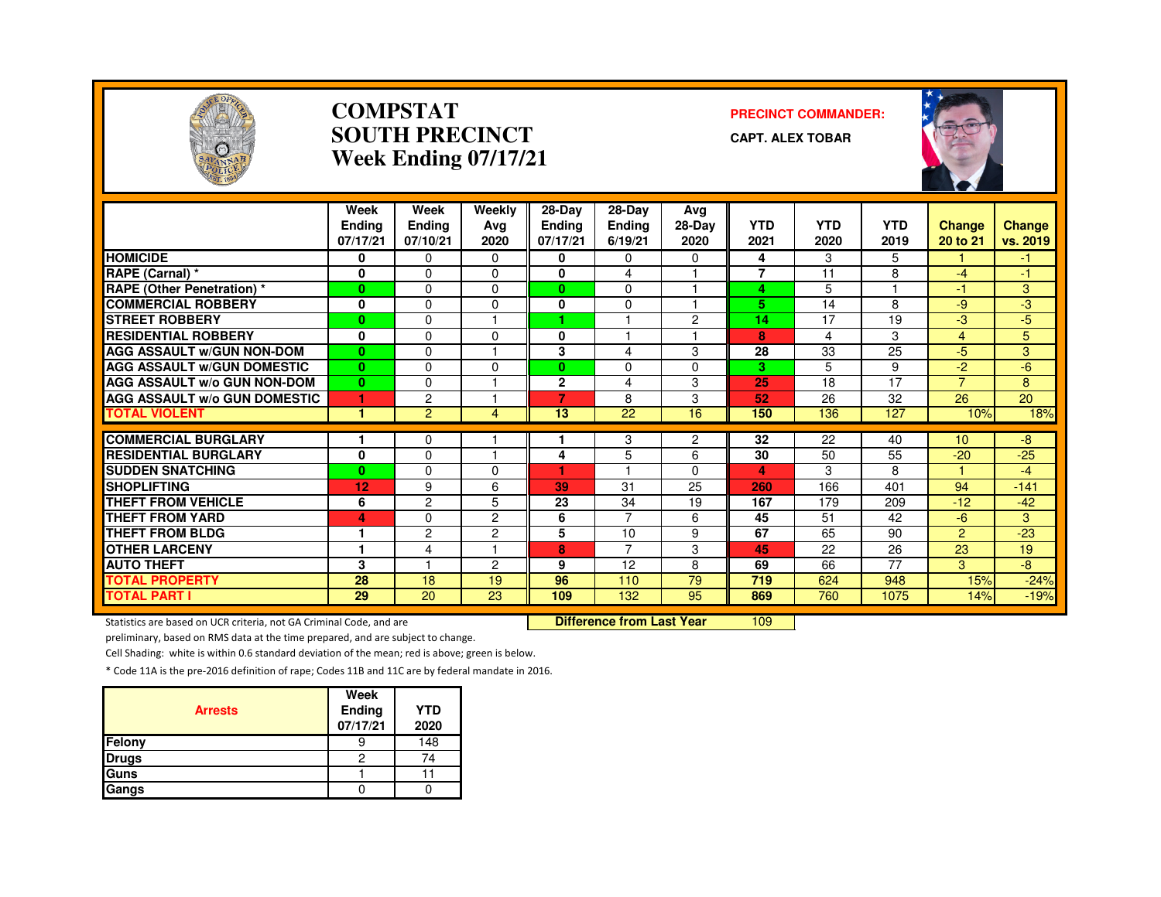

#### **COMPSTATSOUTH PRECINCTWeek Ending 07/17/21**

#### **PRECINCT COMMANDER:**

**CAPT. ALEX TOBAR**



|                                                     | Week                      | Week               | Weekly              | $28-Dav$                  | $28-Dav$                 | Avg            |                    |                    |                    |                           |                           |
|-----------------------------------------------------|---------------------------|--------------------|---------------------|---------------------------|--------------------------|----------------|--------------------|--------------------|--------------------|---------------------------|---------------------------|
|                                                     | <b>Endina</b><br>07/17/21 | Endina<br>07/10/21 | Ava<br>2020         | <b>Endina</b><br>07/17/21 | <b>Ending</b><br>6/19/21 | 28-Day<br>2020 | <b>YTD</b><br>2021 | <b>YTD</b><br>2020 | <b>YTD</b><br>2019 | <b>Change</b><br>20 to 21 | <b>Change</b><br>vs. 2019 |
| <b>HOMICIDE</b>                                     | 0                         | 0                  | $\Omega$            | 0                         | 0                        | $\Omega$       | 4                  | 3                  | 5                  |                           | $-1$                      |
| RAPE (Carnal) *                                     | 0                         | $\Omega$           | 0                   | 0                         | 4                        |                | $\overline{7}$     | 11                 | 8                  | -4                        | $-1$                      |
| <b>RAPE (Other Penetration) *</b>                   | $\bf{0}$                  | $\Omega$           | 0                   | $\bf{0}$                  | $\Omega$                 |                | 4                  | 5                  |                    | -1                        | 3                         |
| <b>COMMERCIAL ROBBERY</b>                           | 0                         | $\Omega$           | 0                   | 0                         | $\Omega$                 |                | 5                  | 14                 | 8                  | -9                        | -3                        |
| <b>STREET ROBBERY</b>                               | $\bf{0}$                  | $\Omega$           |                     | 4                         |                          | $\overline{c}$ | 14                 | 17                 | 19                 | -3                        | $-5$                      |
| <b>RESIDENTIAL ROBBERY</b>                          | $\mathbf{0}$              | $\Omega$           | $\Omega$            | $\mathbf{0}$              |                          |                | 8                  | 4                  | 3                  | 4                         | 5                         |
| <b>AGG ASSAULT W/GUN NON-DOM</b>                    | $\bf{0}$                  | $\Omega$           | и                   | 3                         | 4                        | 3              | 28                 | 33                 | 25                 | $-5$                      | 3                         |
| <b>AGG ASSAULT W/GUN DOMESTIC</b>                   | $\mathbf{0}$              | $\Omega$           | $\Omega$            | 0                         | $\Omega$                 | $\Omega$       | 3                  | 5                  | 9                  | $-2$                      | $-6$                      |
| <b>AGG ASSAULT W/o GUN NON-DOM</b>                  | $\bf{0}$                  | $\Omega$           |                     | $\overline{2}$            | 4                        | 3              | 25                 | 18                 | 17                 | $\overline{7}$            | 8                         |
| <b>AGG ASSAULT w/o GUN DOMESTIC</b>                 |                           | 2                  |                     | 7                         | 8                        | 3              | 52                 | 26                 | 32                 | 26                        | 20                        |
| <b>TOTAL VIOLENT</b>                                | 1                         | $\overline{2}$     | 4                   | 13                        | 22                       | 16             | 150                | 136                | 127                | 10%                       | 18%                       |
| <b>COMMERCIAL BURGLARY</b>                          |                           |                    |                     |                           |                          |                | 32                 | 22                 | 40                 | 10                        |                           |
| <b>RESIDENTIAL BURGLARY</b>                         |                           | 0<br>$\Omega$      | н                   |                           | 3                        | $\overline{c}$ | 30                 | 50                 | 55                 | $-20$                     | $-8$<br>$-25$             |
|                                                     | 0                         |                    |                     | 4                         | 5                        | 6              |                    |                    |                    | 4                         |                           |
| <b>ISUDDEN SNATCHING</b><br><b>SHOPLIFTING</b>      | $\bf{0}$                  | $\Omega$           | $\Omega$            | 39                        | 31                       | $\Omega$       | 4<br>260           | 3                  | 8<br>401           | 94                        | $-4$<br>$-141$            |
|                                                     | 12                        | 9<br>$\mathcal{P}$ | 6                   |                           |                          | 25             |                    | 166                |                    |                           |                           |
| <b>THEFT FROM VEHICLE</b><br><b>THEFT FROM YARD</b> | 6                         |                    | 5                   | 23                        | 34<br>$\overline{7}$     | 19             | 167                | 179<br>51          | 209                | $-12$                     | $-42$                     |
|                                                     | 4<br>и                    | $\Omega$           | $\overline{2}$      | 6                         |                          | 6              | 45                 |                    | 42                 | $-6$                      | 3                         |
| <b>THEFT FROM BLDG</b>                              |                           | $\overline{c}$     | $\overline{2}$<br>н | 5                         | 10<br>$\overline{7}$     | 9              | 67                 | 65                 | 90                 | $\overline{2}$            | $-23$                     |
| <b>OTHER LARCENY</b>                                | 1                         | 4                  |                     | 8                         |                          | 3              | 45                 | 22                 | 26                 | 23                        | 19                        |
| <b>AUTO THEFT</b>                                   | 3                         |                    | $\overline{c}$      | 9                         | 12                       | 8              | 69                 | 66                 | 77                 | 3                         | -8                        |
| <b>TOTAL PROPERTY</b>                               | 28                        | 18                 | 19                  | 96                        | 110                      | 79             | 719                | 624                | 948                | 15%                       | $-24%$                    |
| <b>TOTAL PART I</b>                                 | 29                        | 20                 | 23                  | 109                       | 132                      | 95             | 869                | 760                | 1075               | 14%                       | $-19%$                    |

Statistics are based on UCR criteria, not GA Criminal Code, and are **Difference from Last Year** 

<sup>109</sup>

preliminary, based on RMS data at the time prepared, and are subject to change.

Cell Shading: white is within 0.6 standard deviation of the mean; red is above; green is below.

| <b>Arrests</b> | Week<br>Ending<br>07/17/21 | <b>YTD</b><br>2020 |
|----------------|----------------------------|--------------------|
| Felony         |                            | 148                |
| <b>Drugs</b>   | 2                          | 74                 |
| Guns           |                            |                    |
| Gangs          |                            |                    |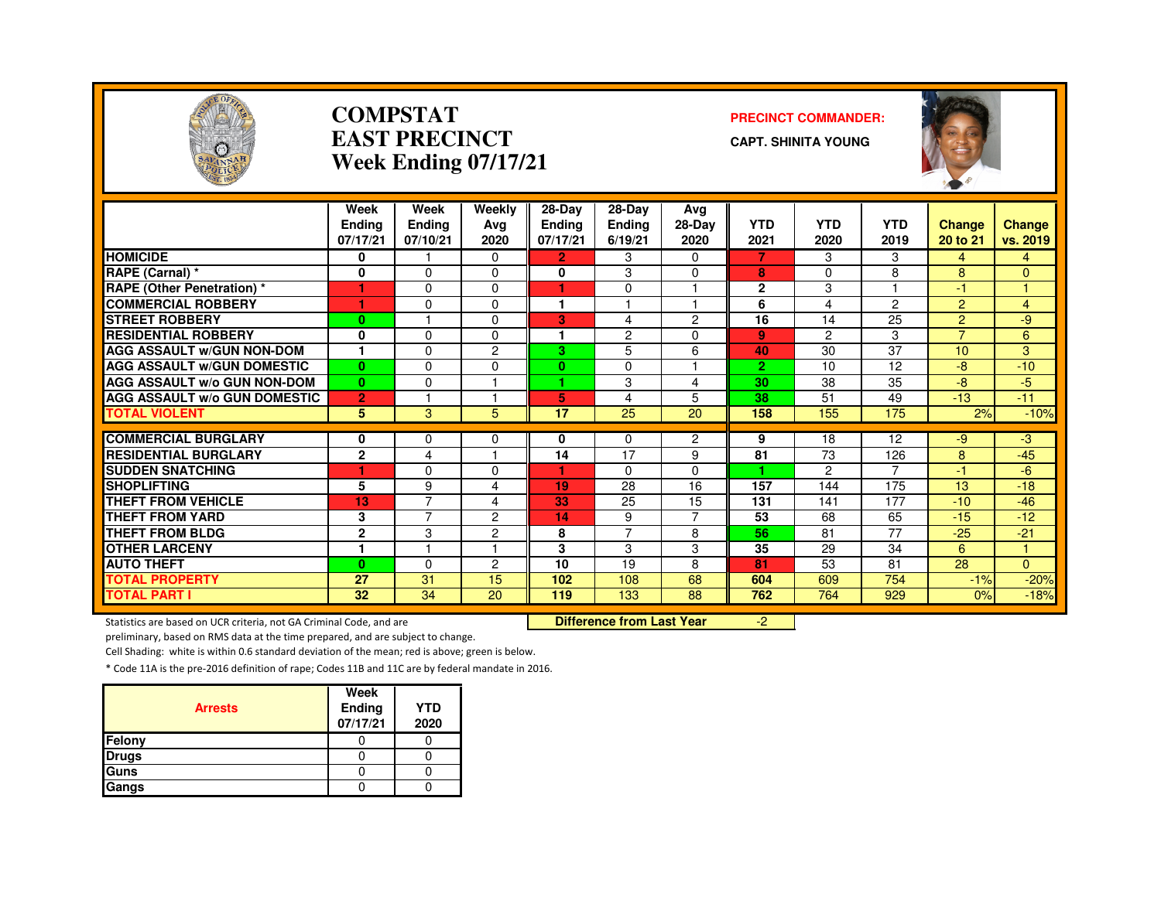

#### **COMPSTATEAST PRECINCTWeek Ending 07/17/21**

#### **PRECINCT COMMANDER:**

**CAPT. SHINITA YOUNG**



|                                     | Week           | Week                    | Weekly                  | 28-Day               | 28-Day         | Avg            |                |                |                |                |                |
|-------------------------------------|----------------|-------------------------|-------------------------|----------------------|----------------|----------------|----------------|----------------|----------------|----------------|----------------|
|                                     | <b>Endina</b>  | <b>Ending</b>           | Avg                     | <b>Ending</b>        | <b>Ending</b>  | 28-Day         | <b>YTD</b>     | <b>YTD</b>     | <b>YTD</b>     | <b>Change</b>  | <b>Change</b>  |
|                                     | 07/17/21       | 07/10/21                | 2020                    | 07/17/21             | 6/19/21        | 2020           | 2021           | 2020           | 2019           | 20 to 21       | vs. 2019       |
| <b>HOMICIDE</b>                     | 0              |                         | $\Omega$                | $\overline{2}$       | 3              | $\Omega$       | 7              | 3              | 3              | $\overline{4}$ | 4              |
| RAPE (Carnal) *                     | 0              | $\Omega$                | 0                       | 0                    | 3              | 0              | 8              | $\Omega$       | 8              | 8              | $\Omega$       |
| <b>RAPE (Other Penetration)</b> *   |                | $\Omega$                | $\Omega$                | ٠                    | 0              |                | $\mathbf{2}$   | 3              |                | 41             |                |
| <b>COMMERCIAL ROBBERY</b>           |                | 0                       | $\Omega$                | 1                    |                |                | 6              | 4              | 2              | 2              | $\overline{4}$ |
| <b>STREET ROBBERY</b>               | $\bf{0}$       |                         | $\Omega$                | 3                    | 4              | $\overline{2}$ | 16             | 14             | 25             | 2              | -9             |
| <b>RESIDENTIAL ROBBERY</b>          | 0              | $\Omega$                | $\Omega$                | $\blacktriangleleft$ | 2              | $\Omega$       | 9              | $\overline{c}$ | 3              | $\overline{ }$ | 6              |
| <b>AGG ASSAULT W/GUN NON-DOM</b>    | 1              | 0                       | 2                       | 3.                   | 5              | 6              | 40             | 30             | 37             | 10             | 3              |
| <b>AGG ASSAULT W/GUN DOMESTIC</b>   | $\mathbf{0}$   | $\Omega$                | 0                       | $\mathbf{0}$         | 0              |                | $\overline{2}$ | 10             | 12             | $-8$           | $-10$          |
| <b>AGG ASSAULT w/o GUN NON-DOM</b>  | $\mathbf{0}$   | $\Omega$                |                         | ٠                    | 3              | 4              | 30             | 38             | 35             | -8             | $-5$           |
| <b>AGG ASSAULT w/o GUN DOMESTIC</b> | $\overline{2}$ |                         |                         | 5                    | 4              | 5              | 38             | 51             | 49             | $-13$          | $-11$          |
| <b>TOTAL VIOLENT</b>                | 5              | 3                       | 5                       | 17                   | 25             | 20             | 158            | 155            | 175            | 2%             | $-10%$         |
| <b>COMMERCIAL BURGLARY</b>          | 0              | 0                       | 0                       | 0                    | 0              | $\overline{2}$ | 9              | 18             | 12             | -9             | -3             |
| <b>RESIDENTIAL BURGLARY</b>         | $\mathbf{2}$   | 4                       | $\overline{\mathbf{1}}$ | 14                   | 17             | 9              | 81             | 73             | 126            | 8              | $-45$          |
| <b>SUDDEN SNATCHING</b>             |                | $\Omega$                | 0                       |                      | 0              | $\Omega$       |                | 2              | $\overline{7}$ | -1             | -6             |
| <b>SHOPLIFTING</b>                  | 5              | 9                       | $\overline{4}$          | 19                   | 28             | 16             | 157            | 144            | 175            | 13             | $-18$          |
| <b>THEFT FROM VEHICLE</b>           | 13             | 7                       | $\overline{4}$          | 33                   | 25             | 15             | 131            | 141            | 177            | $-10$          | $-46$          |
| <b>THEFT FROM YARD</b>              | 3              | $\overline{\mathbf{z}}$ | 2                       | 14                   | 9              | $\overline{7}$ | 53             | 68             | 65             | $-15$          | $-12$          |
| <b>THEFT FROM BLDG</b>              | $\mathbf{2}$   | 3                       | 2                       | 8                    | $\overline{7}$ | 8              | 56             | 81             | 77             | $-25$          | $-21$          |
| <b>OTHER LARCENY</b>                | 1              |                         | -1                      | 3                    | 3              | 3              | 35             | 29             | 34             | 6              |                |
| <b>AUTO THEFT</b>                   | $\bf{0}$       | 0                       | $\overline{c}$          | 10                   | 19             | 8              | 81             | 53             | 81             | 28             | $\Omega$       |
| <b>TOTAL PROPERTY</b>               | 27             | 31                      | 15                      | 102                  | 108            | 68             | 604            | 609            | 754            | $-1%$          | $-20%$         |
| <b>TOTAL PART I</b>                 | 32             | 34                      | 20                      | 119                  | 133            | 88             | 762            | 764            | 929            | 0%             | $-18%$         |

Statistics are based on UCR criteria, not GA Criminal Code, and are **Difference from Last Year** 

-2

preliminary, based on RMS data at the time prepared, and are subject to change.

Cell Shading: white is within 0.6 standard deviation of the mean; red is above; green is below.

| <b>Arrests</b> | Week<br>Ending<br>07/17/21 | <b>YTD</b><br>2020 |
|----------------|----------------------------|--------------------|
| Felony         |                            |                    |
| <b>Drugs</b>   |                            |                    |
| Guns           |                            |                    |
| Gangs          |                            |                    |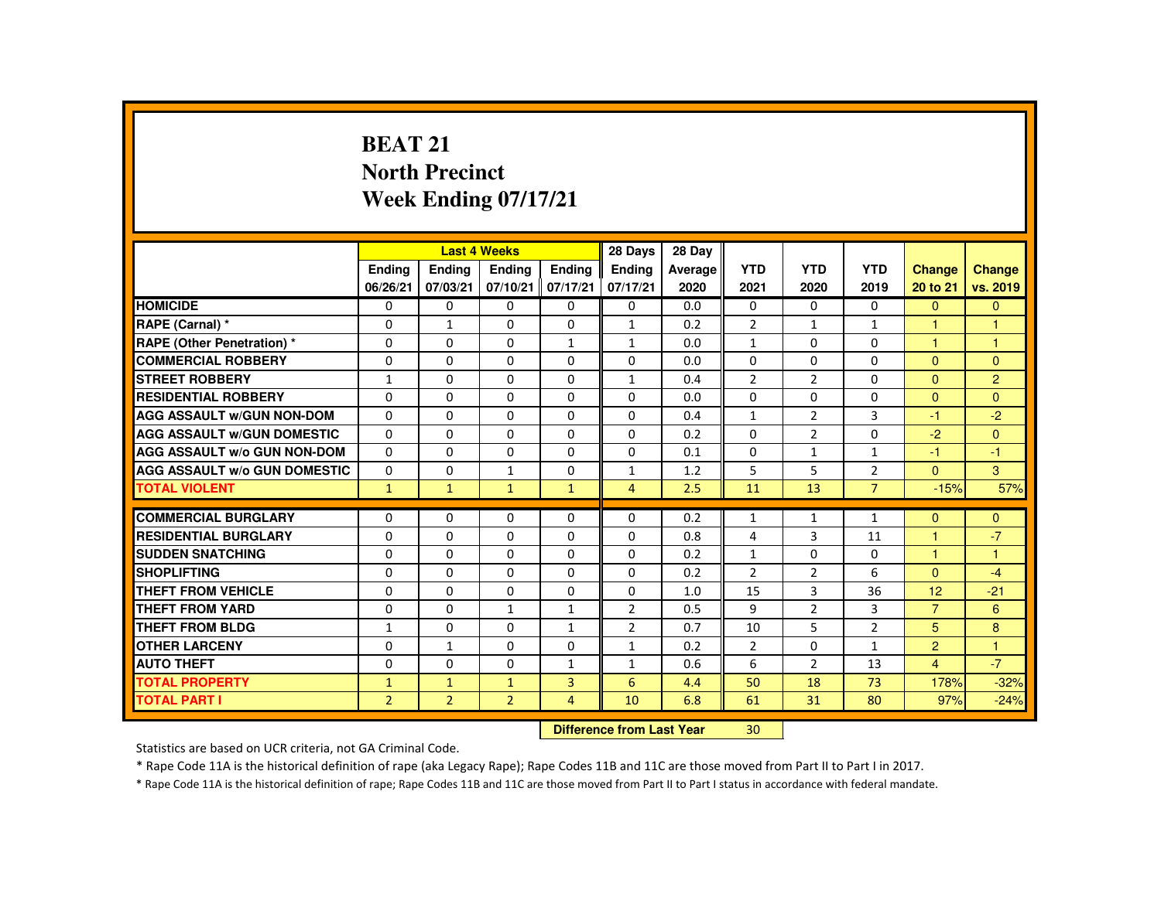# **BEAT 21 North PrecinctWeek Ending 07/17/21**

|                                     |                |                           | <b>Last 4 Weeks</b> |                | 28 Days        | 28 Day  |                |                |                |                |                |
|-------------------------------------|----------------|---------------------------|---------------------|----------------|----------------|---------|----------------|----------------|----------------|----------------|----------------|
|                                     | <b>Endina</b>  | <b>Endina</b>             | <b>Endina</b>       | <b>Endina</b>  | <b>Endina</b>  | Average | <b>YTD</b>     | <b>YTD</b>     | <b>YTD</b>     | <b>Change</b>  | <b>Change</b>  |
|                                     | 06/26/21       | 07/03/21                  | 07/10/21            | 07/17/21       | 07/17/21       | 2020    | 2021           | 2020           | 2019           | 20 to 21       | vs. 2019       |
| <b>HOMICIDE</b>                     | $\Omega$       | 0                         | $\Omega$            | 0              | 0              | 0.0     | $\Omega$       | $\Omega$       | $\Omega$       | $\Omega$       | $\overline{0}$ |
| RAPE (Carnal) *                     | 0              | $\mathbf{1}$              | $\Omega$            | $\Omega$       | $\mathbf{1}$   | 0.2     | $\overline{2}$ | 1              | $\mathbf{1}$   |                |                |
| <b>RAPE (Other Penetration) *</b>   | $\Omega$       | $\Omega$                  | $\Omega$            | $\mathbf{1}$   | $\mathbf{1}$   | 0.0     | $\mathbf{1}$   | $\Omega$       | $\Omega$       | $\overline{1}$ | $\overline{1}$ |
| <b>COMMERCIAL ROBBERY</b>           | $\Omega$       | $\Omega$                  | $\Omega$            | $\Omega$       | $\Omega$       | 0.0     | $\Omega$       | $\Omega$       | $\Omega$       | $\Omega$       | $\Omega$       |
| <b>STREET ROBBERY</b>               | $\mathbf{1}$   | $\Omega$                  | $\Omega$            | $\Omega$       | $\mathbf{1}$   | 0.4     | $\overline{2}$ | $\overline{2}$ | $\Omega$       | $\Omega$       | $\overline{2}$ |
| <b>RESIDENTIAL ROBBERY</b>          | $\Omega$       | 0                         | $\Omega$            | 0              | $\Omega$       | 0.0     | $\Omega$       | $\Omega$       | $\Omega$       | $\Omega$       | $\Omega$       |
| <b>AGG ASSAULT W/GUN NON-DOM</b>    | $\Omega$       | $\Omega$                  | $\Omega$            | $\Omega$       | $\Omega$       | 0.4     | $\mathbf{1}$   | $\overline{2}$ | 3              | $-1$           | $-2$           |
| <b>AGG ASSAULT W/GUN DOMESTIC</b>   | $\Omega$       | $\Omega$                  | $\Omega$            | $\Omega$       | $\Omega$       | 0.2     | $\Omega$       | $\overline{2}$ | $\Omega$       | $-2$           | $\Omega$       |
| <b>AGG ASSAULT W/o GUN NON-DOM</b>  | $\Omega$       | $\Omega$                  | $\Omega$            | $\Omega$       | $\Omega$       | 0.1     | $\Omega$       | $\mathbf{1}$   | $\mathbf{1}$   | $-1$           | $-1$           |
| <b>AGG ASSAULT W/o GUN DOMESTIC</b> | $\Omega$       | $\Omega$                  | 1                   | $\Omega$       | 1              | 1.2     | 5              | 5              | $\overline{2}$ | $\mathbf{0}$   | 3              |
| <b>TOTAL VIOLENT</b>                | $\mathbf{1}$   | $\mathbf{1}$              | $\mathbf{1}$        | $\mathbf{1}$   | $\overline{4}$ | 2.5     | 11             | 13             | $\overline{7}$ | $-15%$         | 57%            |
| <b>COMMERCIAL BURGLARY</b>          | $\Omega$       | $\Omega$                  | $\Omega$            | $\Omega$       | $\Omega$       | 0.2     | $\mathbf{1}$   | $\mathbf{1}$   | $\mathbf{1}$   | $\Omega$       | $\Omega$       |
| <b>RESIDENTIAL BURGLARY</b>         | $\Omega$       | $\Omega$                  | $\Omega$            | $\Omega$       | $\Omega$       | 0.8     | 4              | 3              | 11             |                | $-7$           |
| <b>SUDDEN SNATCHING</b>             | 0              | 0                         | $\Omega$            | $\Omega$       | $\Omega$       | 0.2     | $\mathbf{1}$   | $\Omega$       | 0              | $\mathbf{1}$   | $\overline{1}$ |
| <b>SHOPLIFTING</b>                  | $\Omega$       | $\Omega$                  | $\Omega$            | $\Omega$       | $\Omega$       | 0.2     | $\overline{2}$ | $\overline{2}$ | 6              | $\Omega$       | $-4$           |
| <b>THEFT FROM VEHICLE</b>           | $\Omega$       | $\Omega$                  | $\Omega$            | $\Omega$       | $\Omega$       | 1.0     | 15             | $\overline{3}$ | 36             | 12             | $-21$          |
| <b>THEFT FROM YARD</b>              | $\Omega$       | $\Omega$                  | $\mathbf{1}$        | $\mathbf{1}$   | $\overline{2}$ | 0.5     | 9              | $\overline{2}$ | 3              | $\overline{7}$ | 6              |
| THEFT FROM BLDG                     | $\mathbf{1}$   | $\Omega$                  | $\Omega$            | $\mathbf{1}$   | $\overline{2}$ | 0.7     | 10             | 5              | $\overline{2}$ | 5              | 8              |
| <b>OTHER LARCENY</b>                | $\Omega$       | $\mathbf{1}$              | $\Omega$            | 0              | $\mathbf{1}$   | 0.2     | $\overline{2}$ | $\Omega$       | $\mathbf{1}$   | 2              | $\overline{1}$ |
| <b>AUTO THEFT</b>                   | $\Omega$       | $\Omega$                  | $\Omega$            | $\mathbf{1}$   | $\mathbf{1}$   | 0.6     | 6              | $\overline{2}$ | 13             | $\overline{4}$ | $-7$           |
| <b>TOTAL PROPERTY</b>               | $\mathbf{1}$   | $\mathbf{1}$              | $\mathbf{1}$        | $\overline{3}$ | 6              | 4.4     | 50             | 18             | 73             | 178%           | $-32%$         |
| <b>TOTAL PART I</b>                 | $\overline{2}$ | $\overline{2}$            | $\overline{2}$      | $\overline{4}$ | 10             | 6.8     | 61             | 31             | 80             | 97%            | $-24%$         |
|                                     |                | Difference from Last Vear |                     | 20             |                |         |                |                |                |                |                |

 **Difference from Last Year**<mark>r 30</mark>

Statistics are based on UCR criteria, not GA Criminal Code.

\* Rape Code 11A is the historical definition of rape (aka Legacy Rape); Rape Codes 11B and 11C are those moved from Part II to Part I in 2017.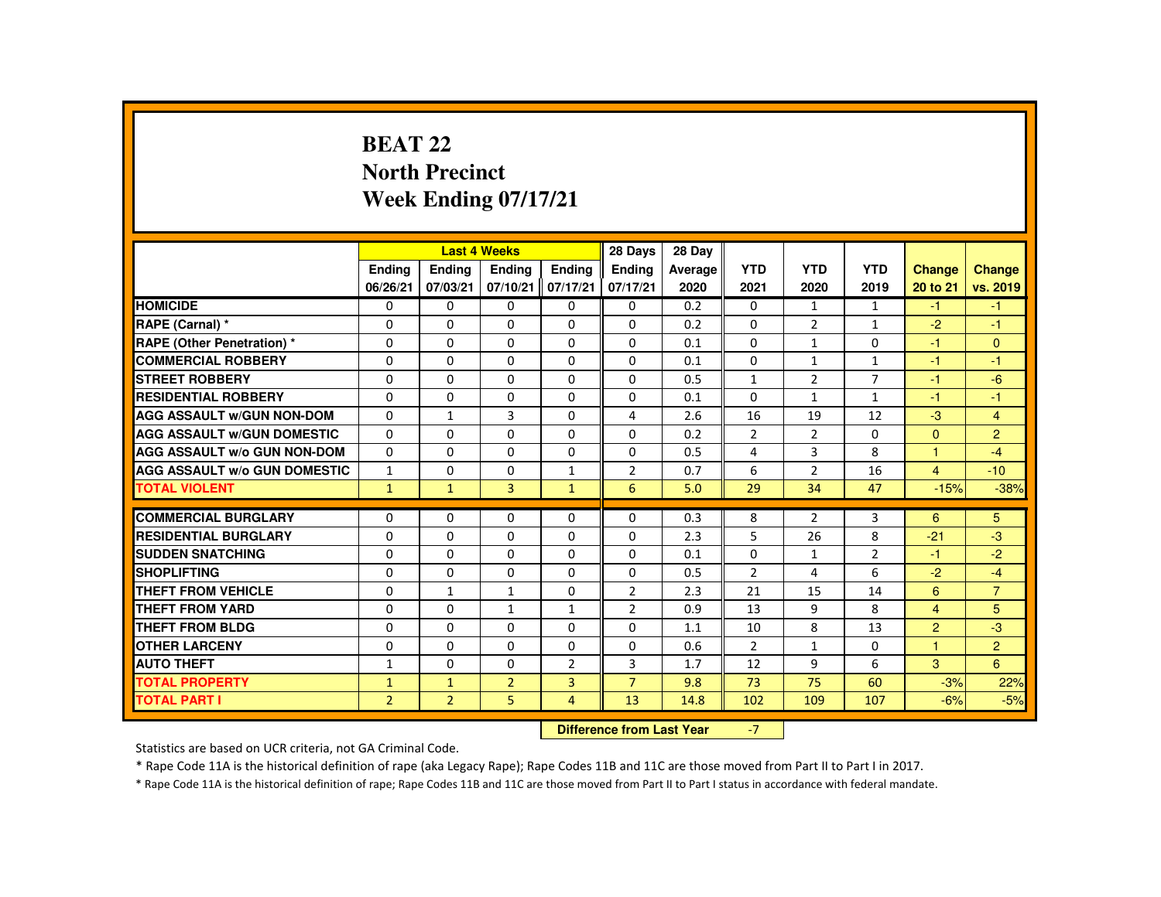# **BEAT 22 North PrecinctWeek Ending 07/17/21**

|                                     |                           |                | <b>Last 4 Weeks</b> |                | 28 Days        | 28 Day  |                |                |                |                |                |
|-------------------------------------|---------------------------|----------------|---------------------|----------------|----------------|---------|----------------|----------------|----------------|----------------|----------------|
|                                     | Ending                    | Ending         | Ending              | <b>Endina</b>  | <b>Endina</b>  | Average | <b>YTD</b>     | <b>YTD</b>     | <b>YTD</b>     | <b>Change</b>  | Change         |
|                                     | 06/26/21                  | 07/03/21       | 07/10/21            | 07/17/21       | 07/17/21       | 2020    | 2021           | 2020           | 2019           | 20 to 21       | vs. 2019       |
| <b>HOMICIDE</b>                     | 0                         | $\Omega$       | $\Omega$            | $\Omega$       | 0              | 0.2     | 0              | $\mathbf{1}$   | $\mathbf{1}$   | $-1$           | $-1$           |
| RAPE (Carnal) *                     | $\Omega$                  | $\Omega$       | $\Omega$            | $\Omega$       | 0              | 0.2     | 0              | $\overline{2}$ | $\mathbf{1}$   | $-2$           | $-1$           |
| <b>RAPE (Other Penetration) *</b>   | $\mathbf{0}$              | $\Omega$       | $\mathbf{0}$        | $\Omega$       | 0              | 0.1     | $\Omega$       | 1              | $\Omega$       | $-1$           | $\mathbf{0}$   |
| <b>COMMERCIAL ROBBERY</b>           | $\mathbf{0}$              | $\Omega$       | $\Omega$            | $\Omega$       | $\Omega$       | 0.1     | $\Omega$       | $\mathbf{1}$   | $\mathbf{1}$   | $-1$           | $-1$           |
| <b>STREET ROBBERY</b>               | $\Omega$                  | $\Omega$       | $\Omega$            | $\Omega$       | $\Omega$       | 0.5     | $\mathbf{1}$   | $\overline{2}$ | $\overline{7}$ | $-1$           | $-6$           |
| <b>RESIDENTIAL ROBBERY</b>          | $\mathbf{0}$              | $\Omega$       | $\mathbf{0}$        | 0              | 0              | 0.1     | $\Omega$       | 1              | $\mathbf{1}$   | -1             | $-1$           |
| <b>AGG ASSAULT W/GUN NON-DOM</b>    | $\mathbf{0}$              | $\mathbf{1}$   | 3                   | $\Omega$       | 4              | 2.6     | 16             | 19             | 12             | $-3$           | $\overline{4}$ |
| <b>AGG ASSAULT W/GUN DOMESTIC</b>   | $\Omega$                  | $\Omega$       | $\Omega$            | $\Omega$       | $\Omega$       | 0.2     | $\overline{2}$ | $\overline{2}$ | $\Omega$       | $\mathbf{0}$   | $\overline{2}$ |
| <b>AGG ASSAULT W/o GUN NON-DOM</b>  | $\Omega$                  | $\Omega$       | $\Omega$            | $\Omega$       | $\Omega$       | 0.5     | 4              | $\overline{3}$ | 8              | $\mathbf{1}$   | $-4$           |
| <b>AGG ASSAULT W/o GUN DOMESTIC</b> | $\mathbf{1}$              | $\Omega$       | $\mathbf{0}$        | 1              | 2              | 0.7     | 6              | 2              | 16             | $\overline{4}$ | $-10$          |
| <b>TOTAL VIOLENT</b>                | $\mathbf{1}$              | $\mathbf{1}$   | $\overline{3}$      | $\mathbf{1}$   | 6              | 5.0     | 29             | 34             | 47             | $-15%$         | $-38%$         |
| <b>COMMERCIAL BURGLARY</b>          | $\Omega$                  | $\Omega$       | $\Omega$            | $\Omega$       | $\Omega$       | 0.3     | 8              | $\overline{2}$ | 3              | 6              | 5              |
| <b>RESIDENTIAL BURGLARY</b>         | $\Omega$                  | $\Omega$       | $\Omega$            | $\Omega$       | $\Omega$       | 2.3     | 5              | 26             | 8              | $-21$          | $-3$           |
| <b>SUDDEN SNATCHING</b>             | $\Omega$                  | $\Omega$       | $\Omega$            | $\Omega$       | $\Omega$       | 0.1     | $\Omega$       | $\mathbf{1}$   | $\overline{2}$ | -1             | $-2$           |
| <b>SHOPLIFTING</b>                  | $\Omega$                  | $\Omega$       | $\Omega$            | $\Omega$       | 0              | 0.5     | $\overline{2}$ | 4              | 6              | $-2$           | $-4$           |
| <b>THEFT FROM VEHICLE</b>           | $\Omega$                  | $\mathbf{1}$   | $\mathbf{1}$        | $\Omega$       | $\overline{2}$ | 2.3     | 21             | 15             | 14             | 6              | $\overline{7}$ |
| <b>THEFT FROM YARD</b>              | $\Omega$                  | $\Omega$       | $\mathbf{1}$        | $\mathbf{1}$   | 2              | 0.9     | 13             | 9              | 8              | $\overline{4}$ | 5              |
| THEFT FROM BLDG                     | $\mathbf{0}$              | $\Omega$       | $\Omega$            | $\Omega$       | $\Omega$       | 1.1     | 10             | 8              | 13             | $\overline{2}$ | $-3$           |
| <b>OTHER LARCENY</b>                | $\Omega$                  | $\Omega$       | $\Omega$            | $\Omega$       | $\Omega$       | 0.6     | $\overline{2}$ | $\mathbf{1}$   | $\Omega$       | 1              | $\overline{2}$ |
| <b>AUTO THEFT</b>                   | $\mathbf{1}$              | $\Omega$       | $\Omega$            | $\overline{2}$ | 3              | 1.7     | 12             | 9              | 6              | 3              | 6              |
| <b>TOTAL PROPERTY</b>               | $\mathbf{1}$              | $\mathbf{1}$   | $\overline{2}$      | $\overline{3}$ | $\overline{7}$ | 9.8     | 73             | 75             | 60             | $-3%$          | 22%            |
| <b>TOTAL PART I</b>                 | $\overline{2}$            | $\overline{2}$ | 5                   | $\overline{4}$ | 13             | 14.8    | 102            | 109            | 107            | $-6%$          | $-5%$          |
|                                     | Difference from Loot Voor |                |                     |                |                |         | $\overline{ }$ |                |                |                |                |

 **Difference from Last Year**r -7

Statistics are based on UCR criteria, not GA Criminal Code.

\* Rape Code 11A is the historical definition of rape (aka Legacy Rape); Rape Codes 11B and 11C are those moved from Part II to Part I in 2017.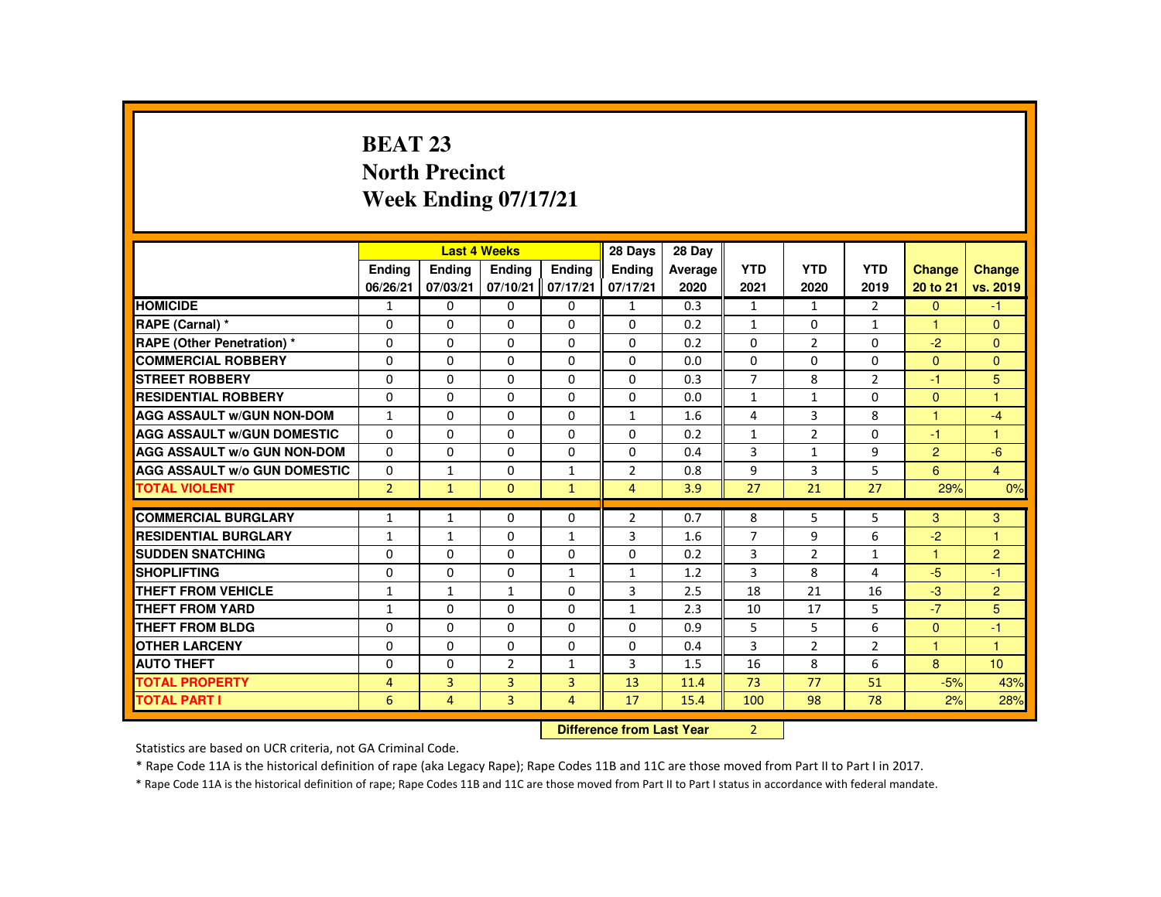# **BEAT 23 North PrecinctWeek Ending 07/17/21**

|                                     |                |                | <b>Last 4 Weeks</b> |                | 28 Days                   | 28 Day  |                |                |                |                |                 |
|-------------------------------------|----------------|----------------|---------------------|----------------|---------------------------|---------|----------------|----------------|----------------|----------------|-----------------|
|                                     | Ending         | Ending         | Ending              | <b>Endina</b>  | Ending                    | Average | <b>YTD</b>     | <b>YTD</b>     | <b>YTD</b>     | Change         | <b>Change</b>   |
|                                     | 06/26/21       | 07/03/21       | 07/10/21            | 07/17/21       | 07/17/21                  | 2020    | 2021           | 2020           | 2019           | 20 to 21       | vs. 2019        |
| <b>HOMICIDE</b>                     | $\mathbf{1}$   | $\Omega$       | 0                   | $\mathbf{0}$   | $\mathbf{1}$              | 0.3     | $\mathbf{1}$   | $\mathbf{1}$   | 2              | $\mathbf{0}$   | $-1$            |
| RAPE (Carnal) *                     | $\Omega$       | $\Omega$       | $\Omega$            | $\Omega$       | 0                         | 0.2     | $\mathbf{1}$   | 0              | $\mathbf{1}$   | $\mathbf{1}$   | $\mathbf{0}$    |
| <b>RAPE (Other Penetration) *</b>   | $\Omega$       | $\Omega$       | $\Omega$            | $\Omega$       | $\Omega$                  | 0.2     | $\Omega$       | 2              | $\Omega$       | $-2$           | $\mathbf{0}$    |
| <b>COMMERCIAL ROBBERY</b>           | $\Omega$       | $\Omega$       | $\Omega$            | $\mathbf{0}$   | $\Omega$                  | 0.0     | $\Omega$       | $\Omega$       | $\Omega$       | $\mathbf{0}$   | $\mathbf{0}$    |
| <b>STREET ROBBERY</b>               | $\Omega$       | $\Omega$       | $\Omega$            | $\Omega$       | $\Omega$                  | 0.3     | $\overline{7}$ | 8              | $\overline{2}$ | $-1$           | 5               |
| <b>RESIDENTIAL ROBBERY</b>          | $\Omega$       | $\mathbf{0}$   | 0                   | $\Omega$       | $\Omega$                  | 0.0     | $\mathbf{1}$   | $\mathbf{1}$   | 0              | $\Omega$       | $\mathbf{1}$    |
| <b>AGG ASSAULT W/GUN NON-DOM</b>    | $\mathbf{1}$   | $\Omega$       | $\Omega$            | $\Omega$       | 1                         | 1.6     | 4              | 3              | 8              | 1              | $-4$            |
| <b>AGG ASSAULT W/GUN DOMESTIC</b>   | $\Omega$       | $\Omega$       | $\Omega$            | $\Omega$       | $\Omega$                  | 0.2     | $\mathbf{1}$   | $\overline{2}$ | $\Omega$       | $-1$           | $\mathbf{1}$    |
| <b>AGG ASSAULT W/o GUN NON-DOM</b>  | $\Omega$       | $\Omega$       | $\Omega$            | $\Omega$       | $\Omega$                  | 0.4     | 3              | $\mathbf{1}$   | 9              | $\overline{2}$ | $-6$            |
| <b>AGG ASSAULT W/o GUN DOMESTIC</b> | 0              | $\mathbf{1}$   | 0                   | $\mathbf{1}$   | $\overline{2}$            | 0.8     | 9              | 3              | 5              | 6              | $\overline{4}$  |
| <b>TOTAL VIOLENT</b>                | $\overline{2}$ | $\mathbf{1}$   | $\mathbf{0}$        | $\mathbf{1}$   | $\overline{4}$            | 3.9     | 27             | 21             | 27             | 29%            | 0%              |
| <b>COMMERCIAL BURGLARY</b>          | $\mathbf{1}$   | $\mathbf{1}$   | $\Omega$            | $\Omega$       | $\overline{2}$            | 0.7     | 8              | 5              | 5              | 3              | 3               |
| <b>RESIDENTIAL BURGLARY</b>         | $\mathbf{1}$   | $\mathbf{1}$   | $\Omega$            | $\mathbf{1}$   | 3                         | 1.6     | $\overline{7}$ | 9              | 6              | $-2$           | 1               |
| <b>SUDDEN SNATCHING</b>             | $\Omega$       | $\Omega$       | $\Omega$            | 0              | 0                         | 0.2     | 3              | $\overline{2}$ | $\mathbf{1}$   | 1              | $\overline{2}$  |
| <b>SHOPLIFTING</b>                  | $\Omega$       | $\Omega$       | 0                   | $\mathbf{1}$   | $\mathbf{1}$              | 1.2     | 3              | 8              | 4              | $-5$           | $-1$            |
| <b>THEFT FROM VEHICLE</b>           | $\mathbf{1}$   | $\mathbf{1}$   | $\mathbf{1}$        | $\Omega$       | $\overline{3}$            | 2.5     | 18             | 21             | 16             | $-3$           | $\overline{2}$  |
| <b>THEFT FROM YARD</b>              | $\mathbf{1}$   | $\Omega$       | $\Omega$            | $\Omega$       | $\mathbf{1}$              | 2.3     | 10             | 17             | 5              | $-7$           | 5               |
| <b>THEFT FROM BLDG</b>              | $\Omega$       | $\Omega$       | 0                   | $\Omega$       | 0                         | 0.9     | 5              | 5              | 6              | $\mathbf{0}$   | $-1$            |
| <b>OTHER LARCENY</b>                | $\Omega$       | $\Omega$       | $\Omega$            | $\Omega$       | $\Omega$                  | 0.4     | 3              | $\overline{2}$ | $\overline{2}$ | $\mathbf{1}$   | $\mathbf{1}$    |
| <b>AUTO THEFT</b>                   | $\Omega$       | $\Omega$       | $\overline{2}$      | $\mathbf{1}$   | 3                         | 1.5     | 16             | 8              | 6              | 8              | 10 <sup>1</sup> |
| <b>TOTAL PROPERTY</b>               | $\overline{4}$ | 3              | 3                   | $\overline{3}$ | 13                        | 11.4    | 73             | 77             | 51             | $-5%$          | 43%             |
| <b>TOTAL PART I</b>                 | 6              | $\overline{4}$ | $\overline{3}$      | $\overline{4}$ | 17                        | 15.4    | 100            | 98             | 78             | 2%             | 28%             |
|                                     |                |                |                     |                | Difference from Loot Voor |         | $\mathcal{L}$  |                |                |                |                 |

 **Difference from Last Year**r 2

Statistics are based on UCR criteria, not GA Criminal Code.

\* Rape Code 11A is the historical definition of rape (aka Legacy Rape); Rape Codes 11B and 11C are those moved from Part II to Part I in 2017.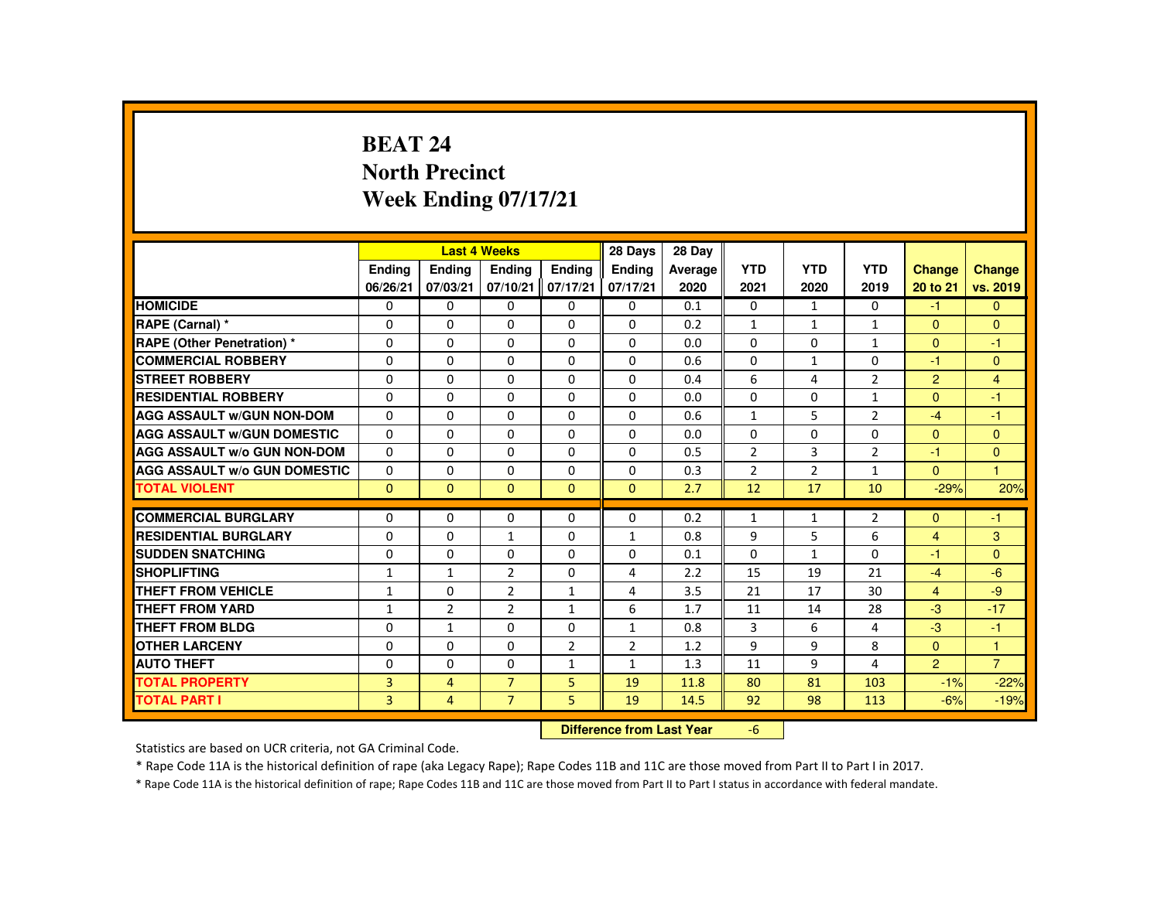# **BEAT 24 North PrecinctWeek Ending 07/17/21**

|                                     |                |                | <b>Last 4 Weeks</b> |                | 28 Days                   | 28 Day  |                |              |                |                |                |
|-------------------------------------|----------------|----------------|---------------------|----------------|---------------------------|---------|----------------|--------------|----------------|----------------|----------------|
|                                     | <b>Endina</b>  | Ending         | Ending              | <b>Endina</b>  | <b>Endina</b>             | Average | <b>YTD</b>     | <b>YTD</b>   | <b>YTD</b>     | Change         | <b>Change</b>  |
|                                     | 06/26/21       | 07/03/21       | 07/10/21            | 07/17/21       | 07/17/21                  | 2020    | 2021           | 2020         | 2019           | 20 to 21       | vs. 2019       |
| <b>HOMICIDE</b>                     | 0              | $\Omega$       | 0                   | $\mathbf{0}$   | 0                         | 0.1     | $\mathbf{0}$   | $\mathbf{1}$ | $\Omega$       | $-1$           | $\mathbf{0}$   |
| RAPE (Carnal) *                     | $\Omega$       | $\Omega$       | $\Omega$            | 0              | 0                         | 0.2     | $\mathbf{1}$   | $\mathbf{1}$ | $\mathbf{1}$   | $\mathbf{0}$   | $\mathbf{0}$   |
| <b>RAPE (Other Penetration) *</b>   | $\Omega$       | $\Omega$       | $\Omega$            | $\Omega$       | $\Omega$                  | 0.0     | $\Omega$       | $\Omega$     | $\mathbf{1}$   | $\Omega$       | $-1$           |
| <b>COMMERCIAL ROBBERY</b>           | $\Omega$       | $\Omega$       | $\Omega$            | $\Omega$       | $\Omega$                  | 0.6     | $\Omega$       | $\mathbf{1}$ | $\Omega$       | $-1$           | $\mathbf{0}$   |
| <b>STREET ROBBERY</b>               | $\Omega$       | $\Omega$       | $\Omega$            | $\Omega$       | $\Omega$                  | 0.4     | 6              | 4            | $\overline{2}$ | $\overline{2}$ | $\overline{4}$ |
| <b>RESIDENTIAL ROBBERY</b>          | $\mathbf{0}$   | $\mathbf{0}$   | 0                   | $\Omega$       | $\Omega$                  | 0.0     | $\Omega$       | 0            | $\mathbf{1}$   | $\mathbf{0}$   | $-1$           |
| <b>AGG ASSAULT W/GUN NON-DOM</b>    | $\Omega$       | $\Omega$       | $\Omega$            | $\Omega$       | $\Omega$                  | 0.6     | $\mathbf{1}$   | 5            | $\overline{2}$ | $-4$           | $-1$           |
| <b>AGG ASSAULT W/GUN DOMESTIC</b>   | $\Omega$       | $\Omega$       | $\Omega$            | $\Omega$       | $\Omega$                  | 0.0     | $\Omega$       | $\Omega$     | $\Omega$       | $\overline{0}$ | $\mathbf{0}$   |
| <b>AGG ASSAULT W/o GUN NON-DOM</b>  | $\Omega$       | $\Omega$       | $\Omega$            | $\Omega$       | $\Omega$                  | 0.5     | $\overline{2}$ | 3            | $\overline{2}$ | $-1$           | $\mathbf{0}$   |
| <b>AGG ASSAULT W/o GUN DOMESTIC</b> | 0              | $\mathbf{0}$   | 0                   | 0              | 0                         | 0.3     | $\overline{2}$ | 2            | $\mathbf{1}$   | $\mathbf{0}$   | $\mathbf{1}$   |
| <b>TOTAL VIOLENT</b>                | $\Omega$       | $\mathbf{0}$   | $\mathbf{0}$        | $\mathbf{0}$   | $\mathbf{0}$              | 2.7     | 12             | 17           | 10             | $-29%$         | 20%            |
| <b>COMMERCIAL BURGLARY</b>          | $\Omega$       | $\Omega$       | $\Omega$            | $\Omega$       | $\Omega$                  | 0.2     | $\mathbf{1}$   | $\mathbf{1}$ | $\overline{2}$ | $\Omega$       | $-1$           |
| <b>RESIDENTIAL BURGLARY</b>         | $\Omega$       | $\Omega$       | $\mathbf{1}$        | $\Omega$       | 1                         | 0.8     | 9              | 5            | 6              | $\overline{4}$ | 3              |
| <b>SUDDEN SNATCHING</b>             | $\Omega$       | $\Omega$       | $\Omega$            | 0              | 0                         | 0.1     | $\Omega$       | $\mathbf{1}$ | $\Omega$       | $-1$           | $\mathbf{0}$   |
| <b>SHOPLIFTING</b>                  | $\mathbf{1}$   | $\mathbf{1}$   | $\overline{2}$      | 0              | 4                         | 2.2     | 15             | 19           | 21             | $-4$           | $-6$           |
| <b>THEFT FROM VEHICLE</b>           | $\mathbf{1}$   | $\Omega$       | $\overline{2}$      | $\mathbf{1}$   | $\overline{4}$            | 3.5     | 21             | 17           | 30             | $\overline{4}$ | $-9$           |
| <b>THEFT FROM YARD</b>              | $\mathbf{1}$   | $\overline{2}$ | $\overline{2}$      | $\mathbf{1}$   | 6                         | 1.7     | 11             | 14           | 28             | $-3$           | $-17$          |
| THEFT FROM BLDG                     | $\mathbf{0}$   | $\mathbf{1}$   | 0                   | 0              | $\mathbf{1}$              | 0.8     | 3              | 6            | 4              | $-3$           | $-1$           |
| <b>OTHER LARCENY</b>                | $\Omega$       | $\Omega$       | $\Omega$            | $\overline{2}$ | $\overline{2}$            | 1.2     | 9              | 9            | 8              | $\Omega$       | $\mathbf{1}$   |
| <b>AUTO THEFT</b>                   | $\Omega$       | $\Omega$       | $\Omega$            | $\mathbf{1}$   | $\mathbf{1}$              | 1.3     | 11             | 9            | 4              | $\overline{2}$ | $\overline{7}$ |
| <b>TOTAL PROPERTY</b>               | $\overline{3}$ | $\overline{4}$ | $\overline{7}$      | 5              | 19                        | 11.8    | 80             | 81           | 103            | $-1%$          | $-22%$         |
| <b>TOTAL PART I</b>                 | 3              | $\overline{4}$ | $\overline{7}$      | 5              | 19                        | 14.5    | 92             | 98           | 113            | $-6%$          | $-19%$         |
|                                     |                |                |                     |                | Difference from Loot Voor |         | $\epsilon$     |              |                |                |                |

 **Difference from Last Year**r -6

Statistics are based on UCR criteria, not GA Criminal Code.

\* Rape Code 11A is the historical definition of rape (aka Legacy Rape); Rape Codes 11B and 11C are those moved from Part II to Part I in 2017.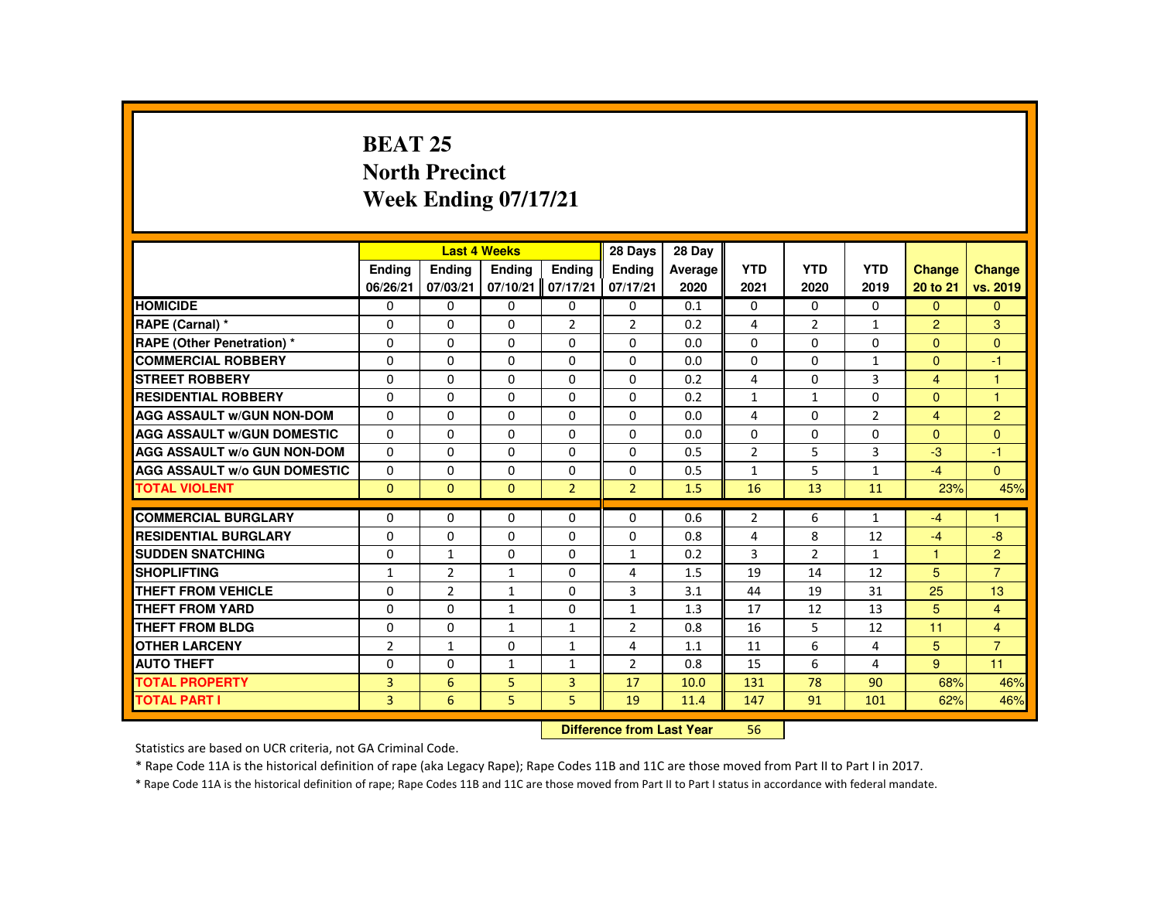# **BEAT 25 North PrecinctWeek Ending 07/17/21**

|                                     |                           |                | <b>Last 4 Weeks</b> |                | 28 Days        | 28 Day  |                |                |                |                |                      |
|-------------------------------------|---------------------------|----------------|---------------------|----------------|----------------|---------|----------------|----------------|----------------|----------------|----------------------|
|                                     | <b>Ending</b>             | <b>Ending</b>  | <b>Ending</b>       | Ending         | <b>Endina</b>  | Average | <b>YTD</b>     | <b>YTD</b>     | <b>YTD</b>     | <b>Change</b>  | <b>Change</b>        |
|                                     | 06/26/21                  | 07/03/21       | 07/10/21            | 07/17/21       | 07/17/21       | 2020    | 2021           | 2020           | 2019           | 20 to 21       | vs. 2019             |
| <b>HOMICIDE</b>                     | 0                         | $\Omega$       | $\Omega$            | $\Omega$       | $\mathbf 0$    | 0.1     | $\Omega$       | $\Omega$       | $\Omega$       | $\Omega$       | $\Omega$             |
| RAPE (Carnal) *                     | 0                         | $\Omega$       | $\Omega$            | $\overline{2}$ | $\overline{2}$ | 0.2     | 4              | $\overline{2}$ | $\mathbf{1}$   | $\overline{2}$ | 3                    |
| RAPE (Other Penetration) *          | $\Omega$                  | $\Omega$       | $\Omega$            | $\Omega$       | $\Omega$       | 0.0     | $\Omega$       | $\Omega$       | $\Omega$       | $\mathbf{0}$   | $\Omega$             |
| <b>COMMERCIAL ROBBERY</b>           | $\Omega$                  | $\Omega$       | $\Omega$            | $\Omega$       | $\Omega$       | 0.0     | $\Omega$       | $\Omega$       | $\mathbf{1}$   | $\mathbf{0}$   | $-1$                 |
| <b>STREET ROBBERY</b>               | $\Omega$                  | $\Omega$       | $\Omega$            | $\Omega$       | $\Omega$       | 0.2     | 4              | $\Omega$       | 3              | $\overline{4}$ | $\blacktriangleleft$ |
| <b>RESIDENTIAL ROBBERY</b>          | 0                         | $\Omega$       | 0                   | 0              | 0              | 0.2     | $\mathbf{1}$   | 1              | $\mathbf{0}$   | $\mathbf{0}$   | 1                    |
| <b>AGG ASSAULT w/GUN NON-DOM</b>    | 0                         | $\Omega$       | $\Omega$            | $\Omega$       | $\Omega$       | 0.0     | 4              | $\Omega$       | $\overline{2}$ | $\overline{4}$ | $\overline{2}$       |
| <b>AGG ASSAULT W/GUN DOMESTIC</b>   | 0                         | $\Omega$       | $\Omega$            | $\Omega$       | $\Omega$       | 0.0     | $\Omega$       | $\Omega$       | $\Omega$       | $\Omega$       | $\Omega$             |
| <b>AGG ASSAULT W/o GUN NON-DOM</b>  | $\Omega$                  | $\Omega$       | $\Omega$            | $\Omega$       | $\Omega$       | 0.5     | $\overline{2}$ | 5              | 3              | $-3$           | $-1$                 |
| <b>AGG ASSAULT W/o GUN DOMESTIC</b> | $\Omega$                  | $\Omega$       | $\Omega$            | $\Omega$       | $\Omega$       | 0.5     | $\mathbf{1}$   | 5              | $\mathbf{1}$   | $-4$           | $\mathbf{0}$         |
| <b>TOTAL VIOLENT</b>                | $\Omega$                  | $\Omega$       | $\Omega$            | 2 <sup>1</sup> | 2 <sup>1</sup> | 1.5     | 16             | 13             | 11             | 23%            | 45%                  |
| <b>COMMERCIAL BURGLARY</b>          | $\Omega$                  | $\Omega$       | $\Omega$            | $\Omega$       | $\Omega$       | 0.6     | $\overline{2}$ | 6              | $\mathbf{1}$   | $-4$           | 1                    |
| <b>RESIDENTIAL BURGLARY</b>         | 0                         | $\Omega$       | $\Omega$            | $\Omega$       | $\Omega$       | 0.8     | 4              | 8              | 12             | $-4$           | $-8$                 |
| <b>SUDDEN SNATCHING</b>             | 0                         | $\mathbf{1}$   | $\mathbf{0}$        | $\Omega$       | $\mathbf{1}$   | 0.2     | 3              | $\overline{2}$ | $\mathbf{1}$   | 1              | $\overline{2}$       |
| <b>SHOPLIFTING</b>                  | $\mathbf{1}$              | $\overline{2}$ | $\mathbf{1}$        | $\Omega$       | 4              | 1.5     | 19             | 14             | 12             | 5              | $\overline{7}$       |
| <b>THEFT FROM VEHICLE</b>           | $\Omega$                  | $\overline{2}$ | $\mathbf{1}$        | $\Omega$       | $\overline{3}$ | 3.1     | 44             | 19             | 31             | 25             | 13                   |
| <b>THEFT FROM YARD</b>              | 0                         | $\Omega$       | $\mathbf{1}$        | $\Omega$       | $\mathbf{1}$   | 1.3     | 17             | 12             | 13             | 5              | $\overline{4}$       |
| <b>THEFT FROM BLDG</b>              | 0                         | $\Omega$       | $\mathbf{1}$        | $\mathbf{1}$   | $\overline{2}$ | 0.8     | 16             | 5              | 12             | 11             | $\overline{4}$       |
| <b>OTHER LARCENY</b>                | $\overline{2}$            | $\mathbf{1}$   | $\Omega$            | $\mathbf{1}$   | 4              | 1.1     | 11             | 6              | 4              | 5              | $\overline{7}$       |
| <b>AUTO THEFT</b>                   | 0                         | $\Omega$       | $\mathbf{1}$        | $\mathbf{1}$   | $\overline{2}$ | 0.8     | 15             | 6              | 4              | $9^{\circ}$    | 11                   |
| <b>TOTAL PROPERTY</b>               | 3                         | 6              | 5                   | $\overline{3}$ | 17             | 10.0    | 131            | 78             | 90             | 68%            | 46%                  |
| <b>TOTAL PART I</b>                 | 3                         | 6              | 5                   | 5              | 19             | 11.4    | 147            | 91             | 101            | 62%            | 46%                  |
|                                     | Difference from Loot Voor |                |                     |                |                |         |                |                |                |                |                      |

 **Difference from Last Year**<sup>56</sup>

Statistics are based on UCR criteria, not GA Criminal Code.

\* Rape Code 11A is the historical definition of rape (aka Legacy Rape); Rape Codes 11B and 11C are those moved from Part II to Part I in 2017.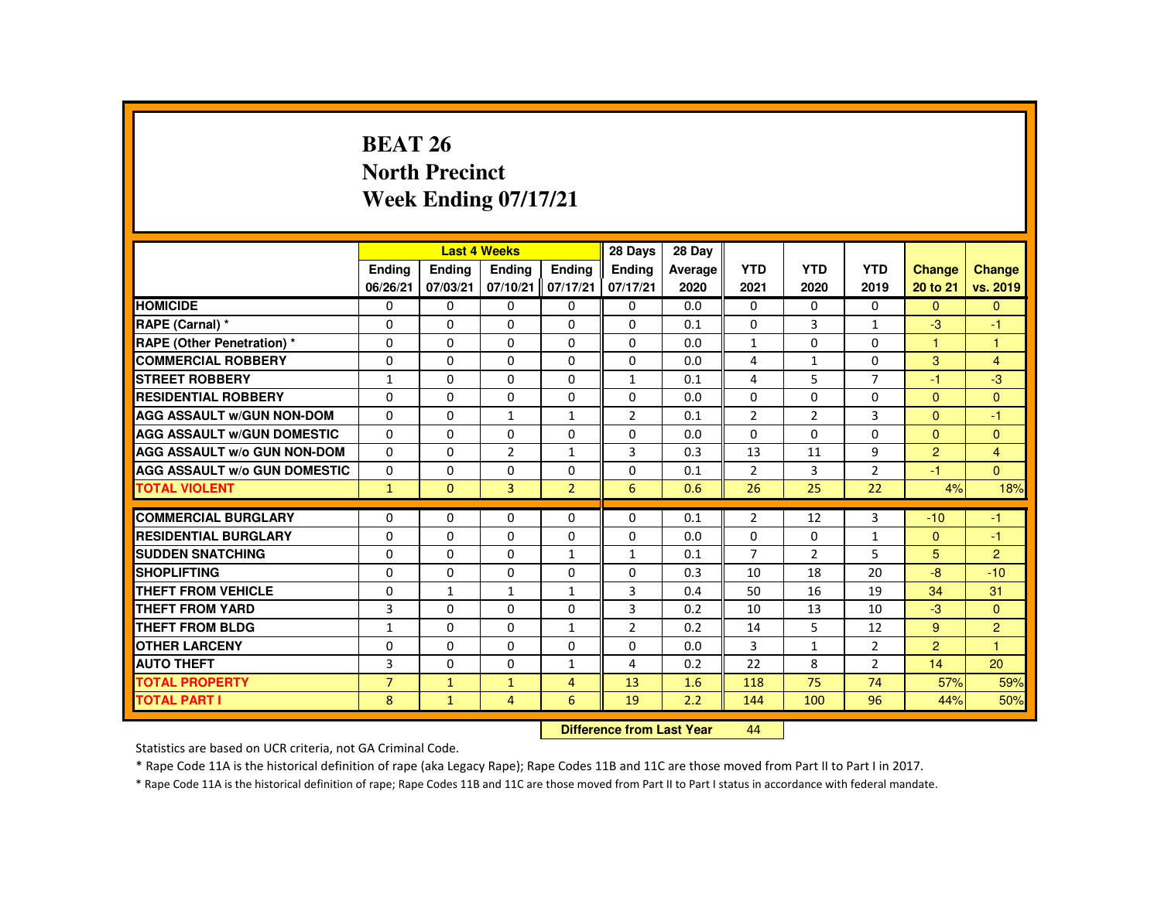# **BEAT 26 North PrecinctWeek Ending 07/17/21**

|                                     |                |              | <b>Last 4 Weeks</b> |                | 28 Days        | 28 Day  |                |                |                |                |                |
|-------------------------------------|----------------|--------------|---------------------|----------------|----------------|---------|----------------|----------------|----------------|----------------|----------------|
|                                     | Ending         | Ending       | Ending              | <b>Endina</b>  | <b>Endina</b>  | Average | <b>YTD</b>     | <b>YTD</b>     | <b>YTD</b>     | Change         | <b>Change</b>  |
|                                     | 06/26/21       | 07/03/21     | 07/10/21            | 07/17/21       | 07/17/21       | 2020    | 2021           | 2020           | 2019           | 20 to 21       | vs. 2019       |
| <b>HOMICIDE</b>                     | $\Omega$       | $\mathbf{0}$ | 0                   | $\mathbf{0}$   | 0              | 0.0     | 0              | 0              | 0              | $\mathbf{0}$   | $\mathbf{0}$   |
| RAPE (Carnal) *                     | $\Omega$       | $\Omega$     | $\Omega$            | $\Omega$       | $\Omega$       | 0.1     | $\Omega$       | 3              | $\mathbf{1}$   | $-3$           | $-1$           |
| <b>RAPE (Other Penetration) *</b>   | 0              | $\mathbf{0}$ | $\Omega$            | $\Omega$       | $\Omega$       | 0.0     | $\mathbf{1}$   | 0              | 0              | $\mathbf{1}$   | $\mathbf{1}$   |
| <b>COMMERCIAL ROBBERY</b>           | $\Omega$       | $\Omega$     | $\Omega$            | $\Omega$       | $\Omega$       | 0.0     | 4              | $\mathbf{1}$   | $\Omega$       | 3              | $\overline{4}$ |
| <b>STREET ROBBERY</b>               | $\mathbf{1}$   | $\Omega$     | $\Omega$            | $\Omega$       | $\mathbf{1}$   | 0.1     | 4              | 5              | $\overline{7}$ | $-1$           | $-3$           |
| <b>RESIDENTIAL ROBBERY</b>          | 0              | $\mathbf{0}$ | $\Omega$            | $\Omega$       | $\Omega$       | 0.0     | $\Omega$       | $\Omega$       | $\Omega$       | $\Omega$       | $\mathbf{0}$   |
| <b>AGG ASSAULT W/GUN NON-DOM</b>    | $\Omega$       | $\Omega$     | $\mathbf{1}$        | $\mathbf{1}$   | $\overline{2}$ | 0.1     | $\overline{2}$ | 2              | 3              | $\Omega$       | $-1$           |
| <b>AGG ASSAULT W/GUN DOMESTIC</b>   | $\Omega$       | $\Omega$     | $\Omega$            | $\Omega$       | $\Omega$       | 0.0     | $\Omega$       | $\Omega$       | $\Omega$       | $\Omega$       | $\mathbf{0}$   |
| <b>AGG ASSAULT W/o GUN NON-DOM</b>  | $\Omega$       | $\Omega$     | $\overline{2}$      | $\mathbf{1}$   | 3              | 0.3     | 13             | 11             | 9              | $\overline{2}$ | $\overline{4}$ |
| <b>AGG ASSAULT W/o GUN DOMESTIC</b> | $\Omega$       | $\Omega$     | $\Omega$            | $\Omega$       | $\Omega$       | 0.1     | $\overline{2}$ | 3              | $\overline{2}$ | $-1$           | $\Omega$       |
| <b>TOTAL VIOLENT</b>                | $\mathbf{1}$   | $\mathbf{0}$ | $\overline{3}$      | $\overline{2}$ | 6              | 0.6     | 26             | 25             | 22             | 4%             | 18%            |
|                                     |                |              |                     |                |                |         |                |                |                |                |                |
| <b>COMMERCIAL BURGLARY</b>          | $\Omega$       | $\Omega$     | $\Omega$            | $\Omega$       | $\Omega$       | 0.1     | $\overline{2}$ | 12             | 3              | $-10$          | $-1$           |
| <b>RESIDENTIAL BURGLARY</b>         | $\Omega$       | $\Omega$     | $\Omega$            | $\Omega$       | $\Omega$       | 0.0     | $\Omega$       | $\Omega$       | $\mathbf{1}$   | $\mathbf{0}$   | $-1$           |
| <b>SUDDEN SNATCHING</b>             | 0              | $\mathbf{0}$ | $\Omega$            | $\mathbf{1}$   | $\mathbf{1}$   | 0.1     | $\overline{7}$ | $\overline{2}$ | 5              | 5              | $\overline{2}$ |
| <b>SHOPLIFTING</b>                  | $\Omega$       | $\Omega$     | $\Omega$            | $\Omega$       | $\Omega$       | 0.3     | 10             | 18             | 20             | $-8$           | $-10$          |
| <b>THEFT FROM VEHICLE</b>           | 0              | $\mathbf{1}$ | $\mathbf{1}$        | $\mathbf{1}$   | 3              | 0.4     | 50             | 16             | 19             | 34             | 31             |
| <b>THEFT FROM YARD</b>              | 3              | $\Omega$     | $\Omega$            | $\Omega$       | 3              | 0.2     | 10             | 13             | 10             | $-3$           | $\Omega$       |
| THEFT FROM BLDG                     | $\mathbf{1}$   | $\Omega$     | $\Omega$            | $\mathbf{1}$   | $\overline{2}$ | 0.2     | 14             | 5              | 12             | 9              | $\overline{2}$ |
| <b>OTHER LARCENY</b>                | 0              | $\mathbf{0}$ | $\Omega$            | $\Omega$       | 0              | 0.0     | 3              | $\mathbf{1}$   | $\overline{2}$ | $\overline{2}$ | 1              |
| <b>AUTO THEFT</b>                   | 3              | $\Omega$     | $\Omega$            | $\mathbf{1}$   | 4              | 0.2     | 22             | 8              | $\overline{2}$ | 14             | 20             |
| <b>TOTAL PROPERTY</b>               | $\overline{7}$ | $\mathbf{1}$ | $\mathbf{1}$        | $\overline{4}$ | 13             | 1.6     | 118            | 75             | 74             | 57%            | 59%            |
| <b>TOTAL PART I</b>                 | 8              | $\mathbf{1}$ | $\overline{4}$      | 6              | 19             | 2.2     | 144            | 100            | 96             | 44%            | 50%            |
|                                     | <b>Section</b> |              |                     |                |                |         |                |                |                |                |                |

 **Difference from Last Year**<sup>44</sup>

Statistics are based on UCR criteria, not GA Criminal Code.

\* Rape Code 11A is the historical definition of rape (aka Legacy Rape); Rape Codes 11B and 11C are those moved from Part II to Part I in 2017.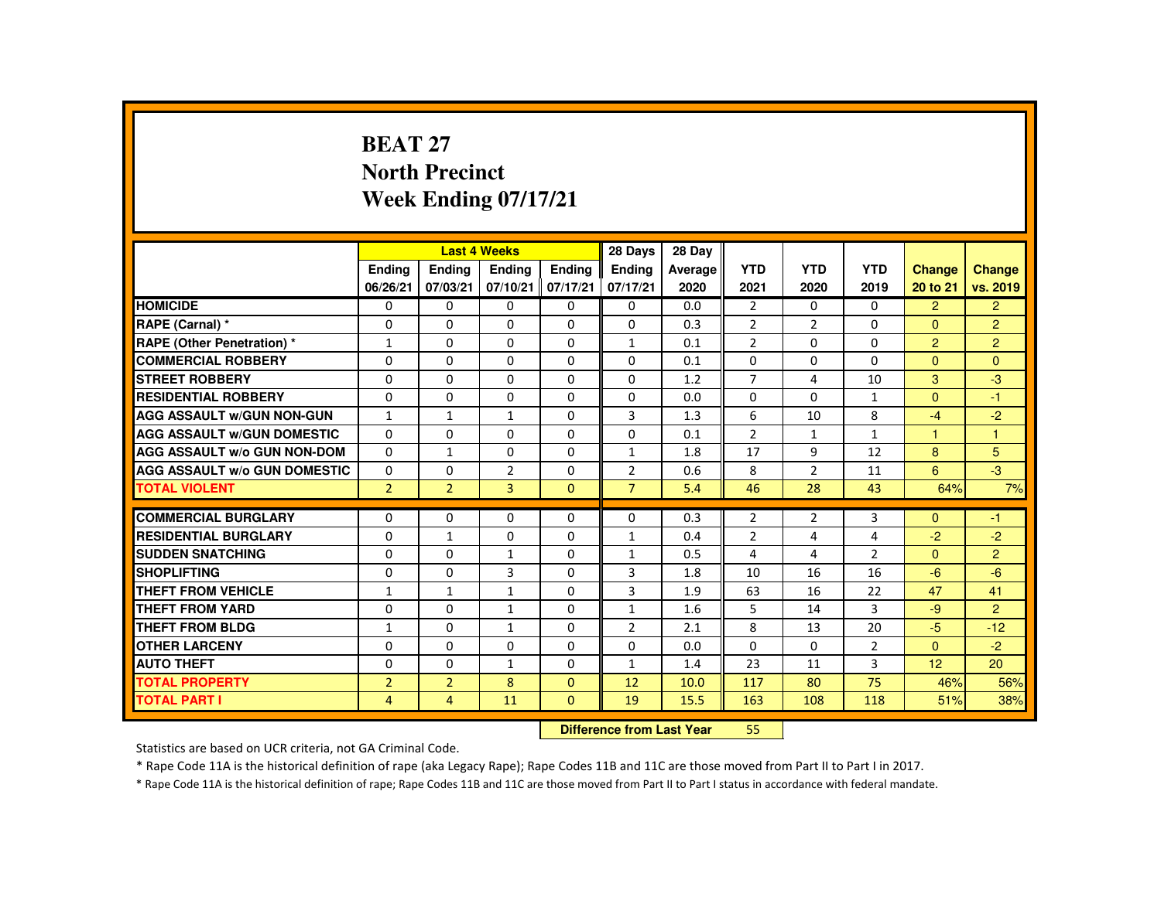# **BEAT 27 North PrecinctWeek Ending 07/17/21**

|                                     |                |                | <b>Last 4 Weeks</b> |               | 28 Days                   | 28 Day  |                |                |                |                |                |
|-------------------------------------|----------------|----------------|---------------------|---------------|---------------------------|---------|----------------|----------------|----------------|----------------|----------------|
|                                     | <b>Endina</b>  | Ending         | <b>Endina</b>       | <b>Endina</b> | <b>Endina</b>             | Average | <b>YTD</b>     | <b>YTD</b>     | <b>YTD</b>     | <b>Change</b>  | <b>Change</b>  |
|                                     | 06/26/21       | 07/03/21       | 07/10/21            | 07/17/21      | 07/17/21                  | 2020    | 2021           | 2020           | 2019           | 20 to 21       | vs. 2019       |
| <b>HOMICIDE</b>                     | $\mathbf{0}$   | 0              | 0                   | 0             | 0                         | 0.0     | 2              | $\Omega$       | $\Omega$       | $\overline{2}$ | $\overline{2}$ |
| RAPE (Carnal) *                     | 0              | 0              | 0                   | $\Omega$      | $\Omega$                  | 0.3     | $\overline{2}$ | $\overline{2}$ | 0              | $\Omega$       | $\overline{2}$ |
| RAPE (Other Penetration) *          | 1              | $\Omega$       | $\Omega$            | $\Omega$      | $\mathbf{1}$              | 0.1     | $\overline{2}$ | $\Omega$       | $\Omega$       | 2              | $\overline{2}$ |
| <b>COMMERCIAL ROBBERY</b>           | $\Omega$       | $\Omega$       | $\Omega$            | $\Omega$      | $\Omega$                  | 0.1     | $\Omega$       | $\Omega$       | $\Omega$       | $\Omega$       | $\Omega$       |
| <b>STREET ROBBERY</b>               | $\Omega$       | $\Omega$       | $\Omega$            | $\Omega$      | $\Omega$                  | 1.2     | $\overline{7}$ | 4              | 10             | 3              | $-3$           |
| <b>RESIDENTIAL ROBBERY</b>          | 0              | 0              | 0                   | 0             | 0                         | 0.0     | 0              | 0              | 1              | $\Omega$       | $-1$           |
| <b>AGG ASSAULT w/GUN NON-GUN</b>    | $\mathbf{1}$   | $\mathbf{1}$   | $\mathbf{1}$        | $\Omega$      | 3                         | 1.3     | 6              | 10             | 8              | $-4$           | $-2$           |
| <b>AGG ASSAULT W/GUN DOMESTIC</b>   | $\Omega$       | $\Omega$       | $\Omega$            | $\Omega$      | $\Omega$                  | 0.1     | $\overline{2}$ | $\mathbf{1}$   | $\mathbf{1}$   | $\mathbf{1}$   | $\overline{1}$ |
| <b>AGG ASSAULT W/o GUN NON-DOM</b>  | $\Omega$       | $\mathbf{1}$   | $\Omega$            | $\Omega$      | $\mathbf{1}$              | 1.8     | 17             | 9              | 12             | 8              | 5              |
| <b>AGG ASSAULT W/o GUN DOMESTIC</b> | $\Omega$       | $\Omega$       | $\overline{2}$      | $\Omega$      | $\overline{2}$            | 0.6     | 8              | $\overline{2}$ | 11             | 6              | $-3$           |
| <b>TOTAL VIOLENT</b>                | $\overline{2}$ | $\overline{2}$ | $\overline{3}$      | $\Omega$      | $\overline{7}$            | 5.4     | 46             | 28             | 43             | 64%            | 7%             |
| <b>COMMERCIAL BURGLARY</b>          | $\Omega$       | $\Omega$       | $\Omega$            | $\Omega$      | $\Omega$                  | 0.3     | $\overline{2}$ | $\overline{2}$ | 3              | $\Omega$       | $-1$           |
| <b>RESIDENTIAL BURGLARY</b>         | $\Omega$       | $\mathbf{1}$   | 0                   | 0             | 1                         | 0.4     | $\overline{2}$ | 4              | 4              | $-2$           | $-2$           |
| <b>SUDDEN SNATCHING</b>             | $\Omega$       | $\Omega$       | $\mathbf{1}$        | $\Omega$      | 1                         | 0.5     | 4              | 4              | $\overline{2}$ | $\mathbf{0}$   | $\overline{2}$ |
| <b>SHOPLIFTING</b>                  | $\Omega$       | $\Omega$       | 3                   | $\Omega$      | 3                         | 1.8     | 10             | 16             | 16             | $-6$           | $-6$           |
| <b>THEFT FROM VEHICLE</b>           | $\mathbf{1}$   | $\mathbf{1}$   | $\mathbf{1}$        | $\Omega$      | $\overline{3}$            | 1.9     | 63             | 16             | 22             | 47             | 41             |
| <b>THEFT FROM YARD</b>              | 0              | $\Omega$       | $\mathbf{1}$        | 0             | $\mathbf{1}$              | 1.6     | 5              | 14             | 3              | $-9$           | $\overline{2}$ |
| <b>THEFT FROM BLDG</b>              | $\mathbf{1}$   | $\Omega$       | $\mathbf{1}$        | $\Omega$      | $\overline{2}$            | 2.1     | 8              | 13             | 20             | $-5$           | $-12$          |
| <b>OTHER LARCENY</b>                | $\Omega$       | $\Omega$       | $\Omega$            | $\Omega$      | $\Omega$                  | 0.0     | $\Omega$       | $\Omega$       | $\overline{2}$ | $\Omega$       | $-2$           |
| <b>AUTO THEFT</b>                   | $\Omega$       | $\Omega$       | $\mathbf{1}$        | 0             | $\mathbf{1}$              | 1.4     | 23             | 11             | 3              | 12             | 20             |
| <b>TOTAL PROPERTY</b>               | $\overline{2}$ | $\overline{2}$ | 8                   | $\Omega$      | 12                        | 10.0    | 117            | 80             | 75             | 46%            | 56%            |
| <b>TOTAL PART I</b>                 | 4              | $\overline{4}$ | 11                  | $\mathbf{0}$  | 19                        | 15.5    | 163            | 108            | 118            | 51%            | 38%            |
|                                     |                |                |                     |               | Difference from Loot Voor |         | EE.            |                |                |                |                |

 **Difference from Last Year**<sup>55</sup>

Statistics are based on UCR criteria, not GA Criminal Code.

\* Rape Code 11A is the historical definition of rape (aka Legacy Rape); Rape Codes 11B and 11C are those moved from Part II to Part I in 2017.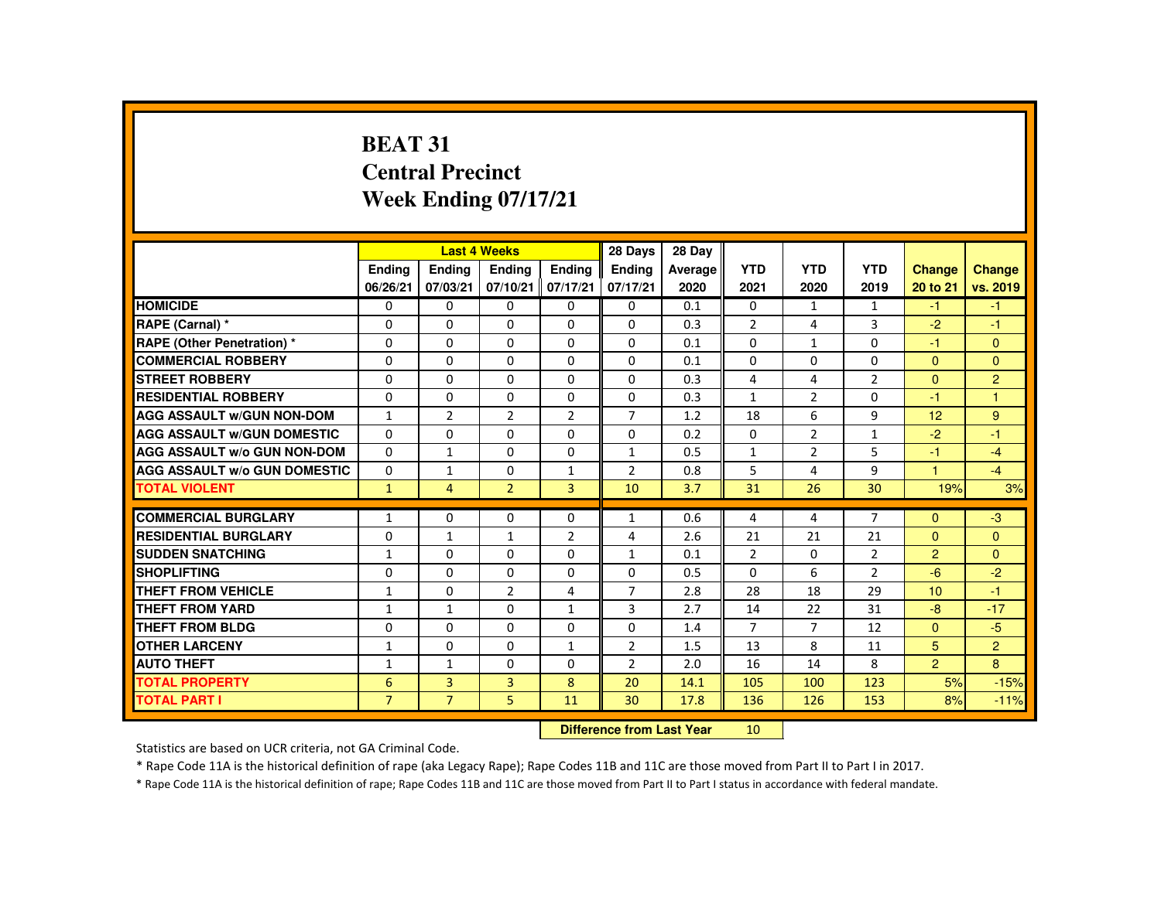# **BEAT 31 Central PrecinctWeek Ending 07/17/21**

|                                     |                |                           | <b>Last 4 Weeks</b> |                 | 28 Days        | 28 Day  |                |                |                |                |                |
|-------------------------------------|----------------|---------------------------|---------------------|-----------------|----------------|---------|----------------|----------------|----------------|----------------|----------------|
|                                     | <b>Endina</b>  | <b>Ending</b>             | <b>Ending</b>       | Ending          | Ending         | Average | <b>YTD</b>     | <b>YTD</b>     | <b>YTD</b>     | <b>Change</b>  | <b>Change</b>  |
|                                     | 06/26/21       | 07/03/21                  | 07/10/21            | 07/17/21        | 07/17/21       | 2020    | 2021           | 2020           | 2019           | 20 to 21       | vs. 2019       |
| <b>HOMICIDE</b>                     | $\mathbf{0}$   | $\Omega$                  | $\Omega$            | $\Omega$        | $\Omega$       | 0.1     | 0              | $\mathbf{1}$   | $\mathbf{1}$   | $-1$           | $-1$           |
| RAPE (Carnal) *                     | $\mathbf{0}$   | $\Omega$                  | $\Omega$            | $\mathbf{0}$    | $\Omega$       | 0.3     | $\overline{2}$ | 4              | 3              | $-2$           | $-1$           |
| RAPE (Other Penetration) *          | $\Omega$       | $\Omega$                  | $\Omega$            | $\Omega$        | $\Omega$       | 0.1     | $\Omega$       | $\mathbf{1}$   | 0              | -1             | $\Omega$       |
| <b>COMMERCIAL ROBBERY</b>           | $\Omega$       | $\Omega$                  | $\Omega$            | $\Omega$        | $\Omega$       | 0.1     | $\Omega$       | $\Omega$       | 0              | $\Omega$       | $\mathbf{0}$   |
| <b>STREET ROBBERY</b>               | $\Omega$       | $\Omega$                  | $\Omega$            | $\Omega$        | $\Omega$       | 0.3     | 4              | 4              | $\overline{2}$ | $\Omega$       | $\overline{2}$ |
| <b>RESIDENTIAL ROBBERY</b>          | $\Omega$       | $\mathbf 0$               | $\mathbf{0}$        | 0               | 0              | 0.3     | $\mathbf{1}$   | $\overline{2}$ | 0              | -1             | 1              |
| <b>AGG ASSAULT w/GUN NON-DOM</b>    | $\mathbf{1}$   | $\overline{2}$            | $\overline{2}$      | $\overline{2}$  | $\overline{7}$ | 1.2     | 18             | 6              | 9              | 12             | 9              |
| <b>AGG ASSAULT W/GUN DOMESTIC</b>   | $\Omega$       | $\Omega$                  | $\Omega$            | $\Omega$        | 0              | 0.2     | $\Omega$       | $\overline{2}$ | $\mathbf{1}$   | $-2$           | $-1$           |
| AGG ASSAULT w/o GUN NON-DOM         | $\Omega$       | $\mathbf{1}$              | $\Omega$            | $\Omega$        | $\mathbf{1}$   | 0.5     | $\mathbf{1}$   | $\overline{2}$ | 5              | $-1$           | $-4$           |
| <b>AGG ASSAULT W/o GUN DOMESTIC</b> | $\Omega$       | $\mathbf{1}$              | 0                   | $\mathbf{1}$    | $\overline{2}$ | 0.8     | 5              | 4              | 9              | 1.             | $-4$           |
| <b>TOTAL VIOLENT</b>                | $\mathbf{1}$   | 4                         | $\overline{2}$      | $\overline{3}$  | 10             | 3.7     | 31             | 26             | 30             | 19%            | 3%             |
| <b>COMMERCIAL BURGLARY</b>          | $\mathbf{1}$   | $\Omega$                  | $\Omega$            | $\Omega$        | $\mathbf{1}$   | 0.6     | 4              | 4              | $\overline{7}$ | $\Omega$       | $-3$           |
| <b>RESIDENTIAL BURGLARY</b>         | $\mathbf{0}$   | $\mathbf{1}$              | $\mathbf{1}$        | $\overline{2}$  | 4              | 2.6     | 21             | 21             | 21             | $\mathbf{0}$   | $\mathbf{0}$   |
| <b>SUDDEN SNATCHING</b>             | 1              | $\Omega$                  | $\Omega$            | 0               | $\mathbf{1}$   | 0.1     | $\overline{2}$ | 0              | $\overline{2}$ | $\overline{2}$ | $\Omega$       |
| <b>SHOPLIFTING</b>                  | 0              | $\Omega$                  | $\Omega$            | $\Omega$        | $\Omega$       | 0.5     | $\Omega$       | 6              | $\overline{2}$ | $-6$           | $-2$           |
| <b>THEFT FROM VEHICLE</b>           | $\mathbf{1}$   | $\Omega$                  | $\overline{2}$      | 4               | $\overline{7}$ | 2.8     | 28             | 18             | 29             | 10             | $-1$           |
| <b>THEFT FROM YARD</b>              | $\mathbf{1}$   | $\mathbf{1}$              | $\Omega$            | $\mathbf{1}$    | 3              | 2.7     | 14             | 22             | 31             | $-8$           | $-17$          |
| <b>THEFT FROM BLDG</b>              | $\Omega$       | $\Omega$                  | $\mathbf{0}$        | $\Omega$        | $\Omega$       | 1.4     | $\overline{7}$ | $\overline{7}$ | 12             | $\Omega$       | $-5$           |
| <b>OTHER LARCENY</b>                | 1              | $\Omega$                  | $\Omega$            | $\mathbf{1}$    | $\overline{2}$ | 1.5     | 13             | 8              | 11             | 5              | $\overline{2}$ |
| <b>AUTO THEFT</b>                   | $\mathbf{1}$   | $\mathbf{1}$              | $\Omega$            | $\Omega$        | $\overline{2}$ | 2.0     | 16             | 14             | 8              | $\overline{2}$ | 8              |
| <b>TOTAL PROPERTY</b>               | 6              | $\overline{3}$            | 3                   | 8               | 20             | 14.1    | 105            | 100            | 123            | 5%             | $-15%$         |
| <b>TOTAL PART I</b>                 | $\overline{7}$ | $\overline{7}$            | 5                   | 11              | 30             | 17.8    | 136            | 126            | 153            | 8%             | $-11%$         |
|                                     |                | Difference from Lost Voor |                     | 10 <sup>1</sup> |                |         |                |                |                |                |                |

 **Difference from Last Year**<sup>10</sup>

Statistics are based on UCR criteria, not GA Criminal Code.

\* Rape Code 11A is the historical definition of rape (aka Legacy Rape); Rape Codes 11B and 11C are those moved from Part II to Part I in 2017.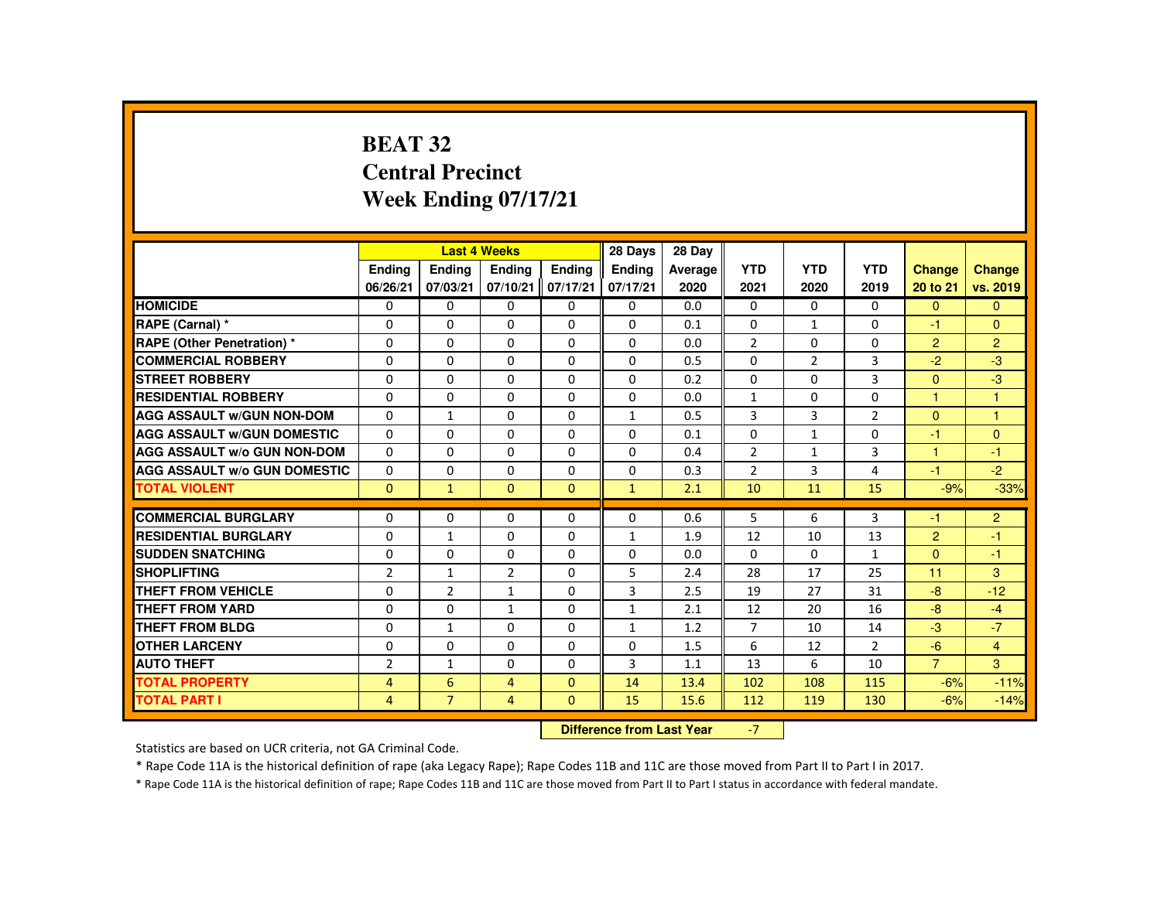# **BEAT 32 Central PrecinctWeek Ending 07/17/21**

|                                     |                |                | <b>Last 4 Weeks</b> |               | 28 Days       | 28 Day  |                |                |                |                |                |
|-------------------------------------|----------------|----------------|---------------------|---------------|---------------|---------|----------------|----------------|----------------|----------------|----------------|
|                                     | <b>Endina</b>  | Ending         | Ending              | <b>Endina</b> | <b>Endina</b> | Average | <b>YTD</b>     | <b>YTD</b>     | <b>YTD</b>     | Change         | <b>Change</b>  |
|                                     | 06/26/21       | 07/03/21       | 07/10/21            | 07/17/21      | 07/17/21      | 2020    | 2021           | 2020           | 2019           | 20 to 21       | vs. 2019       |
| <b>HOMICIDE</b>                     | $\Omega$       | $\Omega$       | $\Omega$            | $\Omega$      | 0             | 0.0     | $\mathbf{0}$   | $\Omega$       | $\mathbf{0}$   | $\Omega$       | $\mathbf{0}$   |
| RAPE (Carnal) *                     | $\Omega$       | $\Omega$       | $\Omega$            | $\Omega$      | $\Omega$      | 0.1     | $\Omega$       | $\mathbf{1}$   | $\Omega$       | $-1$           | $\mathbf{0}$   |
| <b>RAPE (Other Penetration) *</b>   | 0              | $\Omega$       | $\Omega$            | $\Omega$      | 0             | 0.0     | $\overline{2}$ | $\Omega$       | $\Omega$       | $\overline{2}$ | $\overline{2}$ |
| <b>COMMERCIAL ROBBERY</b>           | $\Omega$       | $\Omega$       | $\Omega$            | $\Omega$      | $\Omega$      | 0.5     | $\Omega$       | $\overline{2}$ | 3              | $-2$           | $-3$           |
| <b>STREET ROBBERY</b>               | $\Omega$       | $\Omega$       | $\Omega$            | $\Omega$      | $\Omega$      | 0.2     | $\Omega$       | $\Omega$       | 3              | $\Omega$       | $-3$           |
| <b>RESIDENTIAL ROBBERY</b>          | $\Omega$       | $\mathbf{0}$   | 0                   | 0             | 0             | 0.0     | $\mathbf{1}$   | 0              | 0              | $\mathbf{1}$   | 1              |
| <b>AGG ASSAULT W/GUN NON-DOM</b>    | $\Omega$       | $\mathbf{1}$   | $\Omega$            | $\Omega$      | 1             | 0.5     | 3              | 3              | $\overline{2}$ | $\Omega$       | 1              |
| <b>AGG ASSAULT W/GUN DOMESTIC</b>   | $\Omega$       | $\Omega$       | $\Omega$            | $\Omega$      | $\Omega$      | 0.1     | $\Omega$       | $\mathbf{1}$   | $\Omega$       | $-1$           | $\mathbf{0}$   |
| <b>AGG ASSAULT W/o GUN NON-DOM</b>  | $\Omega$       | $\Omega$       | $\Omega$            | $\Omega$      | $\Omega$      | 0.4     | $\overline{2}$ | $\mathbf{1}$   | $\overline{3}$ | $\mathbf{1}$   | $-1$           |
| <b>AGG ASSAULT W/o GUN DOMESTIC</b> | $\Omega$       | $\Omega$       | $\Omega$            | $\Omega$      | $\Omega$      | 0.3     | $\overline{2}$ | 3              | 4              | $-1$           | $-2$           |
| <b>TOTAL VIOLENT</b>                | $\Omega$       | $\mathbf{1}$   | $\Omega$            | $\Omega$      | $\mathbf{1}$  | 2.1     | 10             | 11             | 15             | $-9%$          | $-33%$         |
| <b>COMMERCIAL BURGLARY</b>          | $\Omega$       | $\Omega$       | $\Omega$            | $\Omega$      | $\Omega$      | 0.6     | 5              | 6              | 3              | $-1$           | 2              |
| <b>RESIDENTIAL BURGLARY</b>         | $\Omega$       | $\mathbf{1}$   | 0                   | 0             | $\mathbf{1}$  | 1.9     | 12             | 10             | 13             | $\overline{2}$ | $-1$           |
| <b>SUDDEN SNATCHING</b>             | $\Omega$       | $\Omega$       | $\Omega$            | $\Omega$      | $\Omega$      | 0.0     | $\Omega$       | $\Omega$       | $\mathbf{1}$   | $\Omega$       | $-1$           |
| <b>SHOPLIFTING</b>                  | $\overline{2}$ | $\mathbf{1}$   | $\overline{2}$      | $\Omega$      | 5             | 2.4     | 28             | 17             | 25             | 11             | 3              |
| <b>THEFT FROM VEHICLE</b>           | $\Omega$       | $\overline{2}$ | $\mathbf{1}$        | $\Omega$      | 3             | 2.5     | 19             | 27             | 31             | $-8$           | $-12$          |
| <b>THEFT FROM YARD</b>              | $\Omega$       | $\Omega$       | $\mathbf{1}$        | $\Omega$      | $\mathbf{1}$  | 2.1     | 12             | 20             | 16             | $-8$           | $-4$           |
| THEFT FROM BLDG                     | 0              | $\mathbf{1}$   | 0                   | $\Omega$      | $\mathbf{1}$  | 1.2     | $\overline{7}$ | 10             | 14             | $-3$           | $-7$           |
| <b>OTHER LARCENY</b>                | 0              | $\Omega$       | $\Omega$            | $\Omega$      | $\Omega$      | 1.5     | 6              | 12             | 2              | $-6$           | $\overline{4}$ |
| <b>AUTO THEFT</b>                   | $\overline{2}$ | $\mathbf{1}$   | $\Omega$            | $\Omega$      | 3             | 1.1     | 13             | 6              | 10             | $\overline{7}$ | 3              |
| <b>TOTAL PROPERTY</b>               | $\overline{4}$ | 6              | $\overline{4}$      | $\Omega$      | 14            | 13.4    | 102            | 108            | 115            | $-6%$          | $-11%$         |
| <b>TOTAL PART I</b>                 | $\overline{4}$ | $\overline{7}$ | $\overline{4}$      | $\mathbf{0}$  | 15            | 15.6    | 112            | 119            | 130            | $-6%$          | $-14%$         |
|                                     |                |                |                     |               |               |         |                |                |                |                |                |

 **Difference from Last Year**r -7

Statistics are based on UCR criteria, not GA Criminal Code.

\* Rape Code 11A is the historical definition of rape (aka Legacy Rape); Rape Codes 11B and 11C are those moved from Part II to Part I in 2017.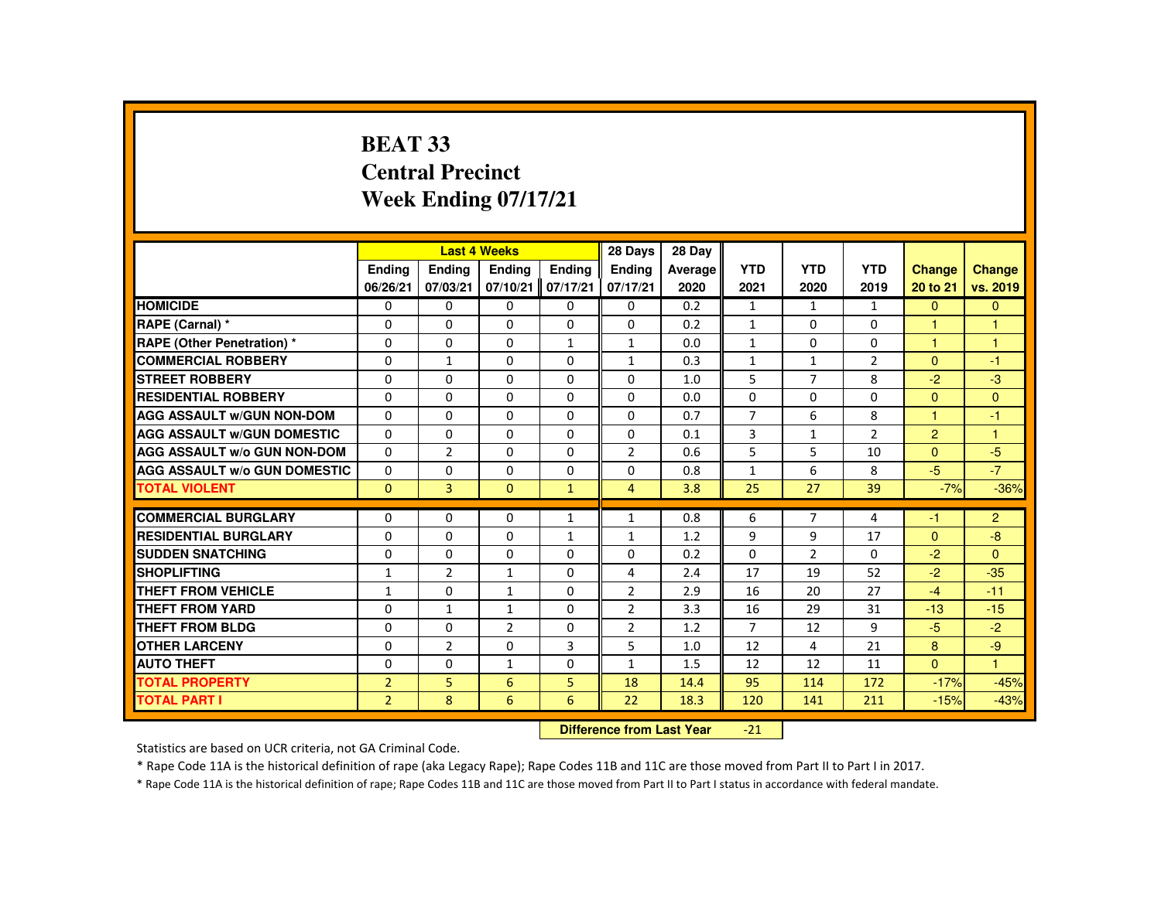# **BEAT 33 Central PrecinctWeek Ending 07/17/21**

|                                     |                |                | <b>Last 4 Weeks</b>              |                   | 28 Days        | 28 Day  |                |                |                |                |                |
|-------------------------------------|----------------|----------------|----------------------------------|-------------------|----------------|---------|----------------|----------------|----------------|----------------|----------------|
|                                     | <b>Endina</b>  | <b>Endina</b>  | <b>Endina</b>                    | <b>Endina</b>     | <b>Endina</b>  | Average | <b>YTD</b>     | <b>YTD</b>     | <b>YTD</b>     | <b>Change</b>  | <b>Change</b>  |
|                                     | 06/26/21       | 07/03/21       |                                  | 07/10/21 07/17/21 | 07/17/21       | 2020    | 2021           | 2020           | 2019           | 20 to 21       | vs. 2019       |
| <b>HOMICIDE</b>                     | 0              | 0              | 0                                | 0                 | 0              | 0.2     | $\mathbf{1}$   | $\mathbf{1}$   | $\mathbf{1}$   | $\mathbf{0}$   | $\mathbf{0}$   |
| RAPE (Carnal) *                     | $\Omega$       | $\Omega$       | $\Omega$                         | $\Omega$          | $\Omega$       | 0.2     | $\mathbf{1}$   | $\Omega$       | $\Omega$       | $\overline{1}$ | $\overline{1}$ |
| <b>RAPE (Other Penetration) *</b>   | $\Omega$       | $\Omega$       | $\Omega$                         | $\mathbf{1}$      | $\mathbf{1}$   | 0.0     | $\mathbf{1}$   | $\Omega$       | $\Omega$       | $\mathbf{1}$   | $\mathbf{1}$   |
| <b>COMMERCIAL ROBBERY</b>           | 0              | $\mathbf{1}$   | 0                                | 0                 | $\mathbf{1}$   | 0.3     | $\mathbf{1}$   | $\mathbf{1}$   | $\overline{2}$ | $\mathbf{0}$   | $-1$           |
| <b>STREET ROBBERY</b>               | $\Omega$       | $\Omega$       | $\Omega$                         | $\Omega$          | $\Omega$       | 1.0     | 5              | $\overline{7}$ | 8              | $-2$           | $-3$           |
| <b>RESIDENTIAL ROBBERY</b>          | $\Omega$       | $\Omega$       | $\Omega$                         | $\Omega$          | $\Omega$       | 0.0     | $\Omega$       | $\Omega$       | $\Omega$       | $\Omega$       | $\mathbf{0}$   |
| <b>AGG ASSAULT W/GUN NON-DOM</b>    | $\Omega$       | $\Omega$       | $\Omega$                         | $\Omega$          | $\Omega$       | 0.7     | $\overline{7}$ | 6              | 8              | $\mathbf{1}$   | $-1$           |
| <b>AGG ASSAULT W/GUN DOMESTIC</b>   | 0              | 0              | 0                                | 0                 | 0              | 0.1     | 3              | $\mathbf{1}$   | $\overline{2}$ | $\overline{2}$ | $\mathbf{1}$   |
| <b>AGG ASSAULT W/o GUN NON-DOM</b>  | 0              | 2              | 0                                | 0                 | $\overline{2}$ | 0.6     | 5              | 5              | 10             | $\Omega$       | $-5$           |
| <b>AGG ASSAULT W/o GUN DOMESTIC</b> | $\Omega$       | $\Omega$       | $\Omega$                         | $\Omega$          | $\Omega$       | 0.8     | $\mathbf{1}$   | 6              | 8              | $-5$           | $-7$           |
| <b>TOTAL VIOLENT</b>                | $\Omega$       | $\overline{3}$ | $\Omega$                         | $\mathbf{1}$      | $\overline{4}$ | 3.8     | 25             | 27             | 39             | $-7%$          | $-36%$         |
|                                     |                |                |                                  |                   |                |         |                |                |                |                |                |
| <b>COMMERCIAL BURGLARY</b>          | 0              | 0              | 0                                | $\mathbf{1}$      | $\mathbf{1}$   | 0.8     | 6              | $\overline{7}$ | 4              | $-1$           | $\overline{2}$ |
| <b>RESIDENTIAL BURGLARY</b>         | 0              | 0              | 0                                | $\mathbf{1}$      | $\mathbf{1}$   | 1.2     | 9              | 9              | 17             | $\Omega$       | $-8$           |
| <b>SUDDEN SNATCHING</b>             | $\Omega$       | $\Omega$       | $\Omega$                         | $\Omega$          | $\Omega$       | 0.2     | $\Omega$       | $\overline{2}$ | $\Omega$       | $-2$           | $\Omega$       |
| <b>SHOPLIFTING</b>                  | $\mathbf{1}$   | $\overline{2}$ | $\mathbf{1}$                     | $\Omega$          | $\overline{4}$ | 2.4     | 17             | 19             | 52             | $-2$           | $-35$          |
| <b>THEFT FROM VEHICLE</b>           | $\mathbf{1}$   | $\Omega$       | $\mathbf{1}$                     | $\Omega$          | $\overline{2}$ | 2.9     | 16             | 20             | 27             | $-4$           | $-11$          |
| <b>THEFT FROM YARD</b>              | $\Omega$       | $\mathbf{1}$   | $\mathbf{1}$                     | $\Omega$          | $\overline{2}$ | 3.3     | 16             | 29             | 31             | $-13$          | $-15$          |
| <b>THEFT FROM BLDG</b>              | 0              | 0              | $\overline{2}$                   | 0                 | $\overline{2}$ | 1.2     | 7              | 12             | 9              | $-5$           | $-2$           |
| <b>OTHER LARCENY</b>                | $\Omega$       | $\overline{2}$ | $\Omega$                         | 3                 | 5              | 1.0     | 12             | 4              | 21             | 8              | $-9$           |
| <b>AUTO THEFT</b>                   | $\Omega$       | $\Omega$       | $\mathbf{1}$                     | $\Omega$          | $\mathbf{1}$   | 1.5     | 12             | 12             | 11             | $\Omega$       | $\mathbf{1}$   |
| <b>TOTAL PROPERTY</b>               | $\overline{2}$ | 5              | 6                                | 5                 | 18             | 14.4    | 95             | 114            | 172            | $-17%$         | $-45%$         |
| <b>TOTAL PART I</b>                 | $\overline{2}$ | 8              | 6                                | 6                 | 22             | 18.3    | 120            | 141            | 211            | $-15%$         | $-43%$         |
|                                     |                |                | <b>Difference from Last Year</b> |                   | $-21$          |         |                |                |                |                |                |

Statistics are based on UCR criteria, not GA Criminal Code.

\* Rape Code 11A is the historical definition of rape (aka Legacy Rape); Rape Codes 11B and 11C are those moved from Part II to Part I in 2017.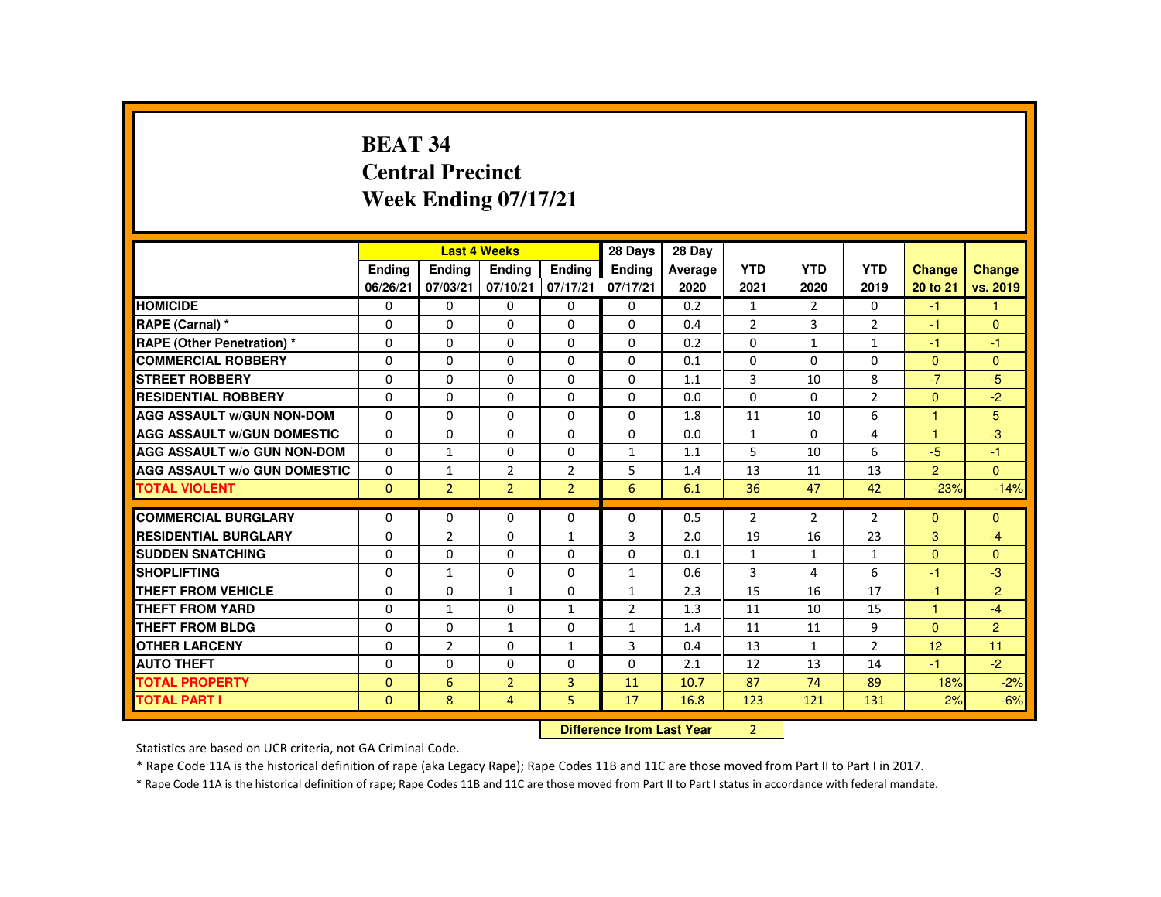# **BEAT 34 Central PrecinctWeek Ending 07/17/21**

|                                     |              |                | <b>Last 4 Weeks</b>              |                | 28 Days        | 28 Day  |                |                |                |                      |                |
|-------------------------------------|--------------|----------------|----------------------------------|----------------|----------------|---------|----------------|----------------|----------------|----------------------|----------------|
|                                     | Ending       | Ending         | Ending                           | <b>Endina</b>  | Ending         | Average | <b>YTD</b>     | <b>YTD</b>     | <b>YTD</b>     | <b>Change</b>        | Change         |
|                                     | 06/26/21     | 07/03/21       | 07/10/21                         | 07/17/21       | 07/17/21       | 2020    | 2021           | 2020           | 2019           | 20 to 21             | vs. 2019       |
| <b>HOMICIDE</b>                     | $\Omega$     | 0              | 0                                | 0              | 0              | 0.2     | $\mathbf{1}$   | $\overline{2}$ | $\Omega$       | $-1$                 | 1              |
| RAPE (Carnal) *                     | $\Omega$     | $\Omega$       | $\Omega$                         | $\Omega$       | $\Omega$       | 0.4     | $\overline{2}$ | $\overline{3}$ | $\overline{2}$ | -1                   | $\Omega$       |
| <b>RAPE (Other Penetration)*</b>    | $\Omega$     | $\Omega$       | $\Omega$                         | $\Omega$       | $\Omega$       | 0.2     | $\Omega$       | $\mathbf{1}$   | $\mathbf{1}$   | $-1$                 | $-1$           |
| <b>COMMERCIAL ROBBERY</b>           | 0            | $\Omega$       | $\Omega$                         | $\Omega$       | $\Omega$       | 0.1     | $\Omega$       | $\Omega$       | $\Omega$       | $\Omega$             | $\Omega$       |
| <b>STREET ROBBERY</b>               | 0            | $\Omega$       | $\Omega$                         | $\Omega$       | $\Omega$       | 1.1     | 3              | 10             | 8              | $-7$                 | $-5$           |
| <b>RESIDENTIAL ROBBERY</b>          | $\Omega$     | $\Omega$       | $\Omega$                         | $\Omega$       | $\Omega$       | 0.0     | $\Omega$       | $\Omega$       | $\overline{2}$ | $\Omega$             | $-2$           |
| <b>AGG ASSAULT W/GUN NON-DOM</b>    | $\Omega$     | $\Omega$       | $\Omega$                         | $\Omega$       | $\Omega$       | 1.8     | 11             | 10             | 6              | $\overline{1}$       | 5              |
| <b>AGG ASSAULT W/GUN DOMESTIC</b>   | $\Omega$     | $\Omega$       | $\Omega$                         | $\Omega$       | $\Omega$       | 0.0     | $\mathbf{1}$   | $\Omega$       | 4              | $\blacktriangleleft$ | $-3$           |
| <b>AGG ASSAULT W/o GUN NON-DOM</b>  | $\Omega$     | $\mathbf{1}$   | 0                                | 0              | $\mathbf{1}$   | 1.1     | 5              | 10             | 6              | $-5$                 | $-1$           |
| <b>AGG ASSAULT W/o GUN DOMESTIC</b> | $\Omega$     | $\mathbf{1}$   | $\overline{2}$                   | $\overline{2}$ | 5              | 1.4     | 13             | 11             | 13             | $\overline{2}$       | $\Omega$       |
| <b>TOTAL VIOLENT</b>                | $\mathbf{0}$ | $\overline{2}$ | $\overline{2}$                   | $\overline{2}$ | 6              | 6.1     | 36             | 47             | 42             | $-23%$               | $-14%$         |
| <b>COMMERCIAL BURGLARY</b>          | $\Omega$     | $\Omega$       | $\Omega$                         | 0              | $\Omega$       | 0.5     | $\overline{2}$ | $\overline{2}$ | $\overline{2}$ | $\Omega$             | $\Omega$       |
| <b>RESIDENTIAL BURGLARY</b>         | $\Omega$     | $\overline{2}$ | $\Omega$                         | $\mathbf{1}$   | 3              | 2.0     | 19             | 16             | 23             | 3                    | $-4$           |
| <b>SUDDEN SNATCHING</b>             | $\Omega$     | $\Omega$       | $\Omega$                         | $\Omega$       | $\Omega$       | 0.1     | $\mathbf{1}$   | $\mathbf{1}$   | $\mathbf{1}$   | $\Omega$             | $\Omega$       |
| <b>SHOPLIFTING</b>                  | 0            | $\mathbf{1}$   | 0                                | 0              | $\mathbf{1}$   | 0.6     | 3              | 4              | 6              | -1                   | $-3$           |
| <b>THEFT FROM VEHICLE</b>           | $\Omega$     | $\Omega$       | $\mathbf{1}$                     | $\Omega$       | 1              | 2.3     | 15             | 16             | 17             | -1                   | $-2$           |
| <b>THEFT FROM YARD</b>              | $\Omega$     | $\mathbf{1}$   | $\Omega$                         | $\mathbf{1}$   | $\overline{2}$ | 1.3     | 11             | 10             | 15             | $\overline{1}$       | $-4$           |
| <b>THEFT FROM BLDG</b>              | $\Omega$     | $\Omega$       | $\mathbf{1}$                     | $\Omega$       | $\mathbf{1}$   | 1.4     | 11             | 11             | 9              | $\Omega$             | $\overline{2}$ |
| <b>OTHER LARCENY</b>                | $\Omega$     | $\overline{2}$ | $\Omega$                         | $\mathbf{1}$   | 3              | 0.4     | 13             | $\mathbf{1}$   | $\overline{2}$ | 12                   | 11             |
| <b>AUTO THEFT</b>                   | 0            | $\Omega$       | $\Omega$                         | $\Omega$       | $\Omega$       | 2.1     | 12             | 13             | 14             | -1                   | $-2$           |
| <b>TOTAL PROPERTY</b>               | $\Omega$     | 6              | $\overline{2}$                   | 3              | 11             | 10.7    | 87             | 74             | 89             | 18%                  | $-2%$          |
| <b>TOTAL PART I</b>                 | $\mathbf{0}$ | 8              | $\overline{4}$                   | 5              | 17             | 16.8    | 123            | 121            | 131            | 2%                   | $-6%$          |
|                                     |              |                | <b>Difference from Last Year</b> |                | $\overline{2}$ |         |                |                |                |                      |                |

 **Difference from Last Year**

Statistics are based on UCR criteria, not GA Criminal Code.

\* Rape Code 11A is the historical definition of rape (aka Legacy Rape); Rape Codes 11B and 11C are those moved from Part II to Part I in 2017.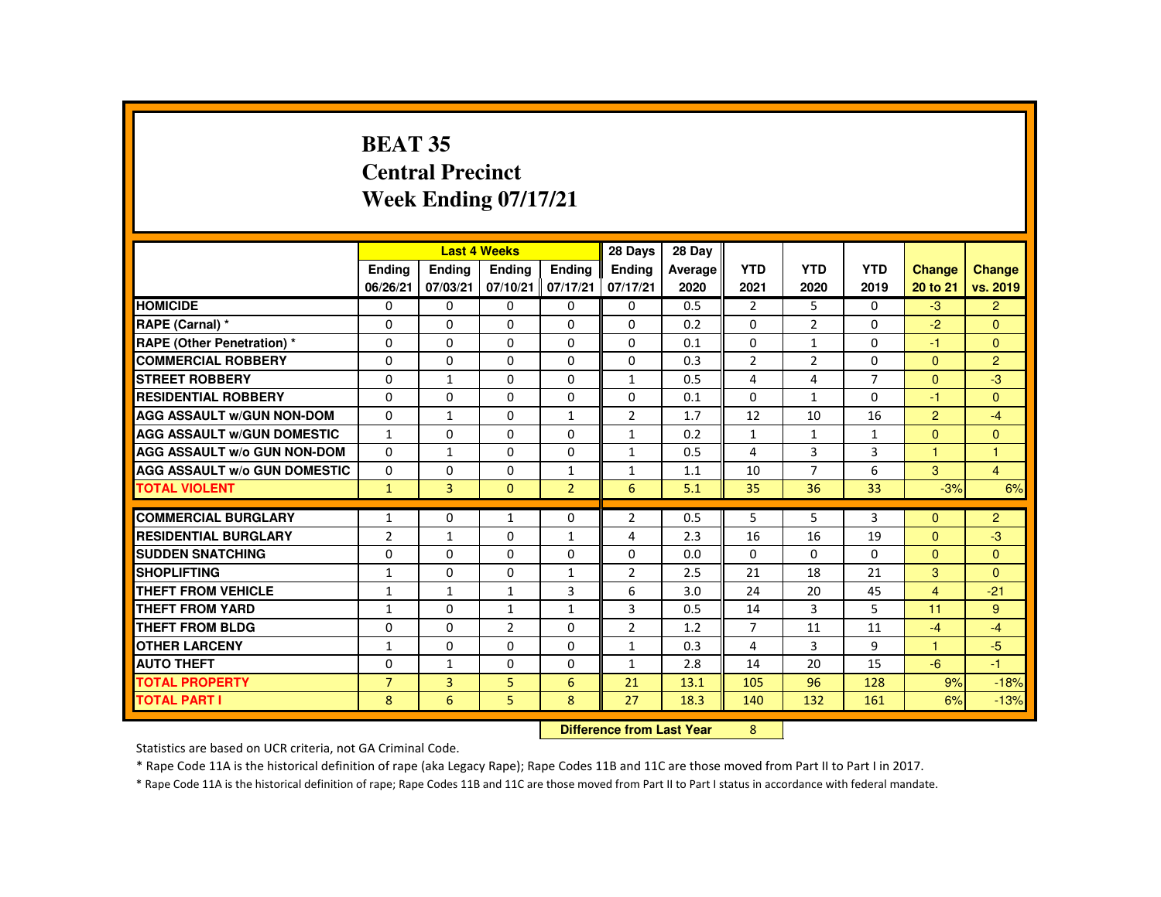# **BEAT 35 Central PrecinctWeek Ending 07/17/21**

|                                     |                |                | <b>Last 4 Weeks</b>       |                | 28 Days        | 28 Day  |                |                |                |                      |                |
|-------------------------------------|----------------|----------------|---------------------------|----------------|----------------|---------|----------------|----------------|----------------|----------------------|----------------|
|                                     | Ending         | Ending         | <b>Ending</b>             | Ending         | Ending         | Average | <b>YTD</b>     | <b>YTD</b>     | <b>YTD</b>     | <b>Change</b>        | Change         |
|                                     | 06/26/21       | 07/03/21       | 07/10/21                  | 07/17/21       | 07/17/21       | 2020    | 2021           | 2020           | 2019           | 20 to 21             | vs. 2019       |
| <b>HOMICIDE</b>                     | 0              | $\mathbf 0$    | 0                         | 0              | 0              | 0.5     | $\overline{2}$ | 5              | $\mathbf{0}$   | $-3$                 | $\overline{2}$ |
| RAPE (Carnal) *                     | 0              | $\Omega$       | $\Omega$                  | $\Omega$       | $\Omega$       | 0.2     | $\Omega$       | $\overline{2}$ | $\Omega$       | $-2$                 | $\Omega$       |
| <b>RAPE (Other Penetration) *</b>   | $\Omega$       | $\Omega$       | $\Omega$                  | $\Omega$       | $\Omega$       | 0.1     | $\Omega$       | $\mathbf{1}$   | $\Omega$       | $-1$                 | $\mathbf{0}$   |
| <b>COMMERCIAL ROBBERY</b>           | $\Omega$       | $\Omega$       | $\Omega$                  | $\Omega$       | $\Omega$       | 0.3     | $\overline{2}$ | $\overline{2}$ | $\Omega$       | $\Omega$             | $\overline{2}$ |
| <b>STREET ROBBERY</b>               | 0              | $\mathbf{1}$   | $\Omega$                  | $\Omega$       | $\mathbf{1}$   | 0.5     | 4              | 4              | $\overline{7}$ | $\Omega$             | $-3$           |
| <b>RESIDENTIAL ROBBERY</b>          | $\Omega$       | $\Omega$       | $\Omega$                  | $\Omega$       | $\Omega$       | 0.1     | $\Omega$       | $\mathbf{1}$   | $\Omega$       | $-1$                 | $\Omega$       |
| <b>AGG ASSAULT W/GUN NON-DOM</b>    | $\Omega$       | $\mathbf{1}$   | $\Omega$                  | $\mathbf{1}$   | 2              | 1.7     | 12             | 10             | 16             | $\overline{2}$       | $-4$           |
| <b>AGG ASSAULT W/GUN DOMESTIC</b>   | $\mathbf{1}$   | $\Omega$       | $\Omega$                  | $\Omega$       | $\mathbf{1}$   | 0.2     | $\mathbf{1}$   | $\mathbf{1}$   | $\mathbf{1}$   | $\Omega$             | $\Omega$       |
| <b>AGG ASSAULT W/o GUN NON-DOM</b>  | $\Omega$       | $\mathbf{1}$   | 0                         | 0              | $\mathbf{1}$   | 0.5     | 4              | 3              | 3              | $\blacktriangleleft$ | $\overline{1}$ |
| <b>AGG ASSAULT W/o GUN DOMESTIC</b> | $\Omega$       | $\Omega$       | $\Omega$                  | $\mathbf{1}$   | $\mathbf{1}$   | 1.1     | 10             | $\overline{7}$ | 6              | 3                    | $\overline{4}$ |
| <b>TOTAL VIOLENT</b>                | $\mathbf{1}$   | $\overline{3}$ | $\mathbf{0}$              | $\overline{2}$ | 6              | 5.1     | 35             | 36             | 33             | $-3%$                | 6%             |
| <b>COMMERCIAL BURGLARY</b>          | $\mathbf{1}$   | 0              | $\mathbf{1}$              | 0              | 2              | 0.5     | 5              | 5              | 3              | $\Omega$             | $\overline{2}$ |
| <b>RESIDENTIAL BURGLARY</b>         | $\overline{2}$ | $\mathbf{1}$   | $\Omega$                  | $\mathbf{1}$   | 4              | 2.3     | 16             | 16             | 19             | $\Omega$             | $-3$           |
| <b>SUDDEN SNATCHING</b>             | $\Omega$       | $\Omega$       | $\Omega$                  | $\Omega$       | $\Omega$       | 0.0     | $\Omega$       | $\Omega$       | $\Omega$       | $\Omega$             | $\Omega$       |
| <b>SHOPLIFTING</b>                  | $\mathbf{1}$   | 0              | 0                         | $\mathbf{1}$   | 2              | 2.5     | 21             | 18             | 21             | 3                    | $\Omega$       |
| <b>THEFT FROM VEHICLE</b>           | $\mathbf{1}$   | $\mathbf{1}$   | $\mathbf{1}$              | 3              | 6              | 3.0     | 24             | 20             | 45             | $\overline{4}$       | $-21$          |
| <b>THEFT FROM YARD</b>              | $\mathbf{1}$   | $\Omega$       | $\mathbf{1}$              | $\mathbf{1}$   | 3              | 0.5     | 14             | 3              | 5              | 11                   | 9              |
| <b>THEFT FROM BLDG</b>              | $\Omega$       | $\Omega$       | $\overline{2}$            | $\Omega$       | $\overline{2}$ | 1.2     | $\overline{7}$ | 11             | 11             | $-4$                 | $-4$           |
| <b>OTHER LARCENY</b>                | $\mathbf{1}$   | $\Omega$       | $\Omega$                  | $\Omega$       | $\mathbf{1}$   | 0.3     | 4              | 3              | 9              | $\mathbf{1}$         | $-5$           |
| <b>AUTO THEFT</b>                   | $\Omega$       | $\mathbf{1}$   | $\Omega$                  | $\Omega$       | $\mathbf{1}$   | 2.8     | 14             | 20             | 15             | $-6$                 | $-1$           |
| <b>TOTAL PROPERTY</b>               | $\overline{7}$ | 3              | 5                         | 6              | 21             | 13.1    | 105            | 96             | 128            | 9%                   | $-18%$         |
| <b>TOTAL PART I</b>                 | 8              | 6              | 5                         | 8              | 27             | 18.3    | 140            | 132            | 161            | 6%                   | $-13%$         |
|                                     |                |                | Difference from Last Year |                | 8              |         |                |                |                |                      |                |

 **Difference from Last Year**

Statistics are based on UCR criteria, not GA Criminal Code.

\* Rape Code 11A is the historical definition of rape (aka Legacy Rape); Rape Codes 11B and 11C are those moved from Part II to Part I in 2017.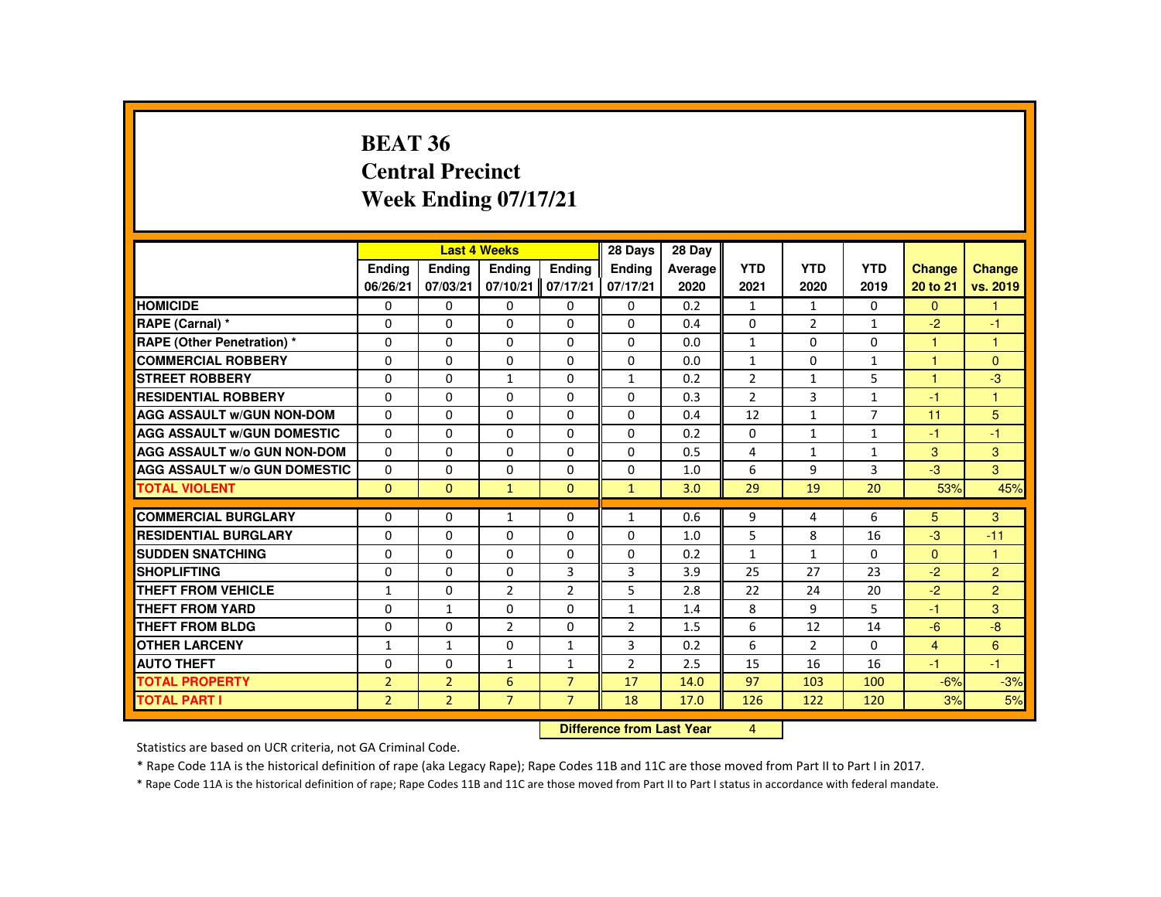#### **BEAT 36 Central PrecinctWeek Ending 07/17/21**

|                                     |                |                | <b>Last 4 Weeks</b> |                           | 28 Days        | 28 Day  |                |                |                |                      |                |
|-------------------------------------|----------------|----------------|---------------------|---------------------------|----------------|---------|----------------|----------------|----------------|----------------------|----------------|
|                                     | <b>Endina</b>  | <b>Ending</b>  | Ending              | <b>Endina</b>             | <b>Ending</b>  | Average | <b>YTD</b>     | <b>YTD</b>     | <b>YTD</b>     | <b>Change</b>        | Change         |
|                                     | 06/26/21       | 07/03/21       |                     | 07/10/21 07/17/21         | 07/17/21       | 2020    | 2021           | 2020           | 2019           | 20 to 21             | vs. 2019       |
| <b>HOMICIDE</b>                     | $\Omega$       | $\Omega$       | 0                   | $\Omega$                  | 0              | 0.2     | $\mathbf{1}$   | $\mathbf{1}$   | $\mathbf{0}$   | $\Omega$             | $\mathbf{1}$   |
| RAPE (Carnal) *                     | $\Omega$       | $\Omega$       | $\Omega$            | $\Omega$                  | $\Omega$       | 0.4     | $\Omega$       | $\overline{2}$ | $\mathbf{1}$   | $-2$                 | $-1$           |
| <b>RAPE (Other Penetration) *</b>   | $\Omega$       | 0              | $\Omega$            | $\Omega$                  | $\Omega$       | 0.0     | $\mathbf{1}$   | 0              | $\Omega$       | $\mathbf{1}$         | $\mathbf{1}$   |
| <b>COMMERCIAL ROBBERY</b>           | $\Omega$       | $\Omega$       | $\Omega$            | $\Omega$                  | $\Omega$       | 0.0     | $\mathbf{1}$   | $\Omega$       | $\mathbf{1}$   | $\blacktriangleleft$ | $\Omega$       |
| <b>STREET ROBBERY</b>               | $\Omega$       | $\Omega$       | $\mathbf{1}$        | $\Omega$                  | $\mathbf{1}$   | 0.2     | $\overline{2}$ | $\mathbf{1}$   | 5              | $\overline{1}$       | $-3$           |
| <b>RESIDENTIAL ROBBERY</b>          | $\Omega$       | 0              | $\Omega$            | $\Omega$                  | $\Omega$       | 0.3     | $\overline{2}$ | 3              | $\mathbf{1}$   | $-1$                 | $\mathbf{1}$   |
| <b>AGG ASSAULT W/GUN NON-DOM</b>    | 0              | 0              | 0                   | 0                         | $\Omega$       | 0.4     | 12             | $\mathbf{1}$   | $\overline{7}$ | 11                   | 5              |
| <b>AGG ASSAULT W/GUN DOMESTIC</b>   | $\Omega$       | 0              | $\Omega$            | 0                         | 0              | 0.2     | $\mathbf{0}$   | $\mathbf{1}$   | $\mathbf{1}$   | $-1$                 | $-1$           |
| <b>AGG ASSAULT W/o GUN NON-DOM</b>  | 0              | 0              | 0                   | 0                         | 0              | 0.5     | 4              | $\mathbf{1}$   | $\mathbf{1}$   | 3                    | 3              |
| <b>AGG ASSAULT W/o GUN DOMESTIC</b> | $\Omega$       | $\Omega$       | $\Omega$            | $\Omega$                  | $\Omega$       | 1.0     | 6              | 9              | 3              | $-3$                 | 3 <sup>1</sup> |
| <b>TOTAL VIOLENT</b>                | $\mathbf{0}$   | $\mathbf{0}$   | $\mathbf{1}$        | $\mathbf{0}$              | $\mathbf{1}$   | 3.0     | 29             | 19             | 20             | 53%                  | 45%            |
|                                     |                |                |                     |                           |                |         |                |                |                |                      |                |
| <b>COMMERCIAL BURGLARY</b>          | 0              | $\Omega$       | $\mathbf{1}$        | $\Omega$                  | $\mathbf{1}$   | 0.6     | 9              | 4              | 6              | 5                    | 3              |
| <b>RESIDENTIAL BURGLARY</b>         | $\Omega$       | $\Omega$       | $\Omega$            | $\Omega$                  | $\Omega$       | 1.0     | 5              | 8              | 16             | $-3$                 | $-11$          |
| <b>SUDDEN SNATCHING</b>             | 0              | 0              | 0                   | 0                         | 0              | 0.2     | $\mathbf{1}$   | $\mathbf{1}$   | 0              | $\mathbf{0}$         | $\mathbf{1}$   |
| <b>SHOPLIFTING</b>                  | $\Omega$       | $\Omega$       | $\Omega$            | 3                         | 3              | 3.9     | 25             | 27             | 23             | $-2$                 | $\overline{2}$ |
| <b>THEFT FROM VEHICLE</b>           | $\mathbf{1}$   | $\Omega$       | $\overline{2}$      | $\overline{2}$            | 5              | 2.8     | 22             | 24             | 20             | $-2$                 | $\overline{2}$ |
| <b>THEFT FROM YARD</b>              | $\Omega$       | $\mathbf{1}$   | $\Omega$            | $\Omega$                  | $\mathbf{1}$   | 1.4     | 8              | 9              | 5              | $-1$                 | 3              |
| <b>THEFT FROM BLDG</b>              | $\Omega$       | $\Omega$       | $\overline{2}$      | $\Omega$                  | $\overline{2}$ | 1.5     | 6              | 12             | 14             | $-6$                 | $-8$           |
| <b>OTHER LARCENY</b>                | $\mathbf{1}$   | $\mathbf{1}$   | $\Omega$            | $\mathbf{1}$              | 3              | 0.2     | 6              | 2              | $\Omega$       | $\overline{4}$       | 6              |
| <b>AUTO THEFT</b>                   | $\Omega$       | $\Omega$       | $\mathbf{1}$        | $\mathbf{1}$              | $\overline{2}$ | 2.5     | 15             | 16             | 16             | $-1$                 | $-1$           |
| <b>TOTAL PROPERTY</b>               | $\overline{2}$ | $\overline{2}$ | 6                   | $\overline{7}$            | 17             | 14.0    | 97             | 103            | 100            | $-6%$                | $-3%$          |
| <b>TOTAL PART I</b>                 | $\overline{2}$ | $\overline{2}$ | $\overline{7}$      | $\overline{7}$            | 18             | 17.0    | 126            | 122            | 120            | 3%                   | 5%             |
|                                     |                |                |                     | Difference from Loot Vear | $\mathbf{A}$   |         |                |                |                |                      |                |

**Difference from Last Year** 4

Statistics are based on UCR criteria, not GA Criminal Code.

\* Rape Code 11A is the historical definition of rape (aka Legacy Rape); Rape Codes 11B and 11C are those moved from Part II to Part I in 2017.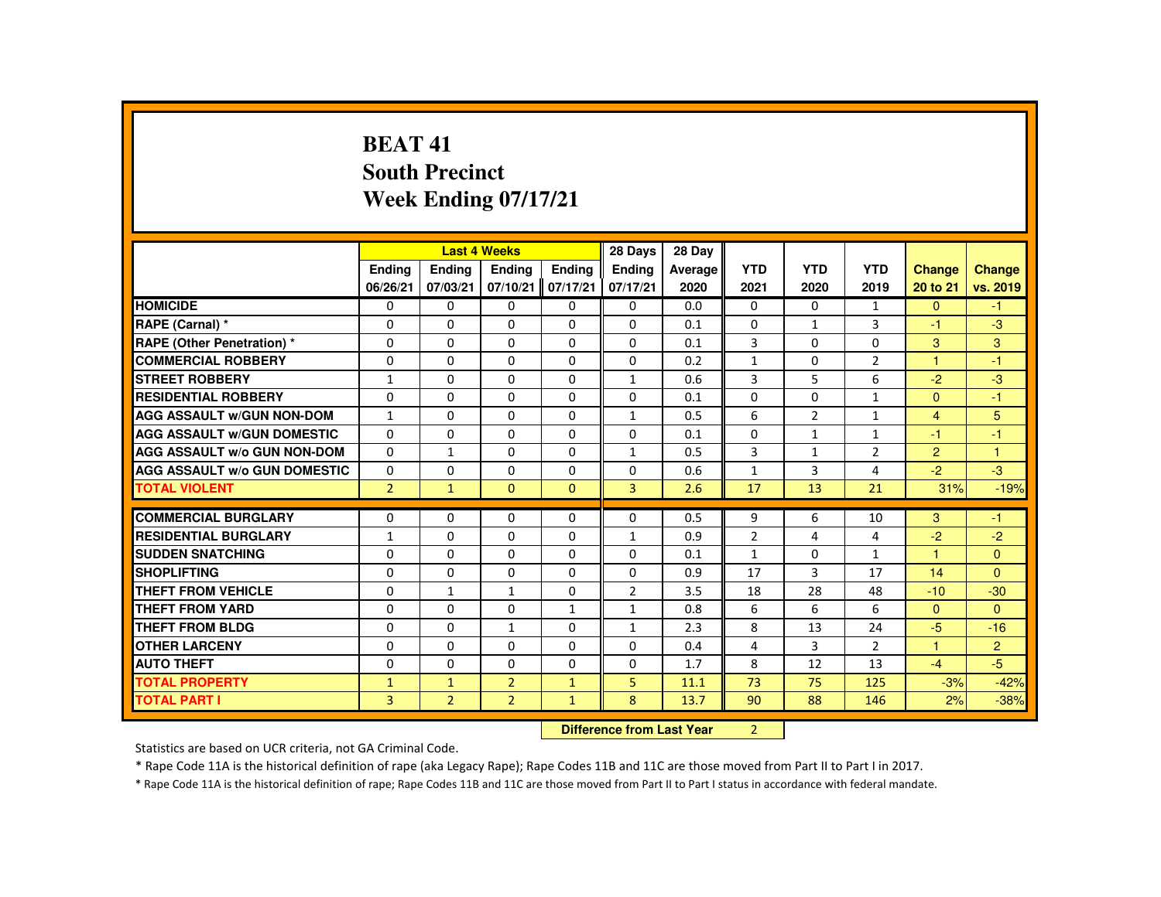# **BEAT 41 South PrecinctWeek Ending 07/17/21**

|                                     |                |                | <b>Last 4 Weeks</b> |              | 28 Days        | 28 Day  |                |                |                |                |                |
|-------------------------------------|----------------|----------------|---------------------|--------------|----------------|---------|----------------|----------------|----------------|----------------|----------------|
|                                     | <b>Ending</b>  | <b>Ending</b>  | <b>Ending</b>       | Ending       | Ending         | Average | <b>YTD</b>     | <b>YTD</b>     | <b>YTD</b>     | <b>Change</b>  | <b>Change</b>  |
|                                     | 06/26/21       | 07/03/21       | 07/10/21            | 07/17/21     | 07/17/21       | 2020    | 2021           | 2020           | 2019           | 20 to 21       | vs. 2019       |
| <b>HOMICIDE</b>                     | $\Omega$       | $\Omega$       | $\mathbf{0}$        | $\Omega$     | 0              | 0.0     | 0              | $\Omega$       | $\mathbf{1}$   | $\Omega$       | $-1$           |
| RAPE (Carnal) *                     | 0              | $\Omega$       | $\Omega$            | $\Omega$     | $\Omega$       | 0.1     | $\Omega$       | $\mathbf{1}$   | 3              | -1             | $-3$           |
| <b>RAPE (Other Penetration) *</b>   | $\Omega$       | $\Omega$       | $\Omega$            | $\Omega$     | $\Omega$       | 0.1     | 3              | $\Omega$       | $\Omega$       | 3              | 3              |
| <b>COMMERCIAL ROBBERY</b>           | $\Omega$       | $\Omega$       | $\Omega$            | $\Omega$     | $\Omega$       | 0.2     | $\mathbf{1}$   | $\Omega$       | $\overline{2}$ | 1              | $-1$           |
| <b>STREET ROBBERY</b>               | $\mathbf{1}$   | $\Omega$       | $\Omega$            | $\Omega$     | $\mathbf{1}$   | 0.6     | 3              | 5              | 6              | $-2$           | $-3$           |
| <b>RESIDENTIAL ROBBERY</b>          | $\Omega$       | $\Omega$       | $\Omega$            | $\mathbf{0}$ | 0              | 0.1     | $\Omega$       | 0              | $\mathbf{1}$   | $\Omega$       | $-1$           |
| <b>AGG ASSAULT W/GUN NON-DOM</b>    | $\mathbf{1}$   | $\Omega$       | $\Omega$            | $\Omega$     | $\mathbf{1}$   | 0.5     | 6              | $\overline{2}$ | $\mathbf{1}$   | $\overline{4}$ | 5              |
| <b>AGG ASSAULT W/GUN DOMESTIC</b>   | $\Omega$       | $\Omega$       | $\Omega$            | $\Omega$     | 0              | 0.1     | $\Omega$       | 1              | $\mathbf{1}$   | -1             | $-1$           |
| <b>AGG ASSAULT W/o GUN NON-DOM</b>  | $\Omega$       | $\mathbf{1}$   | $\Omega$            | $\Omega$     | $\mathbf{1}$   | 0.5     | 3              | $\mathbf{1}$   | $\overline{2}$ | $\overline{2}$ | $\mathbf{1}$   |
| <b>AGG ASSAULT W/o GUN DOMESTIC</b> | $\Omega$       | $\Omega$       | $\Omega$            | $\Omega$     | $\Omega$       | 0.6     | $\mathbf{1}$   | $\overline{3}$ | 4              | $-2$           | $-3$           |
| <b>TOTAL VIOLENT</b>                | 2 <sup>1</sup> | $\mathbf{1}$   | $\mathbf{0}$        | $\mathbf{0}$ | 3              | 2.6     | 17             | 13             | 21             | 31%            | $-19%$         |
|                                     |                |                |                     |              |                |         |                |                |                |                |                |
| <b>COMMERCIAL BURGLARY</b>          | $\Omega$       | $\Omega$       | $\Omega$            | $\Omega$     | $\Omega$       | 0.5     | 9              | 6              | 10             | 3              | $-1$           |
| <b>RESIDENTIAL BURGLARY</b>         | $\mathbf{1}$   | $\Omega$       | $\Omega$            | $\Omega$     | $\mathbf{1}$   | 0.9     | $\overline{2}$ | 4              | 4              | $-2$           | $-2$           |
| <b>SUDDEN SNATCHING</b>             | $\Omega$       | $\mathbf{0}$   | $\mathbf{0}$        | 0            | 0              | 0.1     | $\mathbf{1}$   | 0              | $\mathbf{1}$   | 1              | $\mathbf{0}$   |
| <b>SHOPLIFTING</b>                  | $\Omega$       | $\Omega$       | $\Omega$            | $\Omega$     | $\Omega$       | 0.9     | 17             | 3              | 17             | 14             | $\Omega$       |
| <b>THEFT FROM VEHICLE</b>           | $\Omega$       | $\mathbf{1}$   | $\mathbf{1}$        | $\Omega$     | $\overline{2}$ | 3.5     | 18             | 28             | 48             | $-10$          | $-30$          |
| <b>THEFT FROM YARD</b>              | $\Omega$       | $\Omega$       | $\Omega$            | $\mathbf{1}$ | $\mathbf{1}$   | 0.8     | 6              | 6              | 6              | $\mathbf{0}$   | $\Omega$       |
| <b>THEFT FROM BLDG</b>              | $\Omega$       | $\Omega$       | $\mathbf{1}$        | $\Omega$     | $\mathbf{1}$   | 2.3     | 8              | 13             | 24             | $-5$           | $-16$          |
| <b>OTHER LARCENY</b>                | $\Omega$       | $\Omega$       | $\Omega$            | 0            | $\Omega$       | 0.4     | 4              | 3              | $\overline{2}$ | 1              | $\overline{2}$ |
| <b>AUTO THEFT</b>                   | $\Omega$       | $\Omega$       | $\Omega$            | $\Omega$     | $\Omega$       | 1.7     | 8              | 12             | 13             | $-4$           | $-5$           |
| <b>TOTAL PROPERTY</b>               | $\mathbf{1}$   | $\mathbf{1}$   | $\overline{2}$      | $\mathbf{1}$ | 5              | 11.1    | 73             | 75             | 125            | $-3%$          | $-42%$         |
| <b>TOTAL PART I</b>                 | $\overline{3}$ | $\overline{2}$ | $\overline{2}$      | $\mathbf{1}$ | 8              | 13.7    | 90             | 88             | 146            | 2%             | $-38%$         |
|                                     |                |                |                     |              |                |         | $\sim$         |                |                |                |                |

 **Difference from Last Year**<sup>2</sup>

Statistics are based on UCR criteria, not GA Criminal Code.

\* Rape Code 11A is the historical definition of rape (aka Legacy Rape); Rape Codes 11B and 11C are those moved from Part II to Part I in 2017.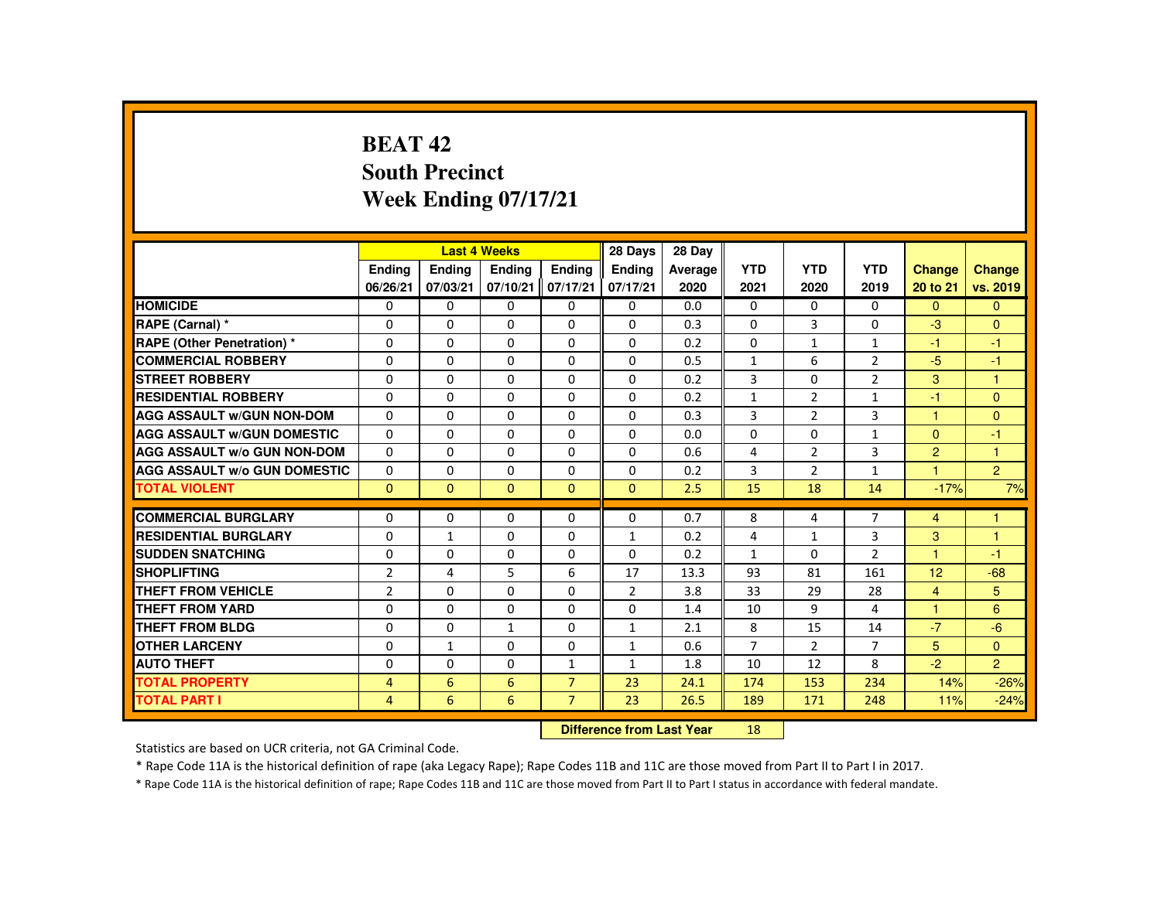# **BEAT 42 South PrecinctWeek Ending 07/17/21**

|                                     |                           |               | <b>Last 4 Weeks</b> |                | 28 Days        | 28 Day  |                |                |                |                |                |
|-------------------------------------|---------------------------|---------------|---------------------|----------------|----------------|---------|----------------|----------------|----------------|----------------|----------------|
|                                     | <b>Endina</b>             | <b>Endina</b> | <b>Endina</b>       | <b>Endina</b>  | <b>Endina</b>  | Average | <b>YTD</b>     | <b>YTD</b>     | <b>YTD</b>     | Change         | <b>Change</b>  |
|                                     | 06/26/21                  | 07/03/21      | 07/10/21            | 07/17/21       | 07/17/21       | 2020    | 2021           | 2020           | 2019           | 20 to 21       | vs. 2019       |
| <b>HOMICIDE</b>                     | 0                         | $\mathbf{0}$  | 0                   | 0              | 0              | 0.0     | 0              | 0              | $\mathbf{0}$   | $\mathbf{0}$   | $\mathbf{0}$   |
| RAPE (Carnal) *                     | $\Omega$                  | $\Omega$      | $\Omega$            | $\Omega$       | $\Omega$       | 0.3     | $\Omega$       | 3              | $\Omega$       | $-3$           | $\Omega$       |
| <b>RAPE (Other Penetration) *</b>   | 0                         | $\mathbf{0}$  | $\Omega$            | 0              | 0              | 0.2     | 0              | $\mathbf{1}$   | 1              | $-1$           | $-1$           |
| <b>COMMERCIAL ROBBERY</b>           | $\Omega$                  | $\Omega$      | $\Omega$            | $\Omega$       | $\Omega$       | 0.5     | $\mathbf{1}$   | 6              | $\overline{2}$ | $-5$           | $-1$           |
| <b>STREET ROBBERY</b>               | $\Omega$                  | $\Omega$      | $\Omega$            | $\Omega$       | $\Omega$       | 0.2     | 3              | $\Omega$       | $\overline{2}$ | 3              | $\mathbf{1}$   |
| <b>RESIDENTIAL ROBBERY</b>          | $\Omega$                  | $\Omega$      | $\Omega$            | $\Omega$       | $\Omega$       | 0.2     | $\mathbf{1}$   | 2              | $\mathbf{1}$   | $-1$           | $\Omega$       |
| <b>AGG ASSAULT W/GUN NON-DOM</b>    | $\Omega$                  | $\Omega$      | $\Omega$            | $\Omega$       | $\Omega$       | 0.3     | 3              | $\overline{2}$ | 3              | $\mathbf{1}$   | $\Omega$       |
| <b>AGG ASSAULT W/GUN DOMESTIC</b>   | $\Omega$                  | $\Omega$      | $\Omega$            | $\Omega$       | $\Omega$       | 0.0     | $\Omega$       | $\Omega$       | $\mathbf{1}$   | $\overline{0}$ | $-1$           |
| <b>AGG ASSAULT W/o GUN NON-DOM</b>  | $\Omega$                  | $\Omega$      | $\Omega$            | $\Omega$       | $\Omega$       | 0.6     | 4              | $\overline{2}$ | 3              | $\overline{2}$ | $\mathbf{1}$   |
| <b>AGG ASSAULT W/o GUN DOMESTIC</b> | 0                         | $\Omega$      | 0                   | 0              | 0              | 0.2     | 3              | $\overline{2}$ | $\mathbf{1}$   | $\overline{1}$ | $\overline{2}$ |
| <b>TOTAL VIOLENT</b>                | $\Omega$                  | $\Omega$      | $\Omega$            | $\Omega$       | $\Omega$       | 2.5     | 15             | 18             | 14             | $-17%$         | 7%             |
| <b>COMMERCIAL BURGLARY</b>          | $\Omega$                  | $\Omega$      | $\Omega$            | $\Omega$       | $\Omega$       | 0.7     | 8              | 4              | $\overline{7}$ | $\overline{4}$ | 1              |
| <b>RESIDENTIAL BURGLARY</b>         | $\Omega$                  | $\mathbf{1}$  | $\Omega$            | $\Omega$       | 1              | 0.2     | 4              | $\mathbf{1}$   | 3              | 3              | 1              |
| <b>SUDDEN SNATCHING</b>             | $\Omega$                  | $\Omega$      | $\Omega$            | $\Omega$       | $\Omega$       | 0.2     | $\mathbf{1}$   | $\Omega$       | $\overline{2}$ | $\overline{1}$ | $-1$           |
| <b>SHOPLIFTING</b>                  | $\overline{2}$            | 4             | 5                   | 6              | 17             | 13.3    | 93             | 81             | 161            | 12             | $-68$          |
| THEFT FROM VEHICLE                  | $\overline{2}$            | $\Omega$      | $\Omega$            | $\Omega$       | $\overline{2}$ | 3.8     | 33             | 29             | 28             | $\overline{4}$ | 5              |
| <b>THEFT FROM YARD</b>              | $\Omega$                  | $\Omega$      | $\Omega$            | $\Omega$       | $\Omega$       | 1.4     | 10             | 9              | 4              | $\mathbf{1}$   | 6              |
| <b>THEFT FROM BLDG</b>              | 0                         | $\Omega$      | $\mathbf{1}$        | $\Omega$       | $\mathbf{1}$   | 2.1     | 8              | 15             | 14             | $-7$           | $-6$           |
| <b>OTHER LARCENY</b>                | $\Omega$                  | $\mathbf{1}$  | $\Omega$            | $\Omega$       | $\mathbf{1}$   | 0.6     | $\overline{7}$ | 2              | $\overline{7}$ | 5              | $\Omega$       |
| <b>AUTO THEFT</b>                   | $\Omega$                  | $\Omega$      | $\Omega$            | $\mathbf{1}$   | $\mathbf{1}$   | 1.8     | 10             | 12             | 8              | $-2$           | $\overline{2}$ |
| <b>TOTAL PROPERTY</b>               | $\overline{4}$            | 6             | 6                   | $\overline{7}$ | 23             | 24.1    | 174            | 153            | 234            | 14%            | $-26%$         |
| <b>TOTAL PART I</b>                 | $\overline{4}$            | 6             | 6                   | $\overline{7}$ | 23             | 26.5    | 189            | 171            | 248            | 11%            | $-24%$         |
|                                     | Difference from Loot Voor |               |                     |                |                |         | 10             |                |                |                |                |

 **Difference from Last Year**<sup>18</sup>

Statistics are based on UCR criteria, not GA Criminal Code.

\* Rape Code 11A is the historical definition of rape (aka Legacy Rape); Rape Codes 11B and 11C are those moved from Part II to Part I in 2017.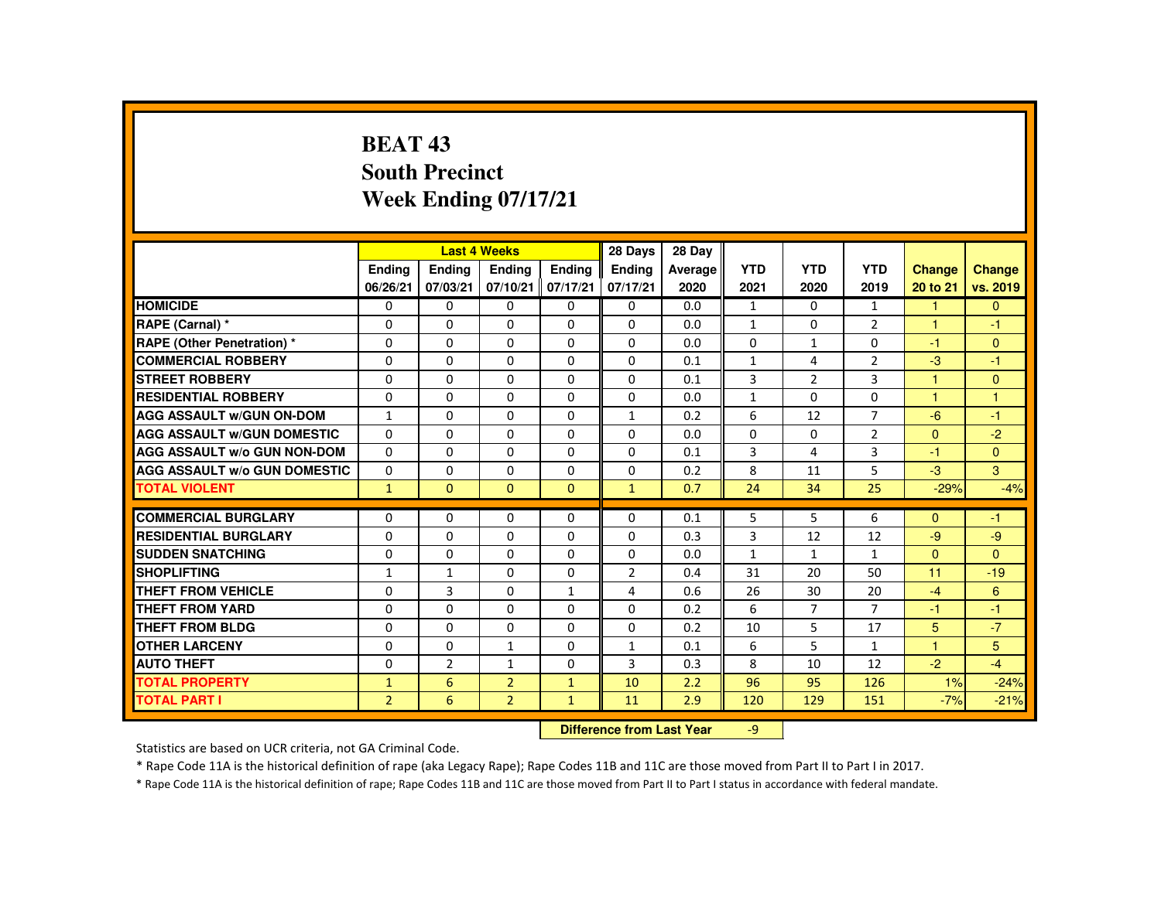# **BEAT 43 South PrecinctWeek Ending 07/17/21**

|                                     |                |                           | <b>Last 4 Weeks</b> |               | 28 Days        | 28 Day  |              |                |                |                      |                         |
|-------------------------------------|----------------|---------------------------|---------------------|---------------|----------------|---------|--------------|----------------|----------------|----------------------|-------------------------|
|                                     | <b>Endina</b>  | <b>Ending</b>             | Ending              | <b>Endina</b> | <b>Endina</b>  | Average | <b>YTD</b>   | <b>YTD</b>     | <b>YTD</b>     | <b>Change</b>        | <b>Change</b>           |
|                                     | 06/26/21       | 07/03/21                  | 07/10/21            | 07/17/21      | 07/17/21       | 2020    | 2021         | 2020           | 2019           | 20 to 21             | vs. 2019                |
| <b>HOMICIDE</b>                     | $\Omega$       | $\Omega$                  | $\Omega$            | $\Omega$      | $\Omega$       | 0.0     | $\mathbf{1}$ | $\Omega$       | $\mathbf{1}$   | $\mathbf{1}$         | $\overline{0}$          |
| RAPE (Carnal) *                     | $\Omega$       | $\mathbf{0}$              | $\Omega$            | $\Omega$      | $\Omega$       | 0.0     | $\mathbf{1}$ | $\Omega$       | $\overline{2}$ | $\blacktriangleleft$ | $-1$                    |
| RAPE (Other Penetration) *          | $\Omega$       | $\Omega$                  | $\Omega$            | $\Omega$      | $\Omega$       | 0.0     | $\Omega$     | $\mathbf{1}$   | $\Omega$       | $-1$                 | $\Omega$                |
| <b>COMMERCIAL ROBBERY</b>           | $\Omega$       | $\Omega$                  | $\Omega$            | $\Omega$      | $\Omega$       | 0.1     | $\mathbf{1}$ | $\overline{4}$ | $\overline{2}$ | $-3$                 | $-1$                    |
| <b>STREET ROBBERY</b>               | $\Omega$       | $\Omega$                  | $\Omega$            | $\Omega$      | $\Omega$       | 0.1     | 3            | $\mathcal{P}$  | 3              | $\blacktriangleleft$ | $\Omega$                |
| <b>RESIDENTIAL ROBBERY</b>          | $\Omega$       | $\mathbf{0}$              | $\Omega$            | $\mathbf{0}$  | $\mathbf{0}$   | 0.0     | $\mathbf{1}$ | 0              | 0              | $\blacktriangleleft$ | $\overline{\mathbf{1}}$ |
| <b>AGG ASSAULT W/GUN ON-DOM</b>     | $\mathbf{1}$   | $\Omega$                  | $\Omega$            | $\Omega$      | $\mathbf{1}$   | 0.2     | 6            | 12             | $\overline{7}$ | $-6$                 | $-1$                    |
| <b>AGG ASSAULT W/GUN DOMESTIC</b>   | $\Omega$       | $\Omega$                  | $\Omega$            | $\Omega$      | $\Omega$       | 0.0     | $\Omega$     | $\Omega$       | $\overline{2}$ | $\mathbf{0}$         | $-2$                    |
| <b>AGG ASSAULT W/o GUN NON-DOM</b>  | $\Omega$       | $\Omega$                  | $\Omega$            | $\Omega$      | $\Omega$       | 0.1     | 3            | 4              | 3              | $-1$                 | $\Omega$                |
| <b>AGG ASSAULT W/o GUN DOMESTIC</b> | $\Omega$       | $\Omega$                  | $\Omega$            | $\Omega$      | $\Omega$       | 0.2     | 8            | 11             | 5              | $-3$                 | 3                       |
| <b>TOTAL VIOLENT</b>                | $\mathbf{1}$   | $\mathbf{0}$              | $\Omega$            | $\Omega$      | $\mathbf{1}$   | 0.7     | 24           | 34             | 25             | $-29%$               | $-4%$                   |
|                                     |                |                           |                     |               |                |         |              |                |                |                      |                         |
| <b>COMMERCIAL BURGLARY</b>          | $\Omega$       | $\Omega$                  | $\Omega$            | $\Omega$      | $\Omega$       | 0.1     | 5            | 5              | 6              | $\Omega$             | $-1$                    |
| <b>RESIDENTIAL BURGLARY</b>         | $\Omega$       | $\Omega$                  | $\Omega$            | $\Omega$      | $\Omega$       | 0.3     | 3            | 12             | 12             | $-9$                 | $-9$                    |
| <b>SUDDEN SNATCHING</b>             | $\Omega$       | $\mathbf{0}$              | $\Omega$            | $\Omega$      | $\Omega$       | 0.0     | $\mathbf{1}$ | 1              | $\mathbf{1}$   | $\Omega$             | $\Omega$                |
| <b>SHOPLIFTING</b>                  | $\mathbf{1}$   | $\mathbf{1}$              | $\Omega$            | $\Omega$      | $\overline{2}$ | 0.4     | 31           | 20             | 50             | 11                   | $-19$                   |
| <b>THEFT FROM VEHICLE</b>           | $\Omega$       | $\overline{3}$            | $\Omega$            | $\mathbf{1}$  | 4              | 0.6     | 26           | 30             | 20             | $-4$                 | 6                       |
| <b>THEFT FROM YARD</b>              | $\Omega$       | $\Omega$                  | $\Omega$            | $\Omega$      | $\Omega$       | 0.2     | 6            | $\overline{7}$ | $\overline{7}$ | $-1$                 | $-1$                    |
| <b>THEFT FROM BLDG</b>              | $\Omega$       | $\Omega$                  | $\Omega$            | $\Omega$      | $\Omega$       | 0.2     | 10           | 5              | 17             | 5                    | $-7$                    |
| <b>OTHER LARCENY</b>                | $\Omega$       | $\Omega$                  | $\mathbf{1}$        | $\Omega$      | $\mathbf{1}$   | 0.1     | 6            | 5              | $\mathbf{1}$   | 1                    | 5                       |
| <b>AUTO THEFT</b>                   | $\Omega$       | $\overline{2}$            | $\mathbf{1}$        | $\Omega$      | 3              | 0.3     | 8            | 10             | 12             | $-2$                 | $-4$                    |
| <b>TOTAL PROPERTY</b>               | $\mathbf{1}$   | 6                         | $\overline{2}$      | $\mathbf{1}$  | 10             | 2.2     | 96           | 95             | 126            | 1%                   | $-24%$                  |
| <b>TOTAL PART I</b>                 | $\overline{2}$ | 6                         | $\overline{2}$      | $\mathbf{1}$  | 11             | 2.9     | 120          | 129            | 151            | $-7%$                | $-21%$                  |
|                                     |                | Difference from Leat Vacu |                     | $\sim$        |                |         |              |                |                |                      |                         |

 **Difference from Last Year**-9

Statistics are based on UCR criteria, not GA Criminal Code.

\* Rape Code 11A is the historical definition of rape (aka Legacy Rape); Rape Codes 11B and 11C are those moved from Part II to Part I in 2017.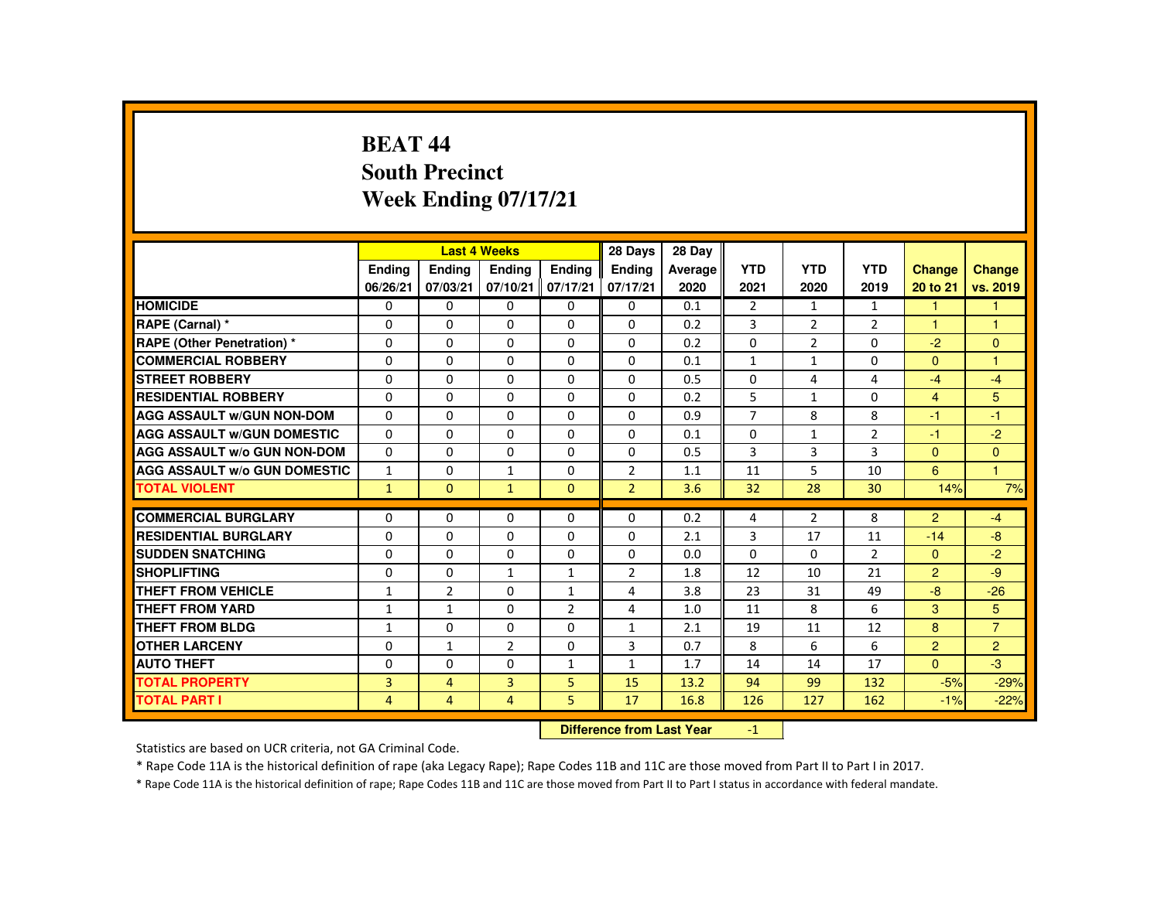# **BEAT 44 South PrecinctWeek Ending 07/17/21**

|                                     |               |                | <b>Last 4 Weeks</b> |                | 28 Days                   | 28 Day  |                |                |                |                |                |
|-------------------------------------|---------------|----------------|---------------------|----------------|---------------------------|---------|----------------|----------------|----------------|----------------|----------------|
|                                     | <b>Endina</b> | Ending         | Ending              | <b>Endina</b>  | <b>Endina</b>             | Average | <b>YTD</b>     | <b>YTD</b>     | <b>YTD</b>     | <b>Change</b>  | Change         |
|                                     | 06/26/21      | 07/03/21       | 07/10/21            | 07/17/21       | 07/17/21                  | 2020    | 2021           | 2020           | 2019           | 20 to 21       | vs. 2019       |
| <b>HOMICIDE</b>                     | 0             | 0              | 0                   | 0              | 0                         | 0.1     | $\overline{2}$ | 1              | $\mathbf{1}$   | $\mathbf{1}$   | 1              |
| RAPE (Carnal) *                     | 0             | $\Omega$       | $\Omega$            | $\Omega$       | $\Omega$                  | 0.2     | 3              | $\overline{2}$ | $\overline{2}$ | 1              | -1             |
| <b>RAPE (Other Penetration) *</b>   | $\Omega$      | $\Omega$       | $\Omega$            | $\Omega$       | $\Omega$                  | 0.2     | $\Omega$       | 2              | $\Omega$       | $-2$           | $\Omega$       |
| <b>COMMERCIAL ROBBERY</b>           | $\Omega$      | $\Omega$       | $\Omega$            | $\Omega$       | $\Omega$                  | 0.1     | $\mathbf{1}$   | $\mathbf{1}$   | $\Omega$       | $\Omega$       | $\mathbf{1}$   |
| <b>STREET ROBBERY</b>               | $\Omega$      | $\Omega$       | $\Omega$            | $\Omega$       | $\Omega$                  | 0.5     | $\Omega$       | 4              | 4              | $-4$           | $-4$           |
| <b>RESIDENTIAL ROBBERY</b>          | 0             | 0              | 0                   | 0              | 0                         | 0.2     | 5              | $\mathbf{1}$   | 0              | $\overline{4}$ | 5              |
| <b>AGG ASSAULT W/GUN NON-DOM</b>    | $\Omega$      | $\Omega$       | $\Omega$            | $\Omega$       | $\Omega$                  | 0.9     | $\overline{7}$ | 8              | 8              | -1             | $-1$           |
| <b>AGG ASSAULT W/GUN DOMESTIC</b>   | $\Omega$      | $\Omega$       | $\Omega$            | $\Omega$       | $\Omega$                  | 0.1     | $\Omega$       | $\mathbf{1}$   | $\overline{2}$ | $-1$           | $-2$           |
| <b>AGG ASSAULT W/o GUN NON-DOM</b>  | $\Omega$      | $\Omega$       | $\Omega$            | $\mathbf{0}$   | $\Omega$                  | 0.5     | 3              | $\overline{3}$ | 3              | $\Omega$       | $\mathbf{0}$   |
| <b>AGG ASSAULT W/o GUN DOMESTIC</b> | $\mathbf{1}$  | $\Omega$       | $\mathbf{1}$        | $\Omega$       | $\overline{2}$            | 1.1     | 11             | 5              | 10             | 6              | $\mathbf{1}$   |
| <b>TOTAL VIOLENT</b>                | $\mathbf{1}$  | $\mathbf{0}$   | $\mathbf{1}$        | $\mathbf{0}$   | $\overline{2}$            | 3.6     | 32             | 28             | 30             | 14%            | 7%             |
| <b>COMMERCIAL BURGLARY</b>          |               | $\Omega$       | $\Omega$            | $\Omega$       | $\Omega$                  | 0.2     |                | $\overline{2}$ | 8              | 2              | $-4$           |
|                                     | 0             |                |                     |                |                           |         | 4              |                |                |                |                |
| <b>RESIDENTIAL BURGLARY</b>         | $\Omega$      | $\Omega$       | $\Omega$            | $\Omega$       | $\Omega$                  | 2.1     | 3              | 17             | 11             | $-14$          | $-8$           |
| <b>SUDDEN SNATCHING</b>             | 0             | 0              | 0                   | 0              | 0                         | 0.0     | $\Omega$       | 0              | $\overline{2}$ | $\Omega$       | $-2$           |
| <b>SHOPLIFTING</b>                  | 0             | $\Omega$       | $\mathbf{1}$        | $\mathbf{1}$   | $\overline{2}$            | 1.8     | 12             | 10             | 21             | 2              | $-9$           |
| <b>THEFT FROM VEHICLE</b>           | 1             | $\overline{2}$ | $\Omega$            | $\mathbf{1}$   | 4                         | 3.8     | 23             | 31             | 49             | $-8$           | $-26$          |
| <b>THEFT FROM YARD</b>              | $\mathbf{1}$  | $\mathbf{1}$   | $\Omega$            | $\overline{2}$ | 4                         | 1.0     | 11             | 8              | 6              | 3              | 5              |
| THEFT FROM BLDG                     | $\mathbf{1}$  | $\Omega$       | $\Omega$            | $\Omega$       | $\mathbf{1}$              | 2.1     | 19             | 11             | 12             | 8              | $\overline{7}$ |
| <b>OTHER LARCENY</b>                | $\Omega$      | $\mathbf{1}$   | $\overline{2}$      | $\Omega$       | 3                         | 0.7     | 8              | 6              | 6              | $\overline{2}$ | $\overline{2}$ |
| <b>AUTO THEFT</b>                   | $\Omega$      | $\Omega$       | $\Omega$            | $\mathbf{1}$   | $\mathbf{1}$              | 1.7     | 14             | 14             | 17             | $\mathbf{0}$   | $-3$           |
| <b>TOTAL PROPERTY</b>               | 3             | $\overline{4}$ | $\overline{3}$      | 5              | 15                        | 13.2    | 94             | 99             | 132            | $-5%$          | $-29%$         |
| <b>TOTAL PART I</b>                 | 4             | $\overline{4}$ | $\overline{4}$      | 5.             | 17                        | 16.8    | 126            | 127            | 162            | $-1%$          | $-22%$         |
|                                     |               |                |                     |                | Difference from Leat Voor |         | $\sim$         |                |                |                |                |

 **Difference from Last Year**-1

Statistics are based on UCR criteria, not GA Criminal Code.

\* Rape Code 11A is the historical definition of rape (aka Legacy Rape); Rape Codes 11B and 11C are those moved from Part II to Part I in 2017.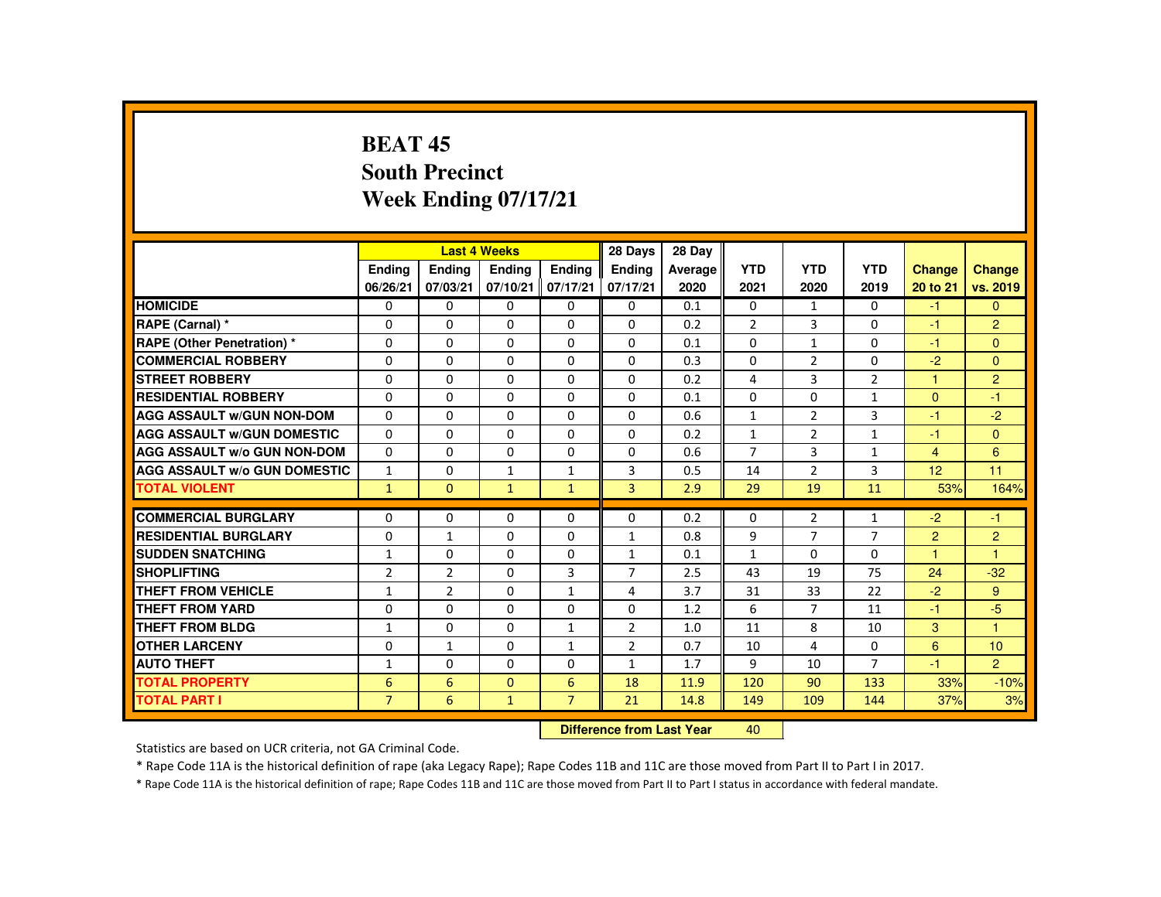### **BEAT 45 South PrecinctWeek Ending 07/17/21**

|                                     |                           |                | <b>Last 4 Weeks</b> |                | 28 Days        | 28 Day  |                |                |                |                      |                      |
|-------------------------------------|---------------------------|----------------|---------------------|----------------|----------------|---------|----------------|----------------|----------------|----------------------|----------------------|
|                                     | <b>Endina</b>             | Ending         | <b>Endina</b>       | <b>Endina</b>  | <b>Endina</b>  | Average | <b>YTD</b>     | <b>YTD</b>     | <b>YTD</b>     | <b>Change</b>        | <b>Change</b>        |
|                                     | 06/26/21                  | 07/03/21       | 07/10/21            | 07/17/21       | 07/17/21       | 2020    | 2021           | 2020           | 2019           | 20 to 21             | vs. 2019             |
| <b>HOMICIDE</b>                     | $\Omega$                  | $\Omega$       | $\Omega$            | $\Omega$       | $\Omega$       | 0.1     | $\Omega$       | $\mathbf{1}$   | $\Omega$       | $-1$                 | $\overline{0}$       |
| RAPE (Carnal) *                     | $\Omega$                  | $\Omega$       | $\Omega$            | $\Omega$       | $\Omega$       | 0.2     | $\overline{2}$ | 3              | $\Omega$       | $-1$                 | $\overline{2}$       |
| <b>RAPE (Other Penetration) *</b>   | $\Omega$                  | $\Omega$       | $\Omega$            | $\Omega$       | $\Omega$       | 0.1     | $\Omega$       | $\mathbf{1}$   | $\Omega$       | $-1$                 | $\Omega$             |
| <b>COMMERCIAL ROBBERY</b>           | $\Omega$                  | $\Omega$       | $\Omega$            | $\Omega$       | $\Omega$       | 0.3     | $\Omega$       | $\overline{2}$ | $\Omega$       | $-2$                 | $\Omega$             |
| <b>STREET ROBBERY</b>               | $\Omega$                  | $\Omega$       | $\Omega$            | $\Omega$       | $\Omega$       | 0.2     | 4              | $\mathbf{3}$   | $\overline{2}$ | $\blacktriangleleft$ | $\overline{2}$       |
| <b>RESIDENTIAL ROBBERY</b>          | 0                         | 0              | 0                   | 0              | 0              | 0.1     | 0              | 0              | $\mathbf{1}$   | $\Omega$             | $-1$                 |
| <b>AGG ASSAULT W/GUN NON-DOM</b>    | $\Omega$                  | $\Omega$       | $\Omega$            | $\Omega$       | $\Omega$       | 0.6     | $\mathbf{1}$   | 2              | 3              | -1                   | $-2$                 |
| <b>AGG ASSAULT W/GUN DOMESTIC</b>   | $\Omega$                  | $\Omega$       | $\Omega$            | $\Omega$       | $\Omega$       | 0.2     | $\mathbf{1}$   | 2              | $\mathbf{1}$   | $-1$                 | $\mathbf{0}$         |
| <b>AGG ASSAULT W/o GUN NON-DOM</b>  | $\Omega$                  | $\Omega$       | $\Omega$            | $\mathbf{0}$   | $\Omega$       | 0.6     | $\overline{7}$ | 3              | $\mathbf{1}$   | $\overline{4}$       | 6                    |
| <b>AGG ASSAULT W/o GUN DOMESTIC</b> | $\mathbf{1}$              | $\Omega$       | $\mathbf{1}$        | $\mathbf{1}$   | 3              | 0.5     | 14             | $\overline{2}$ | 3              | 12                   | 11                   |
| <b>TOTAL VIOLENT</b>                | $\mathbf{1}$              | $\Omega$       | $\mathbf{1}$        | $\mathbf{1}$   | $\overline{3}$ | 2.9     | 29             | 19             | 11             | 53%                  | 164%                 |
|                                     |                           |                |                     |                |                |         |                |                |                |                      |                      |
| <b>COMMERCIAL BURGLARY</b>          | $\Omega$                  | $\Omega$       | $\Omega$            | $\Omega$       | $\Omega$       | 0.2     | $\Omega$       | $\overline{2}$ | $\mathbf{1}$   | $-2$                 | $-1$                 |
| <b>RESIDENTIAL BURGLARY</b>         | $\Omega$                  | $\mathbf{1}$   | $\Omega$            | $\Omega$       | $\mathbf{1}$   | 0.8     | 9              | $\overline{7}$ | $\overline{7}$ | 2                    | $\overline{2}$       |
| <b>SUDDEN SNATCHING</b>             | $\mathbf{1}$              | 0              | $\Omega$            | $\Omega$       | $\mathbf{1}$   | 0.1     | $\mathbf{1}$   | 0              | $\mathbf{0}$   | -1                   | $\blacktriangleleft$ |
| <b>SHOPLIFTING</b>                  | $\overline{2}$            | $\overline{2}$ | $\Omega$            | $\overline{3}$ | $\overline{7}$ | 2.5     | 43             | 19             | 75             | 24                   | $-32$                |
| <b>THEFT FROM VEHICLE</b>           | $\mathbf{1}$              | $\overline{2}$ | $\Omega$            | $\mathbf{1}$   | 4              | 3.7     | 31             | 33             | 22             | $-2$                 | 9                    |
| <b>THEFT FROM YARD</b>              | 0                         | $\Omega$       | $\Omega$            | $\Omega$       | $\Omega$       | 1.2     | 6              | $\overline{7}$ | 11             | $-1$                 | $-5$                 |
| <b>THEFT FROM BLDG</b>              | $\mathbf{1}$              | $\Omega$       | $\Omega$            | $\mathbf{1}$   | $\overline{2}$ | 1.0     | 11             | 8              | 10             | 3                    |                      |
| <b>OTHER LARCENY</b>                | $\Omega$                  | $\mathbf{1}$   | $\Omega$            | $\mathbf{1}$   | $\overline{2}$ | 0.7     | 10             | 4              | $\Omega$       | 6                    | 10                   |
| <b>AUTO THEFT</b>                   | $\mathbf{1}$              | $\Omega$       | $\Omega$            | $\Omega$       | $\mathbf{1}$   | 1.7     | 9              | 10             | $\overline{7}$ | $-1$                 | $\overline{2}$       |
| <b>TOTAL PROPERTY</b>               | 6                         | 6              | $\Omega$            | 6              | 18             | 11.9    | 120            | 90             | 133            | 33%                  | $-10%$               |
| <b>TOTAL PART I</b>                 | $\overline{7}$            | 6              | $\mathbf{1}$        | $\overline{7}$ | 21             | 14.8    | 149            | 109            | 144            | 37%                  | 3%                   |
|                                     | Difference from Leat Vacu |                |                     |                |                |         | $\sqrt{2}$     |                |                |                      |                      |

 **Difference from Last Year**<sup>40</sup>

Statistics are based on UCR criteria, not GA Criminal Code.

\* Rape Code 11A is the historical definition of rape (aka Legacy Rape); Rape Codes 11B and 11C are those moved from Part II to Part I in 2017.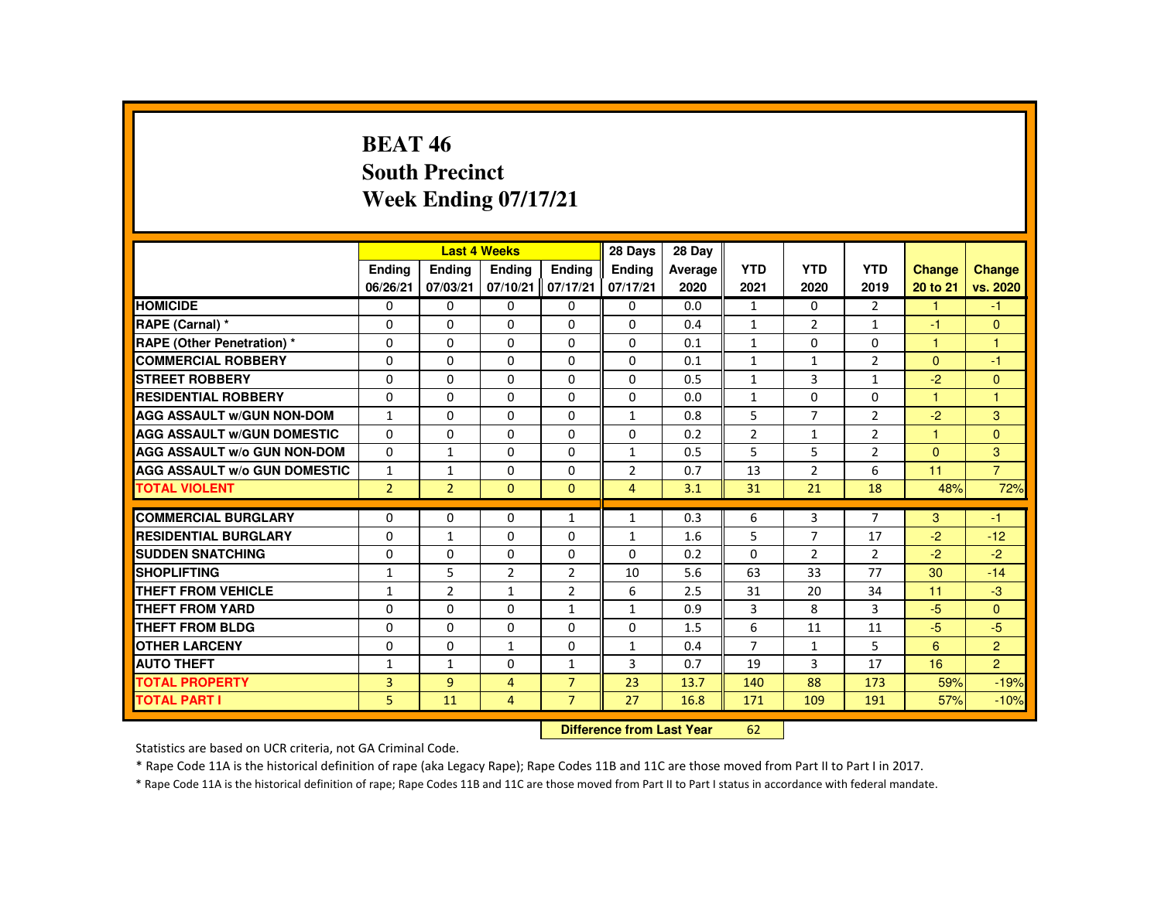### **BEAT 46 South PrecinctWeek Ending 07/17/21**

|                                     |                |                | <b>Last 4 Weeks</b> |                | 28 Days                   | 28 Day  |                |                |                |              |                |
|-------------------------------------|----------------|----------------|---------------------|----------------|---------------------------|---------|----------------|----------------|----------------|--------------|----------------|
|                                     | <b>Endina</b>  | Ending         | Ending              | <b>Endina</b>  | <b>Endina</b>             | Average | <b>YTD</b>     | <b>YTD</b>     | <b>YTD</b>     | Change       | <b>Change</b>  |
|                                     | 06/26/21       | 07/03/21       | 07/10/21            | 07/17/21       | 07/17/21                  | 2020    | 2021           | 2020           | 2019           | 20 to 21     | vs. 2020       |
| <b>HOMICIDE</b>                     | $\Omega$       | $\Omega$       | $\Omega$            | $\Omega$       | 0                         | 0.0     | $\mathbf{1}$   | $\Omega$       | $\overline{2}$ | $\mathbf{1}$ | $-1$           |
| RAPE (Carnal) *                     | $\Omega$       | $\Omega$       | $\Omega$            | $\Omega$       | $\Omega$                  | 0.4     | $\mathbf{1}$   | $\overline{2}$ | $\mathbf{1}$   | $-1$         | $\mathbf{0}$   |
| <b>RAPE (Other Penetration) *</b>   | $\Omega$       | $\Omega$       | $\Omega$            | $\Omega$       | 0                         | 0.1     | $\mathbf{1}$   | 0              | 0              | $\mathbf{1}$ | $\mathbf{1}$   |
| <b>COMMERCIAL ROBBERY</b>           | $\Omega$       | $\Omega$       | $\Omega$            | $\Omega$       | $\Omega$                  | 0.1     | $\mathbf{1}$   | $\mathbf{1}$   | $\overline{2}$ | $\mathbf{0}$ | $-1$           |
| <b>STREET ROBBERY</b>               | $\Omega$       | $\Omega$       | $\Omega$            | $\Omega$       | $\Omega$                  | 0.5     | $\mathbf{1}$   | 3              | $\mathbf{1}$   | $-2$         | $\mathbf{0}$   |
| <b>RESIDENTIAL ROBBERY</b>          | 0              | $\mathbf{0}$   | 0                   | 0              | 0                         | 0.0     | $\mathbf{1}$   | 0              | 0              | 1            | 1              |
| <b>AGG ASSAULT W/GUN NON-DOM</b>    | $\mathbf{1}$   | $\Omega$       | $\Omega$            | $\Omega$       | 1                         | 0.8     | 5              | $\overline{7}$ | $\overline{2}$ | $-2$         | 3              |
| <b>AGG ASSAULT W/GUN DOMESTIC</b>   | $\Omega$       | $\Omega$       | $\Omega$            | $\Omega$       | $\Omega$                  | 0.2     | $\overline{2}$ | $\mathbf{1}$   | $\overline{2}$ | $\mathbf{1}$ | $\mathbf{0}$   |
| <b>AGG ASSAULT W/o GUN NON-DOM</b>  | $\Omega$       | $\mathbf{1}$   | $\Omega$            | $\Omega$       | $\mathbf{1}$              | 0.5     | 5              | 5              | $\overline{2}$ | $\Omega$     | 3              |
| <b>AGG ASSAULT W/o GUN DOMESTIC</b> | $\mathbf{1}$   | $\mathbf{1}$   | $\Omega$            | $\Omega$       | 2                         | 0.7     | 13             | 2              | 6              | 11           | $\overline{7}$ |
| <b>TOTAL VIOLENT</b>                | 2 <sup>1</sup> | $\overline{2}$ | $\Omega$            | $\Omega$       | $\overline{4}$            | 3.1     | 31             | 21             | 18             | 48%          | 72%            |
| <b>COMMERCIAL BURGLARY</b>          | $\Omega$       | $\Omega$       | $\Omega$            | $\mathbf{1}$   | 1                         | 0.3     | 6              | 3              | $\overline{7}$ | 3            | $-1$           |
| <b>RESIDENTIAL BURGLARY</b>         | $\Omega$       | $\mathbf{1}$   | 0                   | 0              | $\mathbf{1}$              | 1.6     | 5              | $\overline{7}$ | 17             | $-2$         | $-12$          |
| <b>SUDDEN SNATCHING</b>             | $\Omega$       | $\Omega$       | $\Omega$            | $\Omega$       | $\Omega$                  | 0.2     | $\Omega$       | $\overline{2}$ | $\overline{2}$ | $-2$         | $-2$           |
| <b>SHOPLIFTING</b>                  | $\mathbf{1}$   | 5              | $\overline{2}$      | $\overline{2}$ | 10                        | 5.6     | 63             | 33             | 77             | 30           | $-14$          |
| <b>THEFT FROM VEHICLE</b>           | $\mathbf{1}$   | $\overline{2}$ | $\mathbf{1}$        | $\overline{2}$ | 6                         | 2.5     | 31             | 20             | 34             | 11           | $-3$           |
| <b>THEFT FROM YARD</b>              | $\Omega$       | $\Omega$       | $\Omega$            | $\mathbf{1}$   | $\mathbf{1}$              | 0.9     | 3              | 8              | 3              | $-5$         | $\Omega$       |
| THEFT FROM BLDG                     | 0              | $\Omega$       | 0                   | $\Omega$       | $\Omega$                  | 1.5     | 6              | 11             | 11             | $-5$         | $-5$           |
| <b>OTHER LARCENY</b>                | 0              | $\mathbf{0}$   | $\mathbf{1}$        | $\Omega$       | 1                         | 0.4     | $\overline{7}$ | $\mathbf{1}$   | 5              | 6            | $\overline{2}$ |
| <b>AUTO THEFT</b>                   | $\mathbf{1}$   | $\mathbf{1}$   | $\Omega$            | $\mathbf{1}$   | 3                         | 0.7     | 19             | 3              | 17             | 16           | $\overline{2}$ |
| <b>TOTAL PROPERTY</b>               | $\overline{3}$ | $\overline{9}$ | $\overline{4}$      | $\overline{7}$ | 23                        | 13.7    | 140            | 88             | 173            | 59%          | $-19%$         |
| <b>TOTAL PART I</b>                 | 5              | 11             | $\overline{4}$      | $\overline{7}$ | 27                        | 16.8    | 171            | 109            | 191            | 57%          | $-10%$         |
|                                     |                |                |                     |                | Difference from Leat Voor |         | $\sim$         |                |                |              |                |

 **Difference from Last Year**<sup>62</sup>

Statistics are based on UCR criteria, not GA Criminal Code.

\* Rape Code 11A is the historical definition of rape (aka Legacy Rape); Rape Codes 11B and 11C are those moved from Part II to Part I in 2017.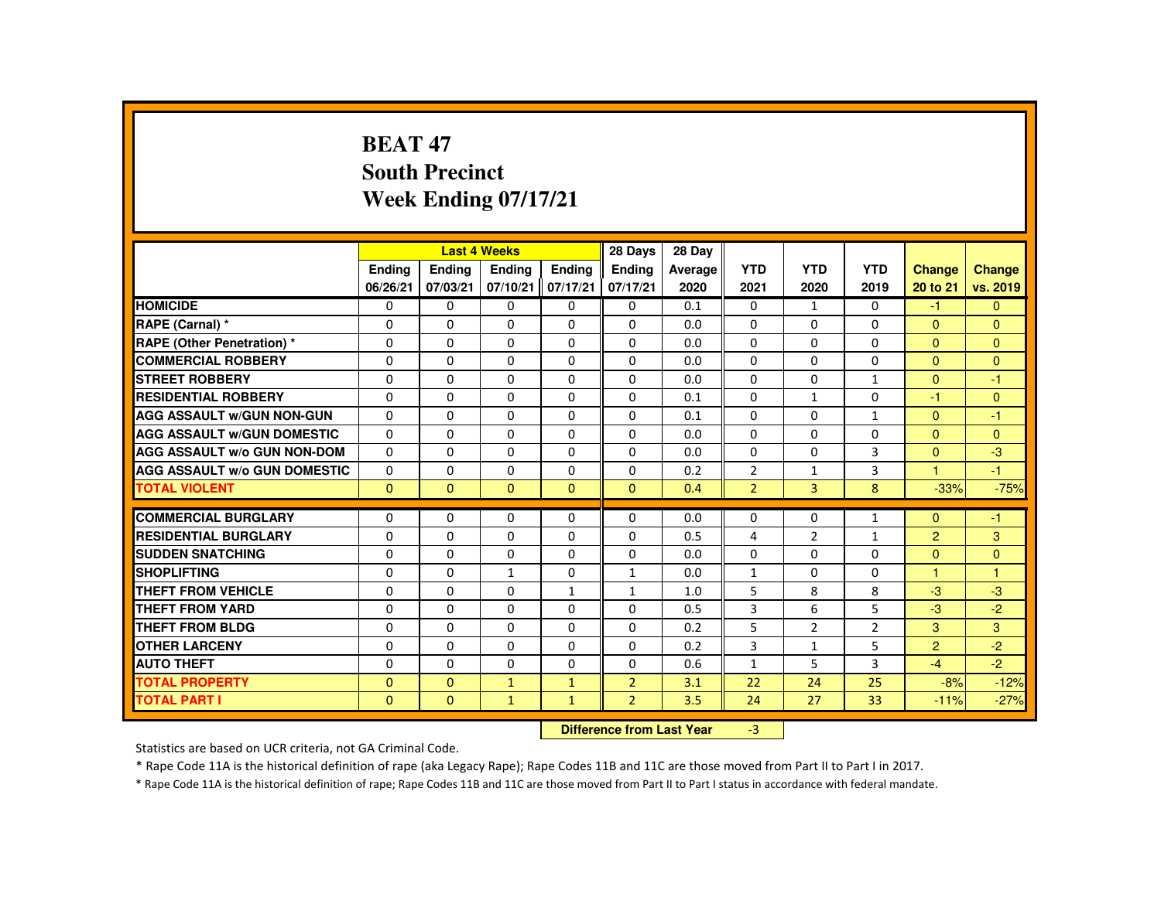# **BEAT 47 South PrecinctWeek Ending 07/17/21**

|                                     |               |              | <b>Last 4 Weeks</b> |               | 28 Days                   | 28 Day  |                |                |                |                |               |
|-------------------------------------|---------------|--------------|---------------------|---------------|---------------------------|---------|----------------|----------------|----------------|----------------|---------------|
|                                     | <b>Endina</b> | Ending       | Ending              | <b>Endina</b> | <b>Endina</b>             | Average | <b>YTD</b>     | <b>YTD</b>     | <b>YTD</b>     | Change         | <b>Change</b> |
|                                     | 06/26/21      | 07/03/21     | 07/10/21            | 07/17/21      | 07/17/21                  | 2020    | 2021           | 2020           | 2019           | 20 to 21       | vs. 2019      |
| <b>HOMICIDE</b>                     | 0             | $\mathbf{0}$ | 0                   | $\mathbf{0}$  | 0                         | 0.1     | $\mathbf{0}$   | $\mathbf{1}$   | $\mathbf{0}$   | $-1$           | $\mathbf{0}$  |
| RAPE (Carnal) *                     | $\Omega$      | $\Omega$     | $\Omega$            | 0             | 0                         | 0.0     | 0              | 0              | 0              | $\mathbf{0}$   | $\mathbf{0}$  |
| <b>RAPE (Other Penetration) *</b>   | $\Omega$      | $\Omega$     | $\Omega$            | $\Omega$      | $\Omega$                  | 0.0     | $\Omega$       | $\Omega$       | $\Omega$       | $\mathbf{0}$   | $\mathbf{0}$  |
| <b>COMMERCIAL ROBBERY</b>           | $\Omega$      | $\Omega$     | $\Omega$            | $\mathbf{0}$  | $\Omega$                  | 0.0     | $\Omega$       | $\Omega$       | $\Omega$       | $\mathbf{0}$   | $\mathbf{0}$  |
| <b>STREET ROBBERY</b>               | $\Omega$      | $\Omega$     | $\Omega$            | $\Omega$      | $\Omega$                  | 0.0     | $\Omega$       | $\Omega$       | $\mathbf{1}$   | $\Omega$       | $-1$          |
| <b>RESIDENTIAL ROBBERY</b>          | $\Omega$      | $\mathbf{0}$ | 0                   | $\Omega$      | $\Omega$                  | 0.1     | $\Omega$       | $\mathbf{1}$   | 0              | $-1$           | $\mathbf{0}$  |
| <b>AGG ASSAULT W/GUN NON-GUN</b>    | $\Omega$      | $\Omega$     | $\Omega$            | $\Omega$      | $\Omega$                  | 0.1     | $\Omega$       | $\Omega$       | $\mathbf{1}$   | $\mathbf{0}$   | $-1$          |
| <b>AGG ASSAULT W/GUN DOMESTIC</b>   | $\Omega$      | $\Omega$     | $\Omega$            | $\Omega$      | $\Omega$                  | 0.0     | $\Omega$       | $\Omega$       | $\Omega$       | $\mathbf{0}$   | $\mathbf{0}$  |
| <b>AGG ASSAULT W/o GUN NON-DOM</b>  | $\Omega$      | $\Omega$     | $\Omega$            | $\Omega$      | $\Omega$                  | 0.0     | $\Omega$       | $\Omega$       | $\overline{3}$ | $\Omega$       | $-3$          |
| <b>AGG ASSAULT W/o GUN DOMESTIC</b> | 0             | $\mathbf{0}$ | 0                   | 0             | 0                         | 0.2     | $\overline{2}$ | $\mathbf{1}$   | 3              | $\mathbf{1}$   | $-1$          |
| <b>TOTAL VIOLENT</b>                | $\Omega$      | $\mathbf{0}$ | $\mathbf{0}$        | $\mathbf{0}$  | $\mathbf{0}$              | 0.4     | $\overline{2}$ | $\overline{3}$ | 8              | $-33%$         | $-75%$        |
| <b>COMMERCIAL BURGLARY</b>          | $\Omega$      | $\Omega$     | $\Omega$            | $\Omega$      | $\Omega$                  | 0.0     | $\Omega$       | $\Omega$       | $\mathbf{1}$   | $\Omega$       | $-1$          |
| <b>RESIDENTIAL BURGLARY</b>         | $\Omega$      | $\Omega$     | $\Omega$            | $\Omega$      | 0                         | 0.5     | 4              | $\overline{2}$ | $\mathbf{1}$   | $\overline{2}$ | 3             |
| <b>SUDDEN SNATCHING</b>             | $\Omega$      | $\Omega$     | $\Omega$            | 0             | 0                         | 0.0     | 0              | 0              | $\Omega$       | $\overline{0}$ | $\mathbf{0}$  |
| <b>SHOPLIFTING</b>                  | $\Omega$      | $\Omega$     | $\mathbf{1}$        | 0             | $\mathbf{1}$              | 0.0     | $\mathbf{1}$   | 0              | 0              | 1              | $\mathbf{1}$  |
| <b>THEFT FROM VEHICLE</b>           | $\Omega$      | $\Omega$     | $\Omega$            | $\mathbf{1}$  | $\mathbf{1}$              | 1.0     | 5              | 8              | 8              | $-3$           | $-3$          |
| <b>THEFT FROM YARD</b>              | $\Omega$      | $\Omega$     | $\Omega$            | $\Omega$      | $\Omega$                  | 0.5     | 3              | 6              | 5              | $-3$           | $-2$          |
| <b>THEFT FROM BLDG</b>              | $\mathbf{0}$  | $\Omega$     | 0                   | $\Omega$      | 0                         | 0.2     | 5              | $\overline{2}$ | $\overline{2}$ | 3              | 3             |
| <b>OTHER LARCENY</b>                | $\Omega$      | $\Omega$     | $\Omega$            | $\Omega$      | $\Omega$                  | 0.2     | 3              | $\mathbf{1}$   | 5              | $\overline{2}$ | $-2$          |
| <b>AUTO THEFT</b>                   | $\Omega$      | $\Omega$     | $\Omega$            | 0             | $\Omega$                  | 0.6     | $\mathbf{1}$   | 5              | 3              | $-4$           | $-2$          |
| <b>TOTAL PROPERTY</b>               | $\Omega$      | $\Omega$     | $\mathbf{1}$        | $\mathbf{1}$  | $\overline{2}$            | 3.1     | 22             | 24             | 25             | $-8%$          | $-12%$        |
| <b>TOTAL PART I</b>                 | $\mathbf{0}$  | $\mathbf{0}$ | $\mathbf{1}$        | $\mathbf{1}$  | $\overline{2}$            | 3.5     | 24             | 27             | 33             | $-11%$         | $-27%$        |
|                                     |               |              |                     |               | Difference from Loot Voor |         | $\mathcal{D}$  |                |                |                |               |

 **Difference from Last Year**r -3

Statistics are based on UCR criteria, not GA Criminal Code.

\* Rape Code 11A is the historical definition of rape (aka Legacy Rape); Rape Codes 11B and 11C are those moved from Part II to Part I in 2017.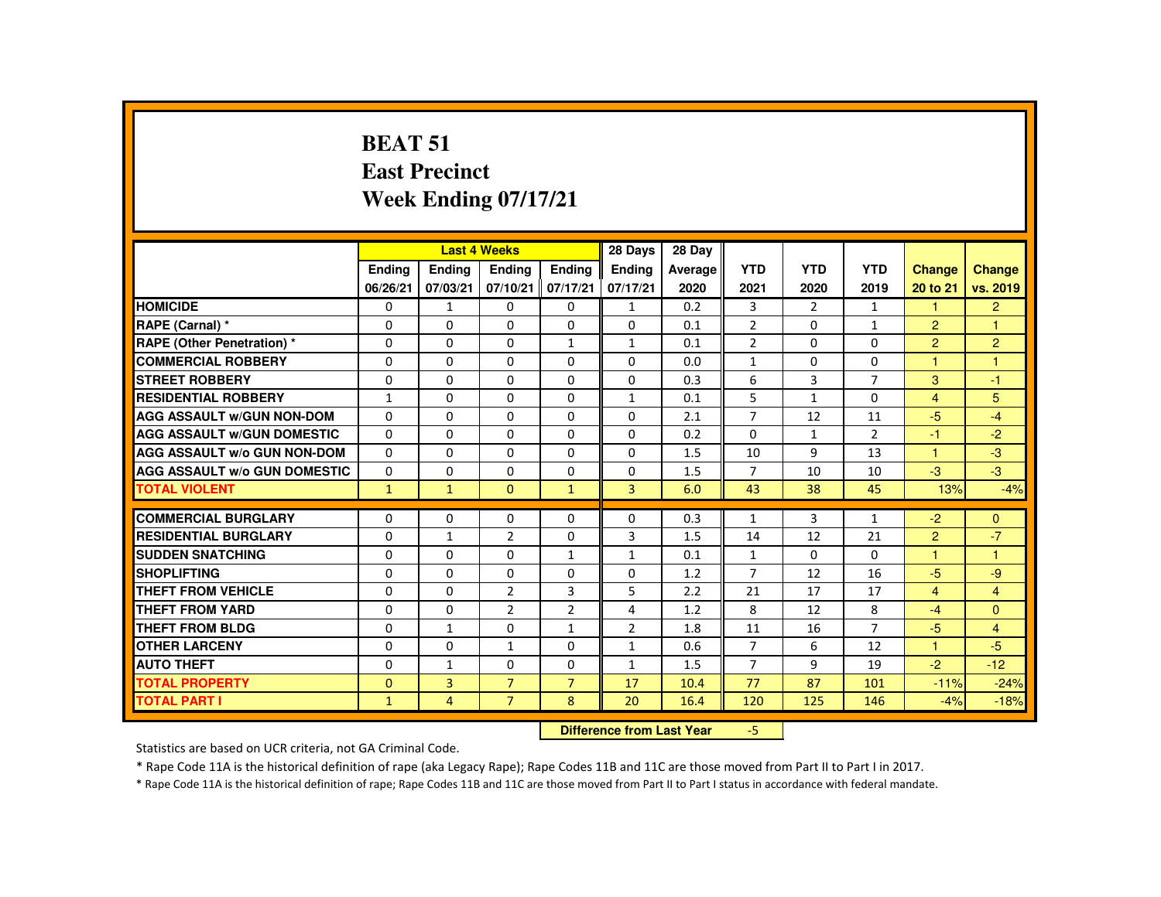# **BEAT 51 East PrecinctWeek Ending 07/17/21**

|                                     |               |                                  | <b>Last 4 Weeks</b> |                | 28 Days        | 28 Day  |                |                |                |                      |                |
|-------------------------------------|---------------|----------------------------------|---------------------|----------------|----------------|---------|----------------|----------------|----------------|----------------------|----------------|
|                                     | <b>Endina</b> | Ending                           | <b>Endina</b>       | <b>Endina</b>  | <b>Endina</b>  | Average | <b>YTD</b>     | <b>YTD</b>     | <b>YTD</b>     | <b>Change</b>        | <b>Change</b>  |
|                                     | 06/26/21      | 07/03/21                         | 07/10/21            | 07/17/21       | 07/17/21       | 2020    | 2021           | 2020           | 2019           | 20 to 21             | vs. 2019       |
| <b>HOMICIDE</b>                     | $\mathbf{0}$  | $\mathbf{1}$                     | $\Omega$            | $\mathbf{0}$   | $\mathbf{1}$   | 0.2     | 3              | $\overline{2}$ | $\mathbf{1}$   | $\mathbf{1}$         | $\overline{2}$ |
| RAPE (Carnal) *                     | 0             | 0                                | 0                   | 0              | 0              | 0.1     | $\overline{2}$ | 0              | $\mathbf{1}$   | $\overline{2}$       | $\overline{1}$ |
| <b>RAPE (Other Penetration) *</b>   | $\Omega$      | $\Omega$                         | $\Omega$            | $\mathbf{1}$   | $\mathbf{1}$   | 0.1     | $\overline{2}$ | $\Omega$       | $\Omega$       | $\overline{2}$       | $\overline{2}$ |
| <b>COMMERCIAL ROBBERY</b>           | 0             | 0                                | $\Omega$            | 0              | $\Omega$       | 0.0     | $\mathbf{1}$   | 0              | 0              | $\overline{1}$       | $\mathbf{1}$   |
| <b>STREET ROBBERY</b>               | $\Omega$      | $\Omega$                         | $\Omega$            | $\Omega$       | $\Omega$       | 0.3     | 6              | 3              | $\overline{7}$ | 3                    | $-1$           |
| <b>RESIDENTIAL ROBBERY</b>          | $\mathbf{1}$  | $\Omega$                         | $\Omega$            | $\Omega$       | $\mathbf{1}$   | 0.1     | 5              | $\mathbf{1}$   | $\Omega$       | $\overline{4}$       | 5              |
| <b>AGG ASSAULT W/GUN NON-DOM</b>    | $\Omega$      | $\Omega$                         | $\Omega$            | $\Omega$       | $\Omega$       | 2.1     | $\overline{7}$ | 12             | 11             | $-5$                 | $-4$           |
| <b>AGG ASSAULT W/GUN DOMESTIC</b>   | $\Omega$      | $\Omega$                         | $\Omega$            | $\Omega$       | $\Omega$       | 0.2     | $\Omega$       | $\mathbf{1}$   | $\overline{2}$ | $-1$                 | $-2$           |
| <b>AGG ASSAULT W/o GUN NON-DOM</b>  | 0             | 0                                | 0                   | 0              | 0              | 1.5     | 10             | 9              | 13             | $\blacktriangleleft$ | $-3$           |
| <b>AGG ASSAULT W/o GUN DOMESTIC</b> | $\Omega$      | $\Omega$                         | $\Omega$            | $\Omega$       | $\Omega$       | 1.5     | $\overline{7}$ | 10             | 10             | $-3$                 | $-3$           |
| <b>TOTAL VIOLENT</b>                | $\mathbf{1}$  | $\mathbf{1}$                     | $\Omega$            | $\mathbf{1}$   | $\overline{3}$ | 6.0     | 43             | 38             | 45             | 13%                  | $-4%$          |
| <b>COMMERCIAL BURGLARY</b>          | $\Omega$      | $\Omega$                         | $\Omega$            | $\Omega$       | $\Omega$       | 0.3     | $\mathbf{1}$   | 3              | $\mathbf{1}$   | $-2$                 | $\mathbf{0}$   |
| <b>RESIDENTIAL BURGLARY</b>         | $\Omega$      | $\mathbf{1}$                     | $\overline{2}$      | $\Omega$       | 3              | 1.5     | 14             | 12             | 21             | $\overline{2}$       | $-7$           |
| <b>SUDDEN SNATCHING</b>             | $\Omega$      | $\Omega$                         | $\Omega$            | $\mathbf{1}$   | $\mathbf{1}$   | 0.1     | $\mathbf{1}$   | 0              | $\Omega$       | $\blacktriangleleft$ | $\mathbf{1}$   |
| <b>SHOPLIFTING</b>                  | $\Omega$      | $\Omega$                         | $\Omega$            | $\Omega$       | $\Omega$       | 1.2     | $\overline{7}$ | 12             | 16             | $-5$                 | $-9$           |
| <b>THEFT FROM VEHICLE</b>           | $\Omega$      | $\Omega$                         | $\overline{2}$      | 3              | 5              | 2.2     | 21             | 17             | 17             | $\overline{4}$       | $\overline{4}$ |
| <b>THEFT FROM YARD</b>              | $\Omega$      | $\Omega$                         | $\overline{2}$      | $\overline{2}$ | 4              | 1.2     | 8              | 12             | 8              | $-4$                 | $\Omega$       |
| <b>THEFT FROM BLDG</b>              | $\Omega$      | $\mathbf{1}$                     | $\Omega$            | $\mathbf{1}$   | 2              | 1.8     | 11             | 16             | $\overline{7}$ | $-5$                 | $\overline{4}$ |
| <b>OTHER LARCENY</b>                | $\Omega$      | $\Omega$                         | $\mathbf{1}$        | $\Omega$       | $\mathbf{1}$   | 0.6     | $\overline{7}$ | 6              | 12             | $\overline{1}$       | -5             |
| <b>AUTO THEFT</b>                   | $\Omega$      | $\mathbf{1}$                     | $\Omega$            | $\Omega$       | $\mathbf{1}$   | 1.5     | $\overline{7}$ | 9              | 19             | $-2$                 | $-12$          |
| <b>TOTAL PROPERTY</b>               | $\mathbf{0}$  | $\overline{3}$                   | $\overline{7}$      | $\overline{7}$ | 17             | 10.4    | 77             | 87             | 101            | $-11%$               | $-24%$         |
| <b>TOTAL PART I</b>                 | $\mathbf{1}$  | 4                                | $\overline{7}$      | 8              | 20             | 16.4    | 120            | 125            | 146            | $-4%$                | $-18%$         |
|                                     |               | <b>Difference from Last Year</b> |                     | $-5$           |                |         |                |                |                |                      |                |

Statistics are based on UCR criteria, not GA Criminal Code.

\* Rape Code 11A is the historical definition of rape (aka Legacy Rape); Rape Codes 11B and 11C are those moved from Part II to Part I in 2017.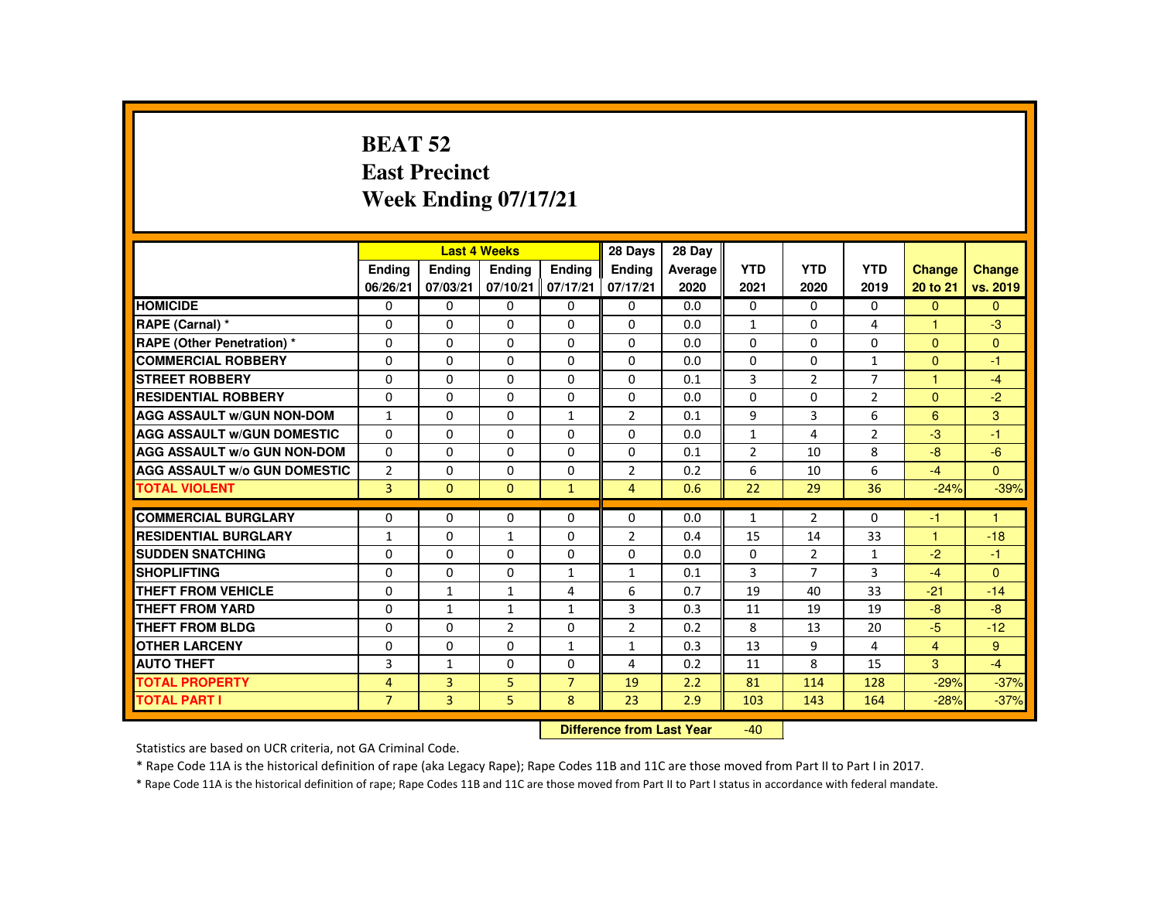#### **BEAT 52 East PrecinctWeek Ending 07/17/21**

|                                     |                           |                | <b>Last 4 Weeks</b> |                | 28 Days        | 28 Day  |                |                |                |                      |              |
|-------------------------------------|---------------------------|----------------|---------------------|----------------|----------------|---------|----------------|----------------|----------------|----------------------|--------------|
|                                     | <b>Endina</b>             | <b>Endina</b>  | Ending              | <b>Endina</b>  | <b>Endina</b>  | Average | <b>YTD</b>     | <b>YTD</b>     | <b>YTD</b>     | <b>Change</b>        | Change       |
|                                     | 06/26/21                  | 07/03/21       | 07/10/21            | 07/17/21       | 07/17/21       | 2020    | 2021           | 2020           | 2019           | 20 to 21             | vs. 2019     |
| <b>HOMICIDE</b>                     | 0                         | 0              | 0                   | 0              | 0              | 0.0     | 0              | $\Omega$       | $\Omega$       | $\Omega$             | $\mathbf{0}$ |
| RAPE (Carnal) *                     | 0                         | $\Omega$       | $\Omega$            | $\Omega$       | $\Omega$       | 0.0     | $\mathbf{1}$   | 0              | 4              |                      | $-3$         |
| <b>RAPE (Other Penetration) *</b>   | $\Omega$                  | $\Omega$       | $\Omega$            | $\Omega$       | $\Omega$       | 0.0     | $\Omega$       | $\Omega$       | $\Omega$       | $\Omega$             | $\Omega$     |
| <b>COMMERCIAL ROBBERY</b>           | $\Omega$                  | $\Omega$       | $\Omega$            | $\Omega$       | $\Omega$       | 0.0     | $\Omega$       | $\Omega$       | $\mathbf{1}$   | $\Omega$             | $-1$         |
| <b>STREET ROBBERY</b>               | $\Omega$                  | $\Omega$       | $\Omega$            | $\Omega$       | $\Omega$       | 0.1     | 3              | $\overline{2}$ | $\overline{7}$ | $\blacktriangleleft$ | $-4$         |
| <b>RESIDENTIAL ROBBERY</b>          | 0                         | 0              | 0                   | 0              | 0              | 0.0     | $\Omega$       | 0              | $\overline{2}$ | $\Omega$             | $-2$         |
| <b>AGG ASSAULT W/GUN NON-DOM</b>    | $\mathbf{1}$              | $\Omega$       | $\Omega$            | $\mathbf{1}$   | $\overline{2}$ | 0.1     | 9              | 3              | 6              | 6                    | 3            |
| <b>AGG ASSAULT W/GUN DOMESTIC</b>   | $\Omega$                  | $\Omega$       | $\Omega$            | $\Omega$       | $\Omega$       | 0.0     | $\mathbf{1}$   | 4              | $\overline{2}$ | $-3$                 | $-1$         |
| <b>AGG ASSAULT W/o GUN NON-DOM</b>  | $\Omega$                  | $\Omega$       | $\Omega$            | $\mathbf{0}$   | $\Omega$       | 0.1     | $\overline{2}$ | 10             | 8              | $-8$                 | $-6$         |
| <b>AGG ASSAULT W/o GUN DOMESTIC</b> | $\overline{2}$            | $\Omega$       | $\Omega$            | $\Omega$       | $\overline{2}$ | 0.2     | 6              | 10             | 6              | $-4$                 | $\Omega$     |
| <b>TOTAL VIOLENT</b>                | $\overline{3}$            | $\mathbf{0}$   | $\mathbf{0}$        | $\mathbf{1}$   | $\overline{4}$ | 0.6     | 22             | 29             | 36             | $-24%$               | $-39%$       |
|                                     |                           |                |                     |                |                |         |                |                |                |                      |              |
| <b>COMMERCIAL BURGLARY</b>          | $\Omega$                  | $\Omega$       | $\Omega$            | $\Omega$       | $\Omega$       | 0.0     | $\mathbf{1}$   | $\overline{2}$ | $\Omega$       | -1                   | 1            |
| <b>RESIDENTIAL BURGLARY</b>         | $\mathbf{1}$              | $\Omega$       | $\mathbf{1}$        | $\Omega$       | 2              | 0.4     | 15             | 14             | 33             | $\blacktriangleleft$ | $-18$        |
| <b>SUDDEN SNATCHING</b>             | 0                         | 0              | 0                   | 0              | 0              | 0.0     | 0              | $\overline{2}$ | $\mathbf{1}$   | $-2$                 | $-1$         |
| <b>SHOPLIFTING</b>                  | 0                         | $\Omega$       | $\Omega$            | $\mathbf{1}$   | $\mathbf{1}$   | 0.1     | 3              | $\overline{7}$ | 3              | $-4$                 | $\Omega$     |
| <b>THEFT FROM VEHICLE</b>           | $\Omega$                  | $\mathbf{1}$   | $\mathbf{1}$        | 4              | 6              | 0.7     | 19             | 40             | 33             | $-21$                | $-14$        |
| <b>THEFT FROM YARD</b>              | $\Omega$                  | $\mathbf{1}$   | $\mathbf{1}$        | $\mathbf{1}$   | 3              | 0.3     | 11             | 19             | 19             | $-8$                 | $-8$         |
| THEFT FROM BLDG                     | 0                         | $\Omega$       | $\overline{2}$      | 0              | $\overline{2}$ | 0.2     | 8              | 13             | 20             | $-5$                 | $-12$        |
| <b>OTHER LARCENY</b>                | $\Omega$                  | $\Omega$       | $\Omega$            | $\mathbf{1}$   | $\mathbf{1}$   | 0.3     | 13             | 9              | 4              | $\overline{4}$       | 9            |
| <b>AUTO THEFT</b>                   | 3                         | $\mathbf{1}$   | $\Omega$            | $\Omega$       | 4              | 0.2     | 11             | 8              | 15             | 3                    | $-4$         |
| <b>TOTAL PROPERTY</b>               | 4                         | $\overline{3}$ | 5                   | $\overline{7}$ | 19             | 2.2     | 81             | 114            | 128            | $-29%$               | $-37%$       |
| <b>TOTAL PART I</b>                 | $\overline{7}$            | 3              | 5 <sup>5</sup>      | 8              | 23             | 2.9     | 103            | 143            | 164            | $-28%$               | $-37%$       |
|                                     | Difference from Leat Voor |                |                     |                |                |         | $\sqrt{2}$     |                |                |                      |              |

 **Difference from Last Year**-40

Statistics are based on UCR criteria, not GA Criminal Code.

\* Rape Code 11A is the historical definition of rape (aka Legacy Rape); Rape Codes 11B and 11C are those moved from Part II to Part I in 2017.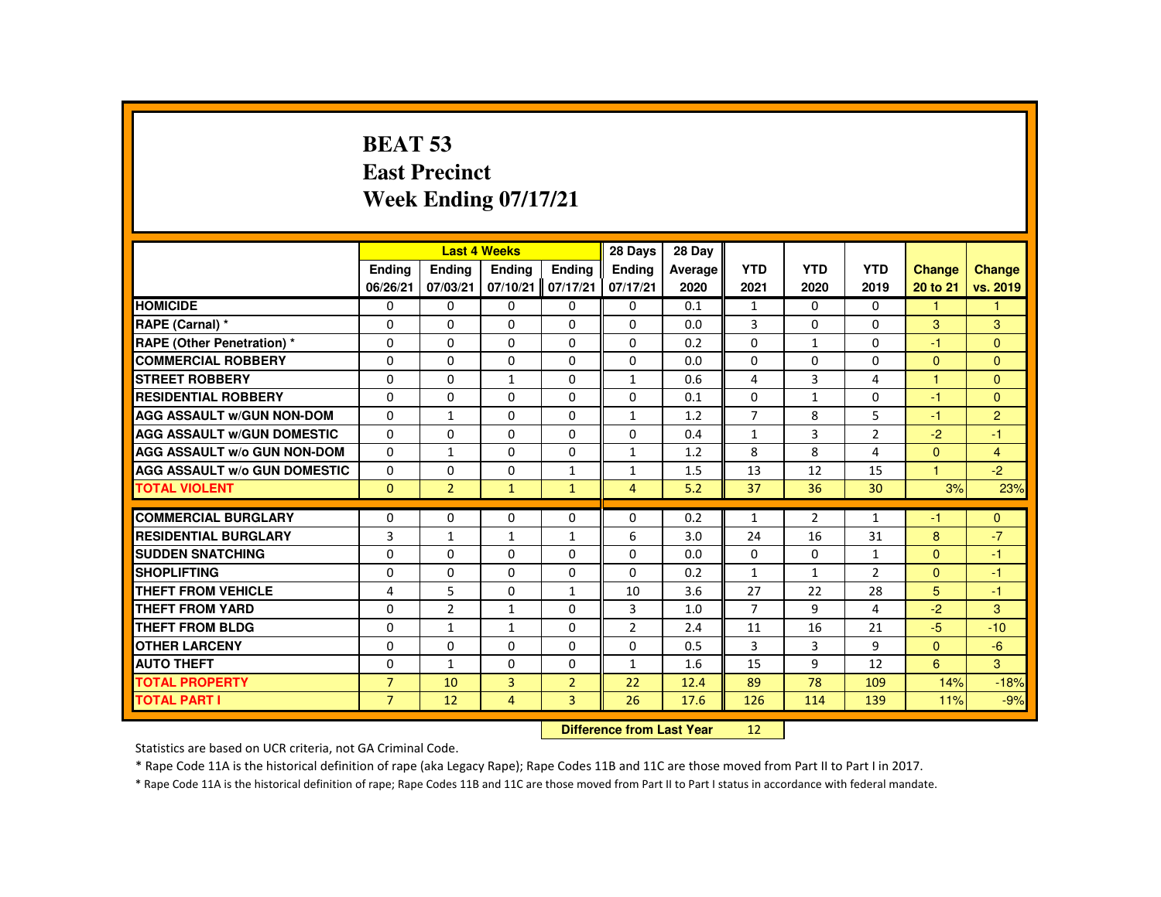# **BEAT 53 East PrecinctWeek Ending 07/17/21**

|                                     |                |                | <b>Last 4 Weeks</b> |                | 28 Days        | 28 Day  |                |                |                |               |                |
|-------------------------------------|----------------|----------------|---------------------|----------------|----------------|---------|----------------|----------------|----------------|---------------|----------------|
|                                     | <b>Endina</b>  | Ending         | Ending              | <b>Endina</b>  | <b>Endina</b>  | Average | <b>YTD</b>     | <b>YTD</b>     | <b>YTD</b>     | <b>Change</b> | Change         |
|                                     | 06/26/21       | 07/03/21       | 07/10/21            | 07/17/21       | 07/17/21       | 2020    | 2021           | 2020           | 2019           | 20 to 21      | vs. 2019       |
| <b>HOMICIDE</b>                     | $\Omega$       | $\Omega$       | $\Omega$            | $\Omega$       | $\mathbf{0}$   | 0.1     | $\mathbf{1}$   | $\Omega$       | $\Omega$       | $\mathbf{1}$  | 1              |
| RAPE (Carnal) *                     | $\Omega$       | $\Omega$       | $\Omega$            | $\Omega$       | $\Omega$       | 0.0     | $\overline{3}$ | $\Omega$       | $\Omega$       | 3             | 3              |
| RAPE (Other Penetration) *          | $\Omega$       | $\Omega$       | $\Omega$            | $\Omega$       | $\Omega$       | 0.2     | $\Omega$       | $\mathbf{1}$   | $\Omega$       | $-1$          | $\mathbf{0}$   |
| <b>COMMERCIAL ROBBERY</b>           | $\Omega$       | $\Omega$       | $\Omega$            | $\Omega$       | $\Omega$       | 0.0     | $\Omega$       | $\Omega$       | $\Omega$       | $\Omega$      | $\Omega$       |
| <b>STREET ROBBERY</b>               | $\Omega$       | $\Omega$       | $\mathbf{1}$        | $\Omega$       | $\mathbf{1}$   | 0.6     | 4              | 3              | 4              | 1             | $\Omega$       |
| <b>RESIDENTIAL ROBBERY</b>          | 0              | $\mathbf{0}$   | 0                   | 0              | $\mathbf{0}$   | 0.1     | $\mathbf{0}$   | $\mathbf{1}$   | 0              | $-1$          | $\Omega$       |
| <b>AGG ASSAULT W/GUN NON-DOM</b>    | $\Omega$       | $\mathbf{1}$   | $\Omega$            | $\Omega$       | $\mathbf{1}$   | 1.2     | $\overline{7}$ | 8              | 5              | $-1$          | $\overline{2}$ |
| <b>AGG ASSAULT W/GUN DOMESTIC</b>   | $\Omega$       | $\Omega$       | $\Omega$            | $\Omega$       | $\Omega$       | 0.4     | $\mathbf{1}$   | 3              | $\overline{2}$ | $-2$          | $-1$           |
| <b>AGG ASSAULT w/o GUN NON-DOM</b>  | $\Omega$       | $\mathbf{1}$   | $\Omega$            | $\Omega$       | $\mathbf{1}$   | 1.2     | 8              | 8              | 4              | $\mathbf{0}$  | $\overline{4}$ |
| <b>AGG ASSAULT W/o GUN DOMESTIC</b> | 0              | $\mathbf{0}$   | 0                   | $\mathbf{1}$   | $\mathbf{1}$   | 1.5     | 13             | 12             | 15             | $\mathbf{1}$  | $-2$           |
| <b>TOTAL VIOLENT</b>                | $\mathbf{0}$   | $\overline{2}$ | $\blacklozenge$     | $\mathbf{1}$   | $\overline{4}$ | 5.2     | 37             | 36             | 30             | 3%            | 23%            |
| <b>COMMERCIAL BURGLARY</b>          | $\Omega$       | $\Omega$       | $\Omega$            | $\Omega$       | $\Omega$       | 0.2     | $\mathbf{1}$   | $\overline{2}$ | $\mathbf{1}$   | -1            | $\Omega$       |
| <b>RESIDENTIAL BURGLARY</b>         | 3              | $\mathbf{1}$   | $\mathbf{1}$        | $\mathbf{1}$   | 6              | 3.0     | 24             | 16             | 31             | 8             | $-7$           |
| <b>SUDDEN SNATCHING</b>             | $\Omega$       | $\Omega$       | $\Omega$            | $\Omega$       | $\Omega$       | 0.0     | $\Omega$       | $\Omega$       | 1              | $\mathbf{0}$  | $-1$           |
| <b>SHOPLIFTING</b>                  | $\Omega$       | $\Omega$       | $\Omega$            | $\Omega$       | $\Omega$       | 0.2     | $\mathbf{1}$   | $\mathbf{1}$   | $\overline{2}$ | $\Omega$      | $-1$           |
| <b>THEFT FROM VEHICLE</b>           | 4              | 5              | $\Omega$            | $\mathbf{1}$   | 10             | 3.6     | 27             | 22             | 28             | 5             | $-1$           |
| <b>THEFT FROM YARD</b>              | $\Omega$       | $\overline{2}$ | $\mathbf{1}$        | $\Omega$       | 3              | 1.0     | $\overline{7}$ | 9              | 4              | $-2$          | $\mathbf{3}$   |
| <b>THEFT FROM BLDG</b>              | 0              | $\mathbf{1}$   | $\mathbf{1}$        | $\Omega$       | $\overline{2}$ | 2.4     | 11             | 16             | 21             | $-5$          | $-10$          |
| <b>OTHER LARCENY</b>                | 0              | $\Omega$       | $\Omega$            | $\Omega$       | $\mathbf{0}$   | 0.5     | 3              | 3              | 9              | $\mathbf{0}$  | $-6$           |
| <b>AUTO THEFT</b>                   | $\Omega$       | $\mathbf{1}$   | $\Omega$            | $\Omega$       | $\mathbf{1}$   | 1.6     | 15             | 9              | 12             | 6             | $\overline{3}$ |
| <b>TOTAL PROPERTY</b>               | $\overline{7}$ | 10             | $\overline{3}$      | $\overline{2}$ | 22             | 12.4    | 89             | 78             | 109            | 14%           | $-18%$         |
| <b>TOTAL PART I</b>                 | $\overline{7}$ | 12             | 4                   | 3              | 26             | 17.6    | 126            | 114            | 139            | 11%           | $-9%$          |
|                                     |                |                |                     |                |                |         |                |                |                |               |                |

 **Difference from Last Year**<sup>12</sup>

Statistics are based on UCR criteria, not GA Criminal Code.

\* Rape Code 11A is the historical definition of rape (aka Legacy Rape); Rape Codes 11B and 11C are those moved from Part II to Part I in 2017.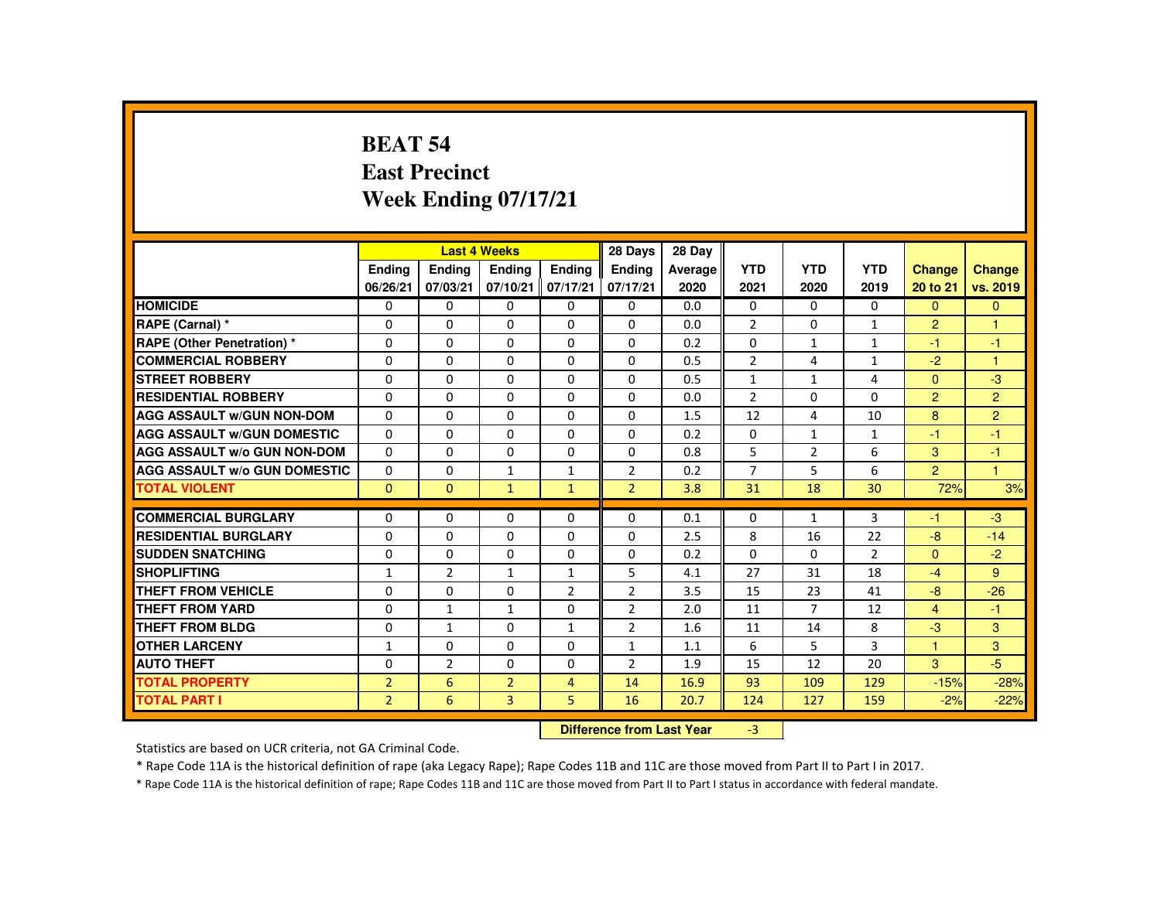#### **BEAT 54 East PrecinctWeek Ending 07/17/21**

|                                     |                           |                | <b>Last 4 Weeks</b> |                | 28 Days        | 28 Day  |                |                |                |                      |                |
|-------------------------------------|---------------------------|----------------|---------------------|----------------|----------------|---------|----------------|----------------|----------------|----------------------|----------------|
|                                     | <b>Endina</b>             | <b>Endina</b>  | Ending              | <b>Endina</b>  | <b>Endina</b>  | Average | <b>YTD</b>     | <b>YTD</b>     | <b>YTD</b>     | <b>Change</b>        | Change         |
|                                     | 06/26/21                  | 07/03/21       | 07/10/21            | 07/17/21       | 07/17/21       | 2020    | 2021           | 2020           | 2019           | 20 to 21             | vs. 2019       |
| <b>HOMICIDE</b>                     | $\Omega$                  | $\Omega$       | $\Omega$            | $\Omega$       | 0              | 0.0     | $\Omega$       | $\Omega$       | $\Omega$       | $\Omega$             | $\Omega$       |
| RAPE (Carnal) *                     | 0                         | $\Omega$       | $\Omega$            | $\Omega$       | $\Omega$       | 0.0     | $\overline{2}$ | $\Omega$       | $\mathbf{1}$   | $\overline{2}$       | -1             |
| <b>RAPE (Other Penetration) *</b>   | $\Omega$                  | $\Omega$       | $\Omega$            | $\Omega$       | $\Omega$       | 0.2     | $\Omega$       | $\mathbf{1}$   | $\mathbf{1}$   | -1                   | $-1$           |
| <b>COMMERCIAL ROBBERY</b>           | 0                         | 0              | $\Omega$            | 0              | 0              | 0.5     | $\overline{2}$ | 4              | $\mathbf{1}$   | $-2$                 | $\mathbf{1}$   |
| <b>STREET ROBBERY</b>               | $\Omega$                  | $\Omega$       | $\Omega$            | $\Omega$       | $\Omega$       | 0.5     | $\mathbf{1}$   | $\mathbf{1}$   | 4              | $\Omega$             | $-3$           |
| <b>RESIDENTIAL ROBBERY</b>          | 0                         | 0              | 0                   | 0              | 0              | 0.0     | $\overline{2}$ | 0              | 0              | $\overline{2}$       | $\overline{2}$ |
| <b>AGG ASSAULT W/GUN NON-DOM</b>    | $\Omega$                  | $\Omega$       | $\Omega$            | $\Omega$       | $\Omega$       | 1.5     | 12             | 4              | 10             | 8                    | $\overline{2}$ |
| <b>AGG ASSAULT W/GUN DOMESTIC</b>   | $\Omega$                  | $\Omega$       | $\Omega$            | $\Omega$       | $\Omega$       | 0.2     | $\Omega$       | $\mathbf{1}$   | $\mathbf{1}$   | $-1$                 | $-1$           |
| <b>AGG ASSAULT W/o GUN NON-DOM</b>  | $\Omega$                  | $\Omega$       | $\Omega$            | $\Omega$       | $\Omega$       | 0.8     | 5              | $\overline{2}$ | 6              | 3                    | $-1$           |
| <b>AGG ASSAULT W/o GUN DOMESTIC</b> | $\Omega$                  | $\Omega$       | $\mathbf{1}$        | $\mathbf{1}$   | $\overline{2}$ | 0.2     | $\overline{7}$ | 5              | 6              | $\overline{2}$       | $\overline{1}$ |
| <b>TOTAL VIOLENT</b>                | $\Omega$                  | $\mathbf{0}$   | $\mathbf{1}$        | $\mathbf{1}$   | $\overline{2}$ | 3.8     | 31             | 18             | 30             | 72%                  | 3%             |
| <b>COMMERCIAL BURGLARY</b>          | $\Omega$                  | $\Omega$       | $\Omega$            | $\Omega$       | $\Omega$       | 0.1     | 0              | $\mathbf{1}$   | 3              | $-1$                 | $-3$           |
| <b>RESIDENTIAL BURGLARY</b>         | $\Omega$                  | $\Omega$       | $\Omega$            | $\Omega$       | $\Omega$       | 2.5     | 8              | 16             | 22             | $-8$                 | $-14$          |
| <b>SUDDEN SNATCHING</b>             | $\Omega$                  | $\Omega$       | $\Omega$            | $\Omega$       | $\Omega$       | 0.2     | $\Omega$       | $\Omega$       | $\overline{2}$ | $\mathbf{0}$         | $-2$           |
| <b>SHOPLIFTING</b>                  | $\mathbf{1}$              | $\overline{2}$ | $\mathbf{1}$        | $\mathbf{1}$   | 5              | 4.1     | 27             | 31             | 18             | $-4$                 | 9              |
| <b>THEFT FROM VEHICLE</b>           | $\Omega$                  | $\Omega$       | $\Omega$            | $\overline{2}$ | $\overline{2}$ | 3.5     | 15             | 23             | 41             | $-8$                 | $-26$          |
| <b>THEFT FROM YARD</b>              | $\Omega$                  |                |                     | $\Omega$       | $\overline{2}$ | 2.0     | 11             | $\overline{7}$ | 12             | $\overline{4}$       | $-1$           |
|                                     |                           | $\mathbf{1}$   | $\mathbf{1}$        |                |                |         |                |                |                |                      |                |
| <b>THEFT FROM BLDG</b>              | 0                         | $\mathbf{1}$   | 0                   | $\mathbf{1}$   | $\overline{2}$ | 1.6     | 11             | 14             | 8              | $-3$                 | 3              |
| <b>OTHER LARCENY</b>                | $\mathbf{1}$              | $\Omega$       | $\Omega$            | $\Omega$       | $\mathbf{1}$   | 1.1     | 6              | 5              | 3              | $\blacktriangleleft$ | 3              |
| <b>AUTO THEFT</b>                   | $\Omega$                  | $\overline{2}$ | $\Omega$            | $\Omega$       | $\overline{2}$ | 1.9     | 15             | 12             | 20             | 3                    | $-5$           |
| <b>TOTAL PROPERTY</b>               | $\overline{2}$            | 6              | $\overline{2}$      | $\overline{4}$ | 14             | 16.9    | 93             | 109            | 129            | $-15%$               | $-28%$         |
| <b>TOTAL PART I</b>                 | $\overline{2}$            | 6              | $\overline{3}$      | 5              | 16             | 20.7    | 124            | 127            | 159            | $-2%$                | $-22%$         |
|                                     | Difference from Loot Voor |                |                     |                |                |         | $\mathcal{D}$  |                |                |                      |                |

 **Difference from Last Year**r -3

Statistics are based on UCR criteria, not GA Criminal Code.

\* Rape Code 11A is the historical definition of rape (aka Legacy Rape); Rape Codes 11B and 11C are those moved from Part II to Part I in 2017.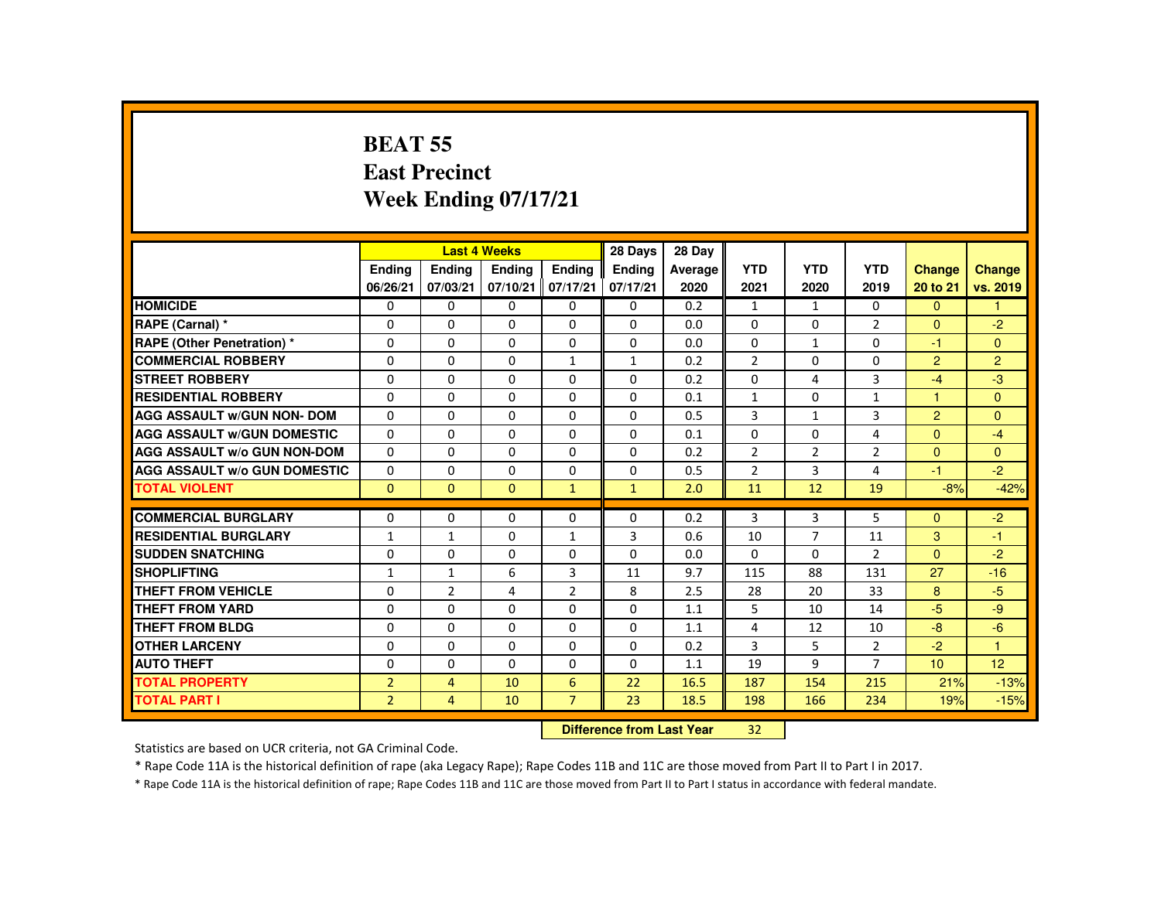#### **BEAT 55 East PrecinctWeek Ending 07/17/21**

|                                     |                |                | <b>Last 4 Weeks</b> |                | 28 Days       | 28 Day  |                |                |                |                |                |
|-------------------------------------|----------------|----------------|---------------------|----------------|---------------|---------|----------------|----------------|----------------|----------------|----------------|
|                                     | <b>Ending</b>  | <b>Ending</b>  | <b>Ending</b>       | <b>Endina</b>  | <b>Endina</b> | Average | <b>YTD</b>     | <b>YTD</b>     | <b>YTD</b>     | <b>Change</b>  | <b>Change</b>  |
|                                     | 06/26/21       | 07/03/21       | 07/10/21            | 07/17/21       | 07/17/21      | 2020    | 2021           | 2020           | 2019           | 20 to 21       | vs. 2019       |
| <b>HOMICIDE</b>                     | $\Omega$       | $\Omega$       | $\Omega$            | $\Omega$       | 0             | 0.2     | $\mathbf{1}$   | $\mathbf{1}$   | $\Omega$       | $\Omega$       | 1              |
| RAPE (Carnal) *                     | 0              | $\Omega$       | $\mathbf{0}$        | $\Omega$       | 0             | 0.0     | 0              | $\Omega$       | $\overline{2}$ | $\overline{0}$ | $-2$           |
| <b>RAPE (Other Penetration) *</b>   | $\Omega$       | $\Omega$       | $\Omega$            | $\Omega$       | 0             | 0.0     | $\Omega$       | $\mathbf{1}$   | $\Omega$       | $-1$           | $\overline{0}$ |
| <b>COMMERCIAL ROBBERY</b>           | $\Omega$       | $\Omega$       | $\Omega$            | $\mathbf{1}$   | $\mathbf{1}$  | 0.2     | $\overline{2}$ | $\Omega$       | $\Omega$       | $\overline{2}$ | $\overline{2}$ |
| <b>STREET ROBBERY</b>               | $\Omega$       | $\Omega$       | $\Omega$            | $\Omega$       | $\Omega$      | 0.2     | $\Omega$       | 4              | 3              | $-4$           | $-3$           |
| <b>RESIDENTIAL ROBBERY</b>          | 0              | $\Omega$       | $\mathbf{0}$        | 0              | 0             | 0.1     | $\mathbf{1}$   | 0              | $\mathbf{1}$   | 1              | $\mathbf{0}$   |
| <b>AGG ASSAULT w/GUN NON- DOM</b>   | $\Omega$       | $\Omega$       | $\Omega$            | $\Omega$       | $\Omega$      | 0.5     | 3              | $\mathbf{1}$   | $\overline{3}$ | $\overline{2}$ | $\Omega$       |
| <b>AGG ASSAULT W/GUN DOMESTIC</b>   | $\Omega$       | $\Omega$       | $\Omega$            | $\Omega$       | $\Omega$      | 0.1     | $\Omega$       | $\Omega$       | $\overline{4}$ | $\Omega$       | $-4$           |
| <b>AGG ASSAULT w/o GUN NON-DOM</b>  | $\Omega$       | $\Omega$       | $\Omega$            | $\Omega$       | $\Omega$      | 0.2     | $\overline{2}$ | $\overline{2}$ | $\overline{2}$ | $\Omega$       | $\mathbf{0}$   |
| <b>AGG ASSAULT w/o GUN DOMESTIC</b> | $\Omega$       | $\Omega$       | $\Omega$            | $\Omega$       | $\Omega$      | 0.5     | $\overline{2}$ | 3              | 4              | $-1$           | $-2$           |
| <b>TOTAL VIOLENT</b>                | $\Omega$       | $\mathbf{0}$   | $\Omega$            | $\mathbf{1}$   | $\mathbf{1}$  | 2.0     | 11             | 12             | 19             | $-8%$          | $-42%$         |
| <b>COMMERCIAL BURGLARY</b>          | $\Omega$       | $\Omega$       | $\Omega$            | $\Omega$       | $\Omega$      | 0.2     | 3              | 3              | 5              | $\Omega$       | $-2$           |
| <b>RESIDENTIAL BURGLARY</b>         | $\mathbf{1}$   | $\mathbf{1}$   | $\Omega$            | $\mathbf{1}$   | 3             | 0.6     | 10             | $\overline{7}$ | 11             | 3              | $-1$           |
| <b>SUDDEN SNATCHING</b>             | $\Omega$       | $\Omega$       | $\Omega$            | $\Omega$       | $\Omega$      | 0.0     | $\Omega$       | $\Omega$       | $\overline{2}$ | $\Omega$       | $-2$           |
| <b>SHOPLIFTING</b>                  | $\mathbf{1}$   | $\mathbf{1}$   | 6                   | $\overline{3}$ | 11            | 9.7     | 115            | 88             | 131            | 27             | $-16$          |
| <b>THEFT FROM VEHICLE</b>           | $\Omega$       | $\overline{2}$ | 4                   | $\overline{2}$ | 8             | 2.5     | 28             | 20             | 33             | 8              | $-5$           |
| <b>THEFT FROM YARD</b>              | $\Omega$       | $\Omega$       | $\Omega$            | $\Omega$       | $\Omega$      | 1.1     | 5              | 10             | 14             | $-5$           | $-9$           |
| <b>THEFT FROM BLDG</b>              | $\Omega$       | $\Omega$       | $\Omega$            | $\Omega$       | $\Omega$      | 1.1     | 4              | 12             | 10             | $-8$           | $-6$           |
| <b>OTHER LARCENY</b>                | $\Omega$       | $\Omega$       | $\Omega$            | $\Omega$       | $\Omega$      | 0.2     | 3              | 5              | $\overline{2}$ | $-2$           | $\mathbf{1}$   |
| <b>AUTO THEFT</b>                   | $\Omega$       | $\Omega$       | $\Omega$            | $\Omega$       | $\Omega$      | 1.1     | 19             | 9              | $\overline{7}$ | 10             | 12             |
| <b>TOTAL PROPERTY</b>               | $\overline{2}$ | $\overline{4}$ | 10                  | 6              | 22            | 16.5    | 187            | 154            | 215            | 21%            | $-13%$         |
| <b>TOTAL PART I</b>                 | $\overline{2}$ | 4              | 10                  | $\overline{7}$ | 23            | 18.5    | 198            | 166            | 234            | 19%            | $-15%$         |
|                                     |                |                |                     |                |               |         | 22             |                |                |                |                |

 **Difference from Last Year**<sup>32</sup>

Statistics are based on UCR criteria, not GA Criminal Code.

\* Rape Code 11A is the historical definition of rape (aka Legacy Rape); Rape Codes 11B and 11C are those moved from Part II to Part I in 2017.